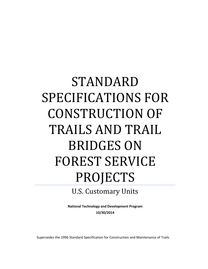# STANDARD SPECIFICATIONS FOR CONSTRUCTION OF TRAILS AND TRAIL BRIDGES ON FOREST SERVICE **PROJECTS**

# U.S. Customary Units

**National Technology and Development Program 10/30/2014**

Supersedes the 1996 Standard Specification for Construction and Maintenance of Trails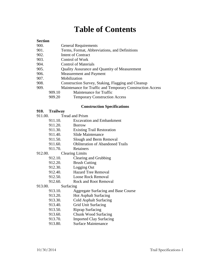# **Table of Contents**

# **Section**

- 900. General Requirements
- 901. Terms, Format, Abbreviations, and Definitions
- 902. Intent of Contract
- 903. Control of Work
- 904. Control of Materials
- 905. Quality Assurance and Quantity of Measurement
- 906. Measurement and Payment
- 907. Mobilization
- 908. Construction Survey, Staking, Flagging and Cleanup
- 909. Maintenance for Traffic and Temporary Construction Access
	- 909.10 Maintenance for Traffic
	- 909.20 Temporary Construction Access

#### **Construction Specifications**

- **910. Trailway**
- 911.00. Tread and Prism
	- 911.10. Excavation and Embankment
	- 911.20. Borrow
	- 911.30. Existing Trail Restoration
	- 911.40. Slide Maintenance
	- 911.50. Slough and Berm Removal
	- 911.60. Obliteration of Abandoned Trails
	- 911.70. Retainers
- 912.00. Clearing Limits
	- 912.10. Clearing and Grubbing
	- 912.20. Brush Cutting
	- 912.30. Logging Out
	- 912.40. Hazard Tree Removal
	- 912.50. Loose Rock Removal
	- 912.60. Rock and Root Removal

# 913.00. Surfacing

- 913.10. Aggregate Surfacing and Base Course
- 913.20. Hot Asphalt Surfacing
- 913.30. Cold Asphalt Surfacing
- 913.40. Grid Unit Surfacing
- 913.50. Riprap Surfacing
- 913.60. Chunk Wood Surfacing
- 913.70. Imported Clay Surfacing
- 913.80. Surface Maintenance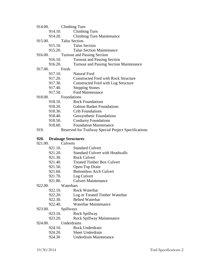- 914.00. Climbing Turn
	- 914.10. Climbing Turn
	- 914.20. Climbing Turn Maintenance
- 915.00. Talus Section
	- 915.10. Talus Section
	- 915.20. Talus Section Maintenance
- 916.00. Turnout and Passing Section
	- 916.10. Turnout and Passing Section
	- 916.20. Turnout and Passing Section Maintenance
- 917.00. Fords<br>917.10.
	- Natural Ford
	- 917.20. Constructed Ford with Rock Structure
	- 917.30. Constructed Ford with Log Structure
	- 917.40. Stepping Stones
	- 917.50. Ford Maintenance
- 918.00. Foundations
	- 918.10. Rock Foundations
	- 918.20. Gabion Basket Foundations
	- 918.30. Crib Foundations
	- 918.40. Geosynthetic Foundations
	- 918.50. Corduroy Foundations
	- 918.60. Foundation Maintenance
- 919. Reserved for Trailway Special Project Specifications

# **920. Drainage Structures**

| 921.00. | Culverts  |                                        |
|---------|-----------|----------------------------------------|
|         | 921.10.   | <b>Standard Culvert</b>                |
|         | 921.20.   | <b>Standard Culvert with Headwalls</b> |
|         | 921.30.   | <b>Rock Culvert</b>                    |
|         | 921.40.   | <b>Treated Timber Box Culvert</b>      |
|         | 921.50.   | Open-Top Drain                         |
|         | 921.60.   | <b>Bottomless Arch Culvert</b>         |
|         | 921.70.   | Log Culvert                            |
|         | 921.80.   | <b>Culvert Maintenance</b>             |
| 922.00. | Waterbars |                                        |
|         | 922.10.   | Rock Waterbar                          |
|         | 922.20.   | Log or Treated Timber Waterbar         |
|         | 922.30.   | <b>Belted Waterbar</b>                 |
|         | 922.40.   | Waterbar Maintenance                   |
| 923.00. | Spillways |                                        |
|         | 923.10.   | Rock Spillway                          |
|         | റാ ാവ     | Doole Cnillway Mointenance             |

- 923.20. Rock Spillway Maintenance
- 924.00. Underdrains

| 924.10. | Rock Underdrain  |
|---------|------------------|
| 924.20. | Sheet Underdrain |

924.30 Underdrain Maintenance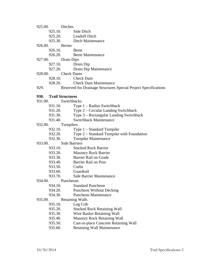| 925.00. |         | <b>Ditches</b>                                                  |
|---------|---------|-----------------------------------------------------------------|
|         | 925.10. | Side Ditch                                                      |
|         |         | 925.20. Leadoff Ditch                                           |
|         |         | 925.30. Ditch Maintenance                                       |
| 926.00. |         | Berms                                                           |
|         |         | 926.10. Berm                                                    |
|         |         | 926.20. Berm Maintenance                                        |
| 927.00. |         | Drain Dips                                                      |
|         | 927.10. | Drain Dip                                                       |
|         | 927.20. | Drain Dip Maintenance                                           |
| 928.00. |         | <b>Check Dams</b>                                               |
|         |         | 928.10. Check Dam                                               |
|         | 928.20. | <b>Check Dam Maintenance</b>                                    |
| 929.    |         | Reserved for Drainage Structures Special Project Specifications |
|         |         | 930. Trail Structures                                           |
| 931.00. |         | Switchbacks                                                     |
|         | 931.10. | Type $1 -$ Radius Switchback                                    |
|         | 931.20. | Type 2 – Circular Landing Switchback                            |
|         | 931.30. | Type 3 – Rectangular Landing Switchback                         |
|         | 931.40. | <b>Switchback Maintenance</b>                                   |
| 932.00. |         | Turnpikes                                                       |
|         | 932.10. | Type $1$ – Standard Turnpike                                    |
|         | 932.20. | Type 2 – Standard Turnpike with Foundation                      |
|         | 932.30. | Turnpike Maintenance                                            |
| 933.00. |         | <b>Side Barriers</b>                                            |
|         | 933.10. | <b>Stacked Rock Barrier</b>                                     |
|         | 933.20. | <b>Masonry Rock Barrier</b>                                     |
|         | 933.30. | Barrier Rail on Grade                                           |
|         | 933.40. | <b>Barrier Rail on Post</b>                                     |
|         | 933.50. | Curbs                                                           |
|         | 933.60. | Guardrail                                                       |
|         | 933.70. | Side Barrier Maintenance                                        |
| 934.00. |         | Puncheons                                                       |
|         | 934.10. | <b>Standard Puncheon</b>                                        |
|         | 934.20. | <b>Puncheon Without Decking</b>                                 |
|         | 934.30. | <b>Puncheon Maintenance</b>                                     |
| 935.00. |         | <b>Retaining Walls</b>                                          |
|         | 935.10. | Log Crib                                                        |
|         | 935.20. | <b>Stacked Rock Retaining Wall</b>                              |
|         |         |                                                                 |

- 935.30. Wire Basket Retaining Wall
- 935.40. Masonry Rock Retaining Wall<br>935.50. Cast-in-place Concrete Retaining
- 935.50. Cast-in-place Concrete Retaining Wall<br>935.60. Retaining Wall Maintenance
- Retaining Wall Maintenance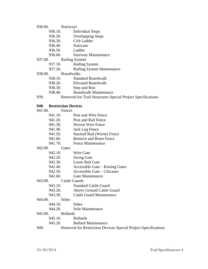#### 936.00. Stairways

- 936.10. Individual Steps
- 936.20. Overlapping Steps
- 936.30. Crib Ladder
- 936.40. Staircase
- 936.50. Ladder
- 936.60. Stairway Maintenance

# 937.00. Railing System

# 937.10. Railing System

937.20. Railing System Maintenance

938.00. Boardwalks

- 938.10. Standard Boardwalk
- 938.20. Elevated Boardwalk
- 938.30. Step and Run
- 938.40. Boardwalk Maintenance
- 939. Reserved for Trail Structures Special Project Specifications

# **940. Restriction Devices**

| 941.00. | Fences |
|---------|--------|
|         |        |

- 941.10. Post and Wire Fence
- 941.20. Post and Rail Fence
- 941.30. Woven Wire Fence
- 941.40. Jack Leg Fence
- 941.50. Stacked Rail (Worm) Fence
- 941.60. Remove and Reset Fence
- 941.70. Fence Maintenance

# 942.00. Gates

| 942.10. | Wire Gate                        |
|---------|----------------------------------|
| 942.20. | <b>Swing Gate</b>                |
| 942.30. | Loose Rail Gate                  |
| 942.40. | Accessible Gate – Kissing Gates  |
| 942.50. | Accessible Gate – Chicanes       |
| 942.60. | Gate Maintenance                 |
| 943.00. | <b>Cattle Guards</b>             |
| 943.10. | <b>Standard Cattle Guard</b>     |
| 943.20. | <b>Above Ground Cattle Guard</b> |

943.30. Cattle Guard Maintenance

#### 944.00. Stiles

- 944.10. Stiles
- 944.20. Stile Maintenance

# 945.00. Bollards

- 945.10. Bollards
- 945.20. Bollard Maintenance
- 949. Reserved for Restriction Devices Special Project Specifications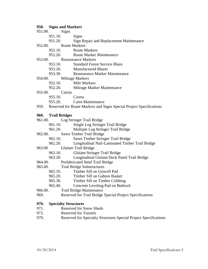#### **950. Signs and Markers**

- 951.00. Signs 951.10. Signs 951.20. Sign Repair and Replacement Maintenance 952.00. Route Markers 952.10. Route Markers 952.20. Route Marker Maintenance 953.00. Reassurance Markers 953.10. Standard Forest Service Blaze 953.20. Manufactured Blazer 953.30. Reassurance Marker Maintenance 954.00. Mileage Markers 952.10. Mile Markers 952.20. Mileage Marker Maintenance
- 955.00. Cairns
	- 955.10. Cairns
	- 955.20. Cairn Maintenance
- 959. Reserved for Route Markers and Signs Special Project Specifications

#### **960. Trail Bridges**

- 961.00. Log Stringer Trail Bridge
	- 961.10. Single Log Stringer Trail Bridge
	- 961.20. Multiple Log Stringer Trail Bridge
- 962.00. Sawn Timber Trail Bridge

962.10. Sawn Timber Stringer Trail Bridge

- 962.20. Longitudinal Nail-Laminated Timber Trail Bridge
- 963.00 Glulam Trail Bridge
	- 963.10. Glulam Stringer Trail Bridge
	- 963.20. Longitudinal Glulam Deck Panel Trail Bridge
- 964.00. Prefabricated Steel Trail Bridge
- 965.00. Trail Bridge Substructures
	- 965.10. Timber Sill on Geocell Pad
	- 965.20. Timber Sill on Gabion Basket
	- 965.30. Timber Sill on Timber Cribbing
	- 965.40. Concrete Leveling Pad on Bedrock
- 966.00. Trail Bridge Maintenance
- 969. Reserved for Trail Bridge Special Project Specifications

# **970. Specialty Structures**

- 971. Reserved for Snow Sheds
- 972. Reserved for Tunnels
- 979. Reserved for Specialty Structures Special Project Specifications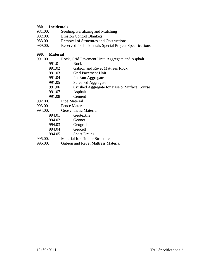# **980. Incidentals**

| 981.00. | Seeding, Fertilizing and Mulching                       |
|---------|---------------------------------------------------------|
| 982.00. | <b>Erosion Control Blankets</b>                         |
| 983.00. | <b>Removal of Structures and Obstructions</b>           |
| 989.00. | Reserved for Incidentals Special Project Specifications |

# **990. Material**

| 991.00. | Rock, Grid Pavement Unit, Aggregate and Asphalt |
|---------|-------------------------------------------------|
| 991.01  | Rock                                            |
| 991.02  | <b>Gabion and Revet Mattress Rock</b>           |
| 991.03  | Grid Pavement Unit                              |
| 991.04  | Pit-Run Aggregate                               |
| 991.05  | <b>Screened Aggregate</b>                       |
| 991.06  | Crushed Aggregate for Base or Surface Course    |
| 991.07  | Asphalt                                         |
| 991.08  | Cement                                          |
| 992.00. | Pipe Material                                   |
| 993.00. | Fence Material                                  |
| 994.00. | Geosynthetic Material                           |
| 994.01  | Geotextile                                      |
| 994.02  | Geonet                                          |
| 994.03  | Geogrid                                         |
| 994.04  | Geocell                                         |
| 994.05  | <b>Sheet Drains</b>                             |
| 995.00. | <b>Material for Timber Structures</b>           |
| 996.00. | Gabion and Revet Mattress Material              |
|         |                                                 |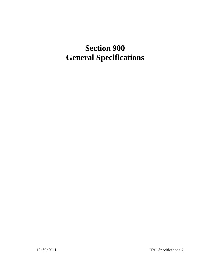# **Section 900 General Specifications**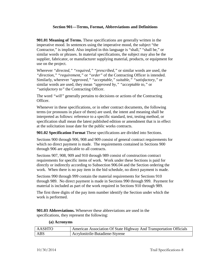# **Section 901—Terms, Format, Abbreviations and Definitions**

**901.01 Meaning of Terms.** These specifications are generally written in the imperative mood. In sentences using the imperative mood, the subject "the Contractor," is implied. Also implied in this language is "shall," "shall be," or similar words or phrases. In material specifications, the subject may also be the supplier, fabricator, or manufacturer supplying material, products, or equipment for use on the project.

Wherever *"directed," "required," "prescribed,"* or similar words are used, the *"direction," "requirement,"* or *"order"* of the Contracting Officer is intended. Similarly, wherever *"approved," "acceptable," suitable," "satisfactory,"* or similar words are used, they mean *"approved by," "acceptable to,"* or *"satisfactory to"* the Contracting Officer.

The word *"will"* generally pertains to decisions or actions of the Contracting Officer.

Whenever in these specifications, or in other contract documents, the following terms (or pronouns in place of them) are used, the intent and meaning shall be interpreted as follows: reference to a specific standard, test, testing method, or specification shall mean the latest published edition or amendment that is in effect at the solicitation issue date for the public works contracts.

**901.02 Specification Format** These specifications are divided into Sections.

Sections 900 through 906, 908 and 909 consist of general contract requirements for which no direct payment is made. The requirements contained in Sections 900 through 906 are applicable to all contracts.

Sections 907, 908, 909 and 910 through 989 consist of construction contract requirements for specific items of work. Work under these Sections is paid for directly or indirectly according to Subsection 906.04 and the Section ordering the work. When there is no pay item in the bid schedule, no direct payment is made.

Sections 990 through 999 contain the material requirements for Sections 910 through 989. No direct payment is made in Sections 990 through 999. Payment for material is included as part of the work required in Sections 910 through 989.

The first three digits of the pay item number identify the Section under which the work is performed.

**901.03 Abbreviations.** Whenever these abbreviations are used in the specifications, they represent the following:

| ' AASHTO | <sup>1</sup> American Association Of State Highway And Transportation Officials |
|----------|---------------------------------------------------------------------------------|
| ABS      | Acrylonitrile-Butadiene-Styrene                                                 |

#### **(a) Acronyms**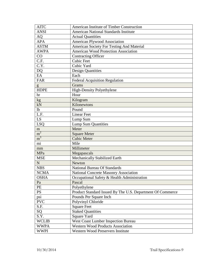| <b>AITC</b>       | American Institute of Timber Construction                  |
|-------------------|------------------------------------------------------------|
| <b>ANSI</b>       | <b>American National Standards Institute</b>               |
| AQ                | <b>Actual Quantities</b>                                   |
| <b>APA</b>        | American Plywood Association                               |
| <b>ASTM</b>       | American Society For Testing And Material                  |
| <b>AWPA</b>       | <b>American Wood Protection Association</b>                |
| CO                | <b>Contracting Officer</b>                                 |
| $\overline{C.F.}$ | <b>Cubic Feet</b>                                          |
| $\overline{C.Y.}$ | Cubic Yard                                                 |
| <b>DQ</b>         | <b>Design Quantities</b>                                   |
| EA                | Each                                                       |
| <b>FAR</b>        | <b>Federal Acquisition Regulation</b>                      |
| g                 | Grams                                                      |
| <b>HDPE</b>       | <b>High-Density Polyethylene</b>                           |
| hr                | Hour                                                       |
| kg                | Kilogram                                                   |
| kN                | Kilonewtons                                                |
| 1 <sub>b</sub>    | Pound                                                      |
| L.F.              | <b>Linear Feet</b>                                         |
| LS                | Lump Sum                                                   |
| <b>LSQ</b>        | <b>Lump Sum Quantities</b>                                 |
| m                 | Meter                                                      |
| m <sup>2</sup>    | <b>Square Meter</b>                                        |
| m <sup>3</sup>    | <b>Cubic Meter</b>                                         |
| mi                | Mile                                                       |
| mm                | Millimeter                                                 |
| MPa               | Megapascals                                                |
| <b>MSE</b>        | Mechanically Stabilized Earth                              |
| $\mathbf N$       | Newton                                                     |
| <b>NBS</b>        | National Bureau Of Standards                               |
| <b>NCMA</b>       | <b>National Concrete Masonry Association</b>               |
| <b>OSHA</b>       | Occupational Safety & Health Administration                |
| Pa                | Pascal                                                     |
| PE                | Polyethylene                                               |
| <b>PS</b>         | Product Standard Issued By The U.S. Department Of Commerce |
| psi               | Pounds Per Square Inch                                     |
| <b>PVC</b>        | Polyvinyl Chloride                                         |
| S.F.              | <b>Square Feet</b>                                         |
| SQ                | <b>Staked Quantities</b>                                   |
| S.Y.              | Square Yard                                                |
| <b>WCLIB</b>      | West Coast Lumber Inspection Bureau                        |
| <b>WWPA</b>       | <b>Western Wood Products Association</b>                   |
| <b>WWPI</b>       | Western Wood Preservers Institute                          |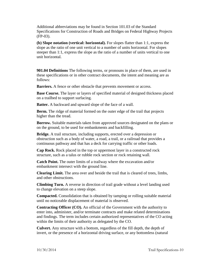Additional abbreviations may be found in Section 101.03 of the Standard Specifications for Construction of Roads and Bridges on Federal Highway Projects (FP-03).

**(b) Slope notation (vertical: horizontal).** For slopes flatter than 1:1, express the slope as the ratio of one unit vertical to a number of units horizontal. For slopes steeper than 1:1, express the slope as the ratio of a number of units vertical to one unit horizontal.

**901.04 Definitions** The following terms, or pronouns in place of them, are used in these specifications or in other contract documents, the intent and meaning are as follows:

**Barriers.** A fence or other obstacle that prevents movement or access.

**Base Course.** The layer or layers of specified material of designed thickness placed on a trailbed to support surfacing.

**Batter.** A backward and upward slope of the face of a wall.

**Berm.** The ridge of material formed on the outer edge of the trail that projects higher than the tread.

**Borrow.** Suitable materials taken from approved sources designated on the plans or on the ground, to be used for embankments and backfilling.

**Bridge.** A trail structure, including supports, erected over a depression or obstruction such as a body of water, a road, a trail, or a railroad that provides a continuous pathway and that has a deck for carrying traffic or other loads.

**Cap Rock.** Rock placed in the top or uppermost layer in a constructed rock structure, such as a talus or rubble rock section or rock retaining wall.

**Catch Point.** The outer limits of a trailway where the excavation and/or embankment intersect with the ground line.

**Clearing Limit.** The area over and beside the trail that is cleared of trees, limbs, and other obstructions.

**Climbing Turn.** A reverse in direction of trail grade without a level landing used to change elevation on a steep slope.

**Compacted.** Consolidation that is obtained by tamping or rolling suitable material until no noticeable displacement of material is observed.

**Contracting Officer (CO).** An official of the Government with the authority to enter into, administer, and/or terminate contracts and make related determinations and findings. The term includes certain authorized representatives of the CO acting within the limits of their authority as delegated by the CO.

**Culvert.** Any structure with a bottom, regardless of the fill depth, the depth of invert, or the presence of a horizontal driving surface, or any bottomless (natural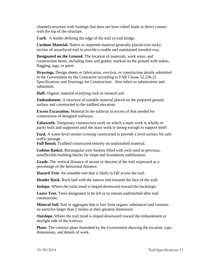channel) structure with footings that does not have wheel loads in direct contact with the top of the structure.

**Curb.** A border defining the edge of the trail or trail bridge.

**Cushion Material.** Native or imported material generally placed over rocky section of unsurfaced trail to provide a usable and maintained traveled way.

**Designated on the Ground.** The location of materials, work areas, and construction items, including lines and grades, marked on the ground with stakes, flagging, tags, or paint.

**Drawings.** Design sheets or fabrication, erection, or construction details submitted to the Government by the Contractor according to FAR Clause 52.236-21 Specifications and Drawings for Construction. Also refers to submissions and submittals.

**Duff.** Organic material overlying rock or mineral soil.

**Embankment.** A structure of suitable material placed on the prepared ground surface and constructed to the trailbed elevation.

**Excess Excavation.** Material in the trailway in excess of that needed for construction of designed trailways.

**Falsework.** Temporary construction work on which a main work is wholly or partly built and supported until the main work is strong enough to support itself.

**Ford.** A water-level stream crossing constructed to provide a level surface for safe traffic passage.

**Full Bench.** Trailbed constructed entirely on undisturbed material.

**Gabion Basket.** Rectangular wire baskets filled with rock used as pervious, semiflexible building blocks for slope and foundation stabilization.

**Grade.** The vertical distance of ascent or descent of the trail expressed as a percentage of the horizontal distance.

**Hazard Tree.** An unstable tree that is likely to fall across the trail.

**Header Rock.** Rock laid with the narrow end towards the face of the wall.

**Inslope.** Where the trails tread is sloped downward toward the backslope.

**Leave Tree.** Trees designated to be left or to remain undisturbed after trail construction.

**Mineral Soil.** Soil or aggregate that is free from organic substances and contains no particles larger than 2 inches at their greatest dimension.

**Outslope.** Where the trail tread is sloped downward toward the embankment or daylight side of the trailway.

**Plans.** The contract plans furnished by the Government showing the location, type, dimensions, and details of work.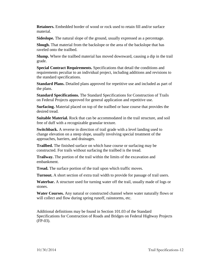**Retainers.** Embedded border of wood or rock used to retain fill and/or surface material.

**Sideslope.** The natural slope of the ground, usually expressed as a percentage.

**Slough.** That material from the backslope or the area of the backslope that has raveled onto the trailbed.

**Slump.** Where the trailbed material has moved downward, causing a dip in the trail grade.

**Special Contract Requirements.** Specifications that detail the conditions and requirements peculiar to an individual project, including additions and revisions to the standard specifications.

**Standard Plans.** Detailed plans approved for repetitive use and included as part of the plans.

**Standard Specifications.** The Standard Specifications for Construction of Trails on Federal Projects approved for general application and repetitive use.

**Surfacing.** Material placed on top of the trailbed or base course that provides the desired tread.

**Suitable Material.** Rock that can be accommodated in the trail structure, and soil free of duff with a recognizable granular texture.

**Switchback.** A reverse in direction of trail grade with a level landing used to change elevation on a steep slope, usually involving special treatment of the approaches, barriers, and drainages.

**Trailbed.** The finished surface on which base course or surfacing may be constructed. For trails without surfacing the trailbed is the tread.

**Trailway.** The portion of the trail within the limits of the excavation and embankment.

**Tread.** The surface portion of the trail upon which traffic moves.

**Turnout.** A short section of extra trail width to provide for passage of trail users.

**Waterbar.** A structure used for turning water off the trail, usually made of logs or stones.

**Water Courses.** Any natural or constructed channel where water naturally flows or will collect and flow during spring runoff, rainstorms, etc.

Additional definitions may be found in Section 101.03 of the Standard Specifications for Construction of Roads and Bridges on Federal Highway Projects (FP-03).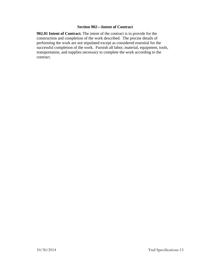# **Section 902—Intent of Contract**

**902.01 Intent of Contract.** The intent of the contract is to provide for the construction and completion of the work described. The precise details of performing the work are not stipulated except as considered essential for the successful completion of the work. Furnish all labor, material, equipment, tools, transportation, and supplies necessary to complete the work according to the contract.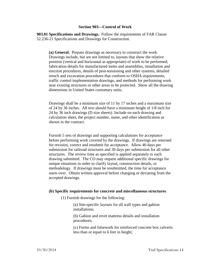# **Section 903—Control of Work**

**903.01 Specifications and Drawings.** Follow the requirements of FAR Clause 52.236-21 Specifications and Drawings for Construction.

**(a) General.** Prepare drawings as necessary to construct the work. Drawings include, but are not limited to, layouts that show the relative position (vertical and horizontal as appropriate) of work to be performed, fabrication details for manufactured items and assemblies, installation and erection procedures, details of post-tensioning and other systems, detailed trench and excavation procedures that conform to OSHA requirements, traffic control implementation drawings, and methods for performing work near existing structures or other areas to be protected. Show all the drawing dimensions in United States customary units.

Drawings shall be a minimum size of 11 by 17 inches and a maximum size of 24 by 36 inches. All text should have a minimum height of 1/8 inch for 24 by 36 inch drawings (D size sheets). Include on each drawing and calculation sheet, the project number, name, and other identification as shown in the contract.

Furnish 5 sets of drawings and supporting calculations for acceptance before performing work covered by the drawings. If drawings are returned for revision, correct and resubmit for acceptance. Allow 40 days per submission for railroad structures and 30 days per submission for all other structures. The review time as specified is applied separately to each drawing submitted. The CO may request additional specific drawings for unique situations in order to clarify layout, construction details, or methodology. If drawings must be resubmitted, the time for acceptance starts over. Obtain written approval before changing or deviating from the accepted drawings.

#### **(b) Specific requirements for concrete and miscellaneous structures**.

(1) Furnish drawings for the following:

(a) Site-specific layouts for all wall types and gabion installations;

(b) Gabion and revet mattress details and installation procedures;

(c) Forms and falsework for reinforced concrete box culverts less than or equal to 6 feet in height;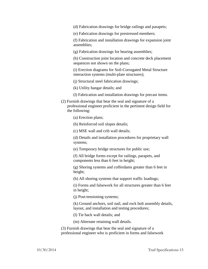(d) Fabrication drawings for bridge railings and parapets;

(e) Fabrication drawings for prestressed members;

(f) Fabrication and installation drawings for expansion joint assemblies;

(g) Fabrication drawings for bearing assemblies;

(h) Construction joint location and concrete deck placement sequences not shown on the plans;

(i) Erection diagrams for Soil-Corrugated Metal Structure interaction systems (multi-plate structures);

(j) Structural steel fabrication drawings;

(k) Utility hangar details; and

- (l) Fabrication and installation drawings for precast items.
- (2) Furnish drawings that bear the seal and signature of a professional engineer proficient in the pertinent design field for the following:

(a) Erection plans;

(b) Reinforced soil slopes details;

(c) MSE wall and crib wall details;

(d) Details and installation procedures for proprietary wall systems;

(e) Temporary bridge structures for public use;

(f) All bridge forms except for railings, parapets, and components less than 6 feet in height;

(g) Shoring systems and cofferdams greater than 6 feet in height;

(h) All shoring systems that support traffic loadings;

(i) Forms and falsework for all structures greater than 6 feet in height;

(j) Post-tensioning systems;

(k) Ground anchors, soil nail, and rock bolt assembly details, layout, and installation and testing procedures;

(l) Tie back wall details; and

(m) Alternate retaining wall details.

(3) Furnish drawings that bear the seal and signature of a professional engineer who is proficient in forms and falsework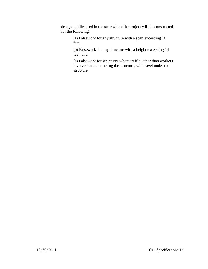design and licensed in the state where the project will be constructed for the following:

> (a) Falsework for any structure with a span exceeding 16 feet;

(b) Falsework for any structure with a height exceeding 14 feet; and

(c) Falsework for structures where traffic, other than workers involved in constructing the structure, will travel under the structure.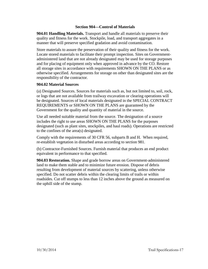# **Section 904—Control of Materials**

**904.01 Handling Materials.** Transport and handle all materials to preserve their quality and fitness for the work. Stockpile, load, and transport aggregates in a manner that will preserve specified gradation and avoid contamination.

Store materials to assure the preservation of their quality and fitness for the work. Locate stored materials to facilitate their prompt inspection. Sites on Governmentadministered land that are not already designated may be used for storage purposes and for placing of equipment only when approved in advance by the CO. Restore all storage sites in accordance with requirements SHOWN ON THE PLANS or as otherwise specified. Arrangements for storage on other than designated sites are the responsibility of the contractor.

# **904.02 Material Sources**

(a) Designated Sources. Sources for materials such as, but not limited to, soil, rock, or logs that are not available from trailway excavation or clearing operations will be designated. Sources of local materials designated in the SPECIAL CONTRACT REQUIREMENTS or SHOWN ON THE PLANS are guaranteed by the Government for the quality and quantity of material in the source.

Use all needed suitable material from the source. The designation of a source includes the right to use areas SHOWN ON THE PLANS for the purposes designated (such as plant sites, stockpiles, and haul roads). Operations are restricted to the confines of the area(s) designated.

Comply with the requirements of 30 CFR 56, subparts B and H. When required, re-establish vegetation in disturbed areas according to section 981.

(b) Contractor-Furnished Sources. Furnish material that produces an end product equivalent in performance to that specified.

**904.03 Restoration.** Shape and grade borrow areas on Government-administered land to make them stable and to minimize future erosion. Dispose of debris resulting from development of material sources by scattering, unless otherwise specified. Do not scatter debris within the clearing limits of trails or within roadsides. Cut off stumps to less than 12 inches above the ground as measured on the uphill side of the stump.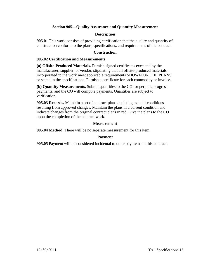# **Section 905—Quality Assurance and Quantity Measurement**

# **Description**

**905.01** This work consists of providing certification that the quality and quantity of construction conform to the plans, specifications, and requirements of the contract.

# **Construction**

# **905.02 Certification and Measurements**

**(a) Offsite-Produced Materials.** Furnish signed certificates executed by the manufacturer, supplier, or vendor, stipulating that all offsite-produced materials incorporated in the work meet applicable requirements SHOWN ON THE PLANS or stated in the specifications. Furnish a certificate for each commodity or invoice.

**(b) Quantity Measurements.** Submit quantities to the CO for periodic progress payments, and the CO will compute payments. Quantities are subject to verification.

**905.03 Records.** Maintain a set of contract plans depicting as-built conditions resulting from approved changes. Maintain the plans in a current condition and indicate changes from the original contract plans in red. Give the plans to the CO upon the completion of the contract work.

# **Measurement**

**905.04 Method.** There will be no separate measurement for this item.

# **Payment**

**905.05** Payment will be considered incidental to other pay items in this contract.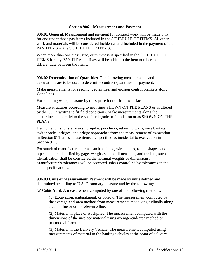#### **Section 906—Measurement and Payment**

**906.01 General.** Measurement and payment for contract work will be made only for and under those pay items included in the SCHEDULE OF ITEMS. All other work and materials will be considered incidental and included in the payment of the PAY ITEMS in the SCHEDULE OF ITEMS.

When more than one class, size, or thickness is specified in the SCHEDULE OF ITEMS for any PAY ITEM, suffixes will be added to the item number to differentiate between the items.

**906.02 Determination of Quantities.** The following measurements and calculations are to be used to determine contract quantities for payment:

Make measurements for seeding, geotextiles, and erosion control blankets along slope lines.

For retaining walls, measure by the square foot of front wall face.

Measure structures according to neat lines SHOWN ON THE PLANS or as altered by the CO in writing to fit field conditions. Make measurements along the centerline and parallel to the specified grade or foundation or as SHOWN ON THE PLANS.

Deduct lengths for stairways, turnpike, puncheon, retaining walls, wire baskets, switchbacks, bridges, and bridge approaches from the measurement of excavation in Section 911 unless these items are specified as incidental to excavation in Section 911.

For standard manufactured items, such as fence, wire, plates, rolled shapes, and pipe conduits identified by gage, weight, section dimensions, and the like, such identification shall be considered the nominal weights or dimensions. Manufacturer's tolerances will be accepted unless controlled by tolerances in the cited specifications.

**906.03 Units of Measurement.** Payment will be made by units defined and determined according to U.S. Customary measure and by the following:

(a) Cubic Yard. A measurement computed by one of the following methods:

(1) Excavation, embankment, or borrow. The measurement computed by the average-end-area method from measurements made longitudinally along a centerline or other reference line.

(2) Material in place or stockpiled. The measurement computed with the dimensions of the in-place material using average-end-area method or prismodial formula.

(3) Material in the Delivery Vehicle. The measurement computed using measurements of material in the hauling vehicles at the point of delivery.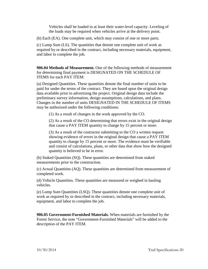Vehicles shall be loaded to at least their water-level capacity. Leveling of the loads may be required when vehicles arrive at the delivery point.

(b) Each (EA). One complete unit, which may consist of one or more parts.

(c) Lump Sum (LS). The quantities that denote one complete unit of work as required by or described in the contract, including necessary materials, equipment, and labor to complete the job.

**906.04 Methods of Measurement.** One of the following methods of measurement for determining final payment is DESIGNATED ON THE SCHEDULE OF ITEMS for each PAY ITEM:

(a) Designed Quantities. These quantities denote the final number of units to be paid for under the terms of the contract. They are based upon the original design data available prior to advertising the project. Original design data include the preliminary survey information, design assumptions, calculations, and plans. Changes in the number of units DESIGNATED IN THE SCHEDULE OF ITEMS may be authorized under the following conditions:

(1) As a result of changes in the work approved by the CO.

(2) As a result of the CO determining that errors exist in the original design that cause a PAY ITEM quantity to change by 15 percent or more.

(3) As a result of the contractor submitting to the CO a written request showing evidence of errors in the original design that cause a PAY ITEM quantity to change by 15 percent or more. The evidence must be verifiable and consist of calculations, plans, or other data that show how the designed quantity is believed to be in error.

(b) Staked Quantities (SQ). These quantities are determined from staked measurements prior to the construction.

(c) Actual Quantities (AQ). These quantities are determined from measurement of completed work.

(d) Vehicle Quantities. These quantities are measured or weighed in hauling vehicles.

(e) Lump Sum Quantities (LSQ). These quantities denote one complete unit of work as required by or described in the contract, including necessary materials, equipment, and labor to complete the job.

**906.05 Government-Furnished Materials.** When materials are furnished by the Forest Service, the note "Government-Furnished Materials" will be added to the description of the PAY ITEM.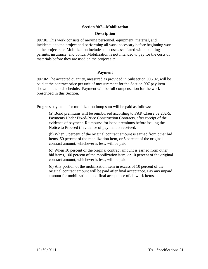# **Section 907—Mobilization**

#### **Description**

**907.01** This work consists of moving personnel, equipment, material, and incidentals to the project and performing all work necessary before beginning work at the project site. Mobilization includes the costs associated with obtaining permits, insurance, and bonds. Mobilization is not intended to pay for the costs of materials before they are used on the project site.

# **Payment**

**907.02** The accepted quantity, measured as provided in Subsection 906.02, will be paid at the contract price per unit of measurement for the Section 907 pay item shown in the bid schedule. Payment will be full compensation for the work prescribed in this Section.

Progress payments for mobilization lump sum will be paid as follows:

(a) Bond premiums will be reimbursed according to FAR Clause 52.232-5, Payments Under Fixed-Price Construction Contracts, after receipt of the evidence of payment. Reimburse for bond premiums before issuing the Notice to Proceed if evidence of payment is received.

(b) When 5 percent of the original contract amount is earned from other bid items, 50 percent of the mobilization item, or 5 percent of the original contract amount, whichever is less, will be paid.

(c) When 10 percent of the original contract amount is earned from other bid items, 100 percent of the mobilization item, or 10 percent of the original contract amount, whichever is less, will be paid.

(d) Any portion of the mobilization item in excess of 10 percent of the original contract amount will be paid after final acceptance. Pay any unpaid amount for mobilization upon final acceptance of all work items.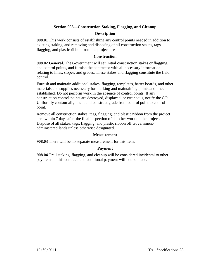# **Section 908—Construction Staking, Flagging, and Cleanup**

# **Description**

**908.01** This work consists of establishing any control points needed in addition to existing staking, and removing and disposing of all construction stakes, tags, flagging, and plastic ribbon from the project area.

# **Construction**

**908.02 General.** The Government will set initial construction stakes or flagging, and control points, and furnish the contractor with all necessary information relating to lines, slopes, and grades. These stakes and flagging constitute the field control.

Furnish and maintain additional stakes, flagging, templates, batter boards, and other materials and supplies necessary for marking and maintaining points and lines established. Do not perform work in the absence of control points. If any construction control points are destroyed, displaced, or erroneous, notify the CO. Uniformly contour alignment and construct grade from control point to control point.

Remove all construction stakes, tags, flagging, and plastic ribbon from the project area within 7 days after the final inspection of all other work on the project. Dispose of all stakes, tags, flagging, and plastic ribbon off Governmentadministered lands unless otherwise designated.

#### **Measurement**

**908.03** There will be no separate measurement for this item.

#### **Payment**

**908.04** Trail staking, flagging, and cleanup will be considered incidental to other pay items in this contract, and additional payment will not be made.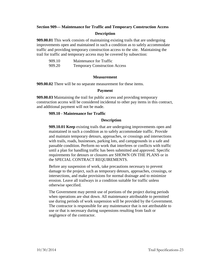# **Section 909— Maintenance for Traffic and Temporary Construction Access**

# **Description**

**909.00.01** This work consists of maintaining existing trails that are undergoing improvements open and maintained in such a condition as to safely accommodate traffic and providing temporary construction access to the site. Maintaining the trail for traffic and temporary access may be covered by subsection:

| 909.10 | Maintenance for Traffic              |
|--------|--------------------------------------|
| 909.20 | <b>Temporary Construction Access</b> |

#### **Measurement**

**909.00.02** There will be no separate measurement for these items.

#### **Payment**

**909.00.03** Maintaining the trail for public access and providing temporary construction access will be considered incidental to other pay items in this contract, and additional payment will not be made.

#### **909.10 - Maintenance for Traffic**

#### **Description**

**909.10.01 Keep** existing trails that are undergoing improvements open and maintained in such a condition as to safely accommodate traffic. Provide and maintain temporary detours, approaches, or crossings and intersections with trails, roads, businesses, parking lots, and campgrounds in a safe and passable condition. Perform no work that interferes or conflicts with traffic until a plan for handling traffic has been submitted and approved. Specific requirements for detours or closures are SHOWN ON THE PLANS or in the SPECIAL CONTRACT REQUIREMENTS.

Before any suspension of work, take precautions necessary to prevent damage to the project, such as temporary detours, approaches, crossings, or intersections, and make provisions for normal drainage and to minimize erosion. Leave all trailways in a condition suitable for traffic unless otherwise specified.

The Government may permit use of portions of the project during periods when operations are shut down. All maintenance attributable to permitted use during periods of work suspension will be provided by the Government. The contractor is responsible for any maintenance that is not attributable to use or that is necessary during suspensions resulting from fault or negligence of the contractor.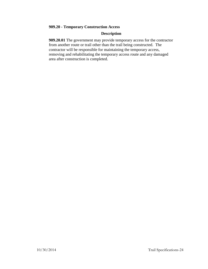# **909.20 - Temporary Construction Access**

# **Description**

**909.20.01** The government may provide temporary access for the contractor from another route or trail other than the trail being constructed. The contractor will be responsible for maintaining the temporary access, removing and rehabilitating the temporary access route and any damaged area after construction is completed.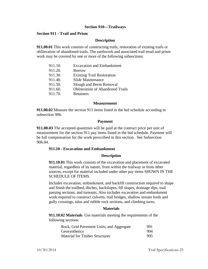#### **Section 910—Trailways**

# **Section 911 - Trail and Prism**

#### **Description**

**911.00.01** This work consists of constructing trails, restoration of existing trails or obliteration of abandoned trails. The earthwork and associated trail tread and prism work may be covered by one or more of the following subsections:

| 911.10. | <b>Excavation and Embankment</b>        |
|---------|-----------------------------------------|
| 911.20. | <b>Borrow</b>                           |
| 911.30. | <b>Existing Trail Restoration</b>       |
| 911.40. | Slide Maintenance                       |
| 911.50. | Slough and Berm Removal                 |
| 911.60. | <b>Obliteration of Abandoned Trails</b> |
| 911.70. | Retainers                               |
|         |                                         |

#### **Measurement**

**911.00.02** Measure the section 911 items listed in the bid schedule according to subsection 906.

#### **Payment**

**911.00.03** The accepted quantities will be paid at the contract price per unit of measurement for the section 911 pay items listed in the bid schedule. Payment will be full compensation for the work prescribed in this section. See Subsection 906.04.

#### **911.10 - Excavation and Embankment**

#### **Description**

**911.10.01** This work consists of the excavation and placement of excavated material, regardless of its nature, from within the trailway or from other sources, except for material included under other pay items SHOWN IN THE SCHEDULE OF ITEMS.

Includes excavation, embankment, and backfill construction required to shape and finish the trailbed, ditches, backslopes, fill slopes, drainage dips, trail passing sections, and turnouts. Also includes excavation and embankment work required to construct culverts, trail bridges, shallow stream fords and gully crossings, talus and rubble rock sections, and climbing turns.

#### **Materials**

**911.10.02 Materials**. Use materials meeting the requirements of the following sections:

| Rock, Grid Pavement Units, and Aggregate | 991 |
|------------------------------------------|-----|
| Geosynthetics                            | 994 |
| <b>Material for Timber Structures</b>    | 995 |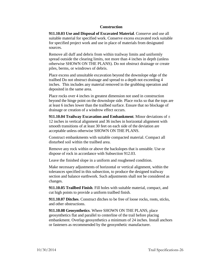# **Construction**

**911.10.03 Use and Disposal of Excavated Material**. Conserve and use all suitable material for specified work. Conserve excess excavated rock suitable for specified project work and use in place of materials from designated sources.

Remove all duff and debris from within trailway limits and uniformly spread outside the clearing limits, not more than 4 inches in depth (unless otherwise SHOWN ON THE PLANS). Do not obstruct drainage or create piles, berms, or windrows of debris.

Place excess and unsuitable excavation beyond the downslope edge of the trailbed Do not obstruct drainage and spread to a depth not exceeding 4 inches. This includes any material removed in the grubbing operation and deposited in the same area.

Place rocks over 4 inches in greatest dimension not used in construction beyond the hinge point on the downslope side. Place rocks so that the tops are at least 6 inches lower than the trailbed surface. Ensure that no blockage of drainage or creation of a windrow effect occurs.

**911.10.04 Trailway Excavation and Embankment**. Minor deviations of ± 12 inches in vertical alignment and 36 inches in horizontal alignment with smooth transitions of at least 30 feet on each side of the deviation are acceptable unless otherwise SHOWN ON THE PLANS.

Construct embankments with suitable compacted material. Compact all disturbed soil within the trailbed area.

Remove any rock within or above the backslopes that is unstable. Use or dispose of rock in accordance with Subsection 912.03.

Leave the finished slope in a uniform and roughened condition.

Make necessary adjustments of horizontal or vertical alignment, within the tolerances specified in this subsection, to produce the designed trailway section and balance earthwork. Such adjustments shall not be considered as changes.

**911.10.05 Trailbed Finish**. Fill holes with suitable material, compact, and cut high points to provide a uniform trailbed finish.

**911.10.07 Ditches**. Construct ditches to be free of loose rocks, roots, sticks, and other obstructions.

**911.10.08 Geosynthetics**. Where SHOWN ON THE PLANS, place geosynthetics flat and parallel to centerline of the trail before placing embankment. Overlap geosynthetics a minimum of 24 inches. Install anchors or fasteners as recommended by the geosynthetic manufacturer.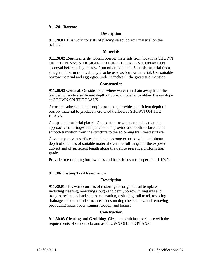#### **911.20 - Borrow**

# **Description**

**911.20.01** This work consists of placing select borrow material on the trailbed.

#### **Materials**

**911.20.02 Requirements**. Obtain borrow materials from locations SHOWN ON THE PLANS or DESIGNATED ON THE GROUND. Obtain CO's approval before using borrow from other locations. Suitable material from slough and berm removal may also be used as borrow material. Use suitable borrow material and aggregate under 2 inches in the greatest dimension.

#### **Construction**

**911.20.03 General**. On sideslopes where water can drain away from the trailbed, provide a sufficient depth of borrow material to obtain the outslope as SHOWN ON THE PLANS.

Across meadows and on turnpike sections, provide a sufficient depth of borrow material to produce a crowned trailbed as SHOWN ON THE PLANS.

Compact all material placed. Compact borrow material placed on the approaches of bridges and puncheon to provide a smooth surface and a smooth transition from the structure to the adjoining trail tread surface.

Cover any culvert surfaces that have become exposed with a minimum depth of 6 inches of suitable material over the full length of the exposed culvert and of sufficient length along the trail to present a uniform trail grade.

Provide free-draining borrow sites and backslopes no steeper than 1 1/3:1.

# **911.30-Existing Trail Restoration**

#### **Description**

**911.30.01** This work consists of restoring the original trail template, including clearing, removing slough and berm, borrow, filling ruts and troughs, reshaping backslopes, excavation, reshaping trail tread, restoring drainage and other trail structures, constructing check dams, and removing protruding rocks, roots, stumps, slough, and berms.

#### **Construction**

**911.30.03 Clearing and Grubbing**. Clear and grub in accordance with the requirements of section 912 and as SHOWN ON THE PLANS.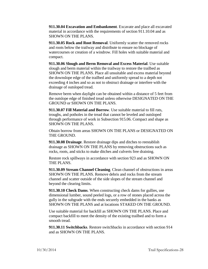**911.30.04 Excavation and Embankment**. Excavate and place all excavated material in accordance with the requirements of section 911.10.04 and as SHOWN ON THE PLANS.

**911.30.05 Rock and Root Removal**. Uniformly scatter the removed rocks and roots below the trailway and distribute to ensure no blockage of watercourses or creation of a windrow. Fill holes with suitable material and compact.

**911.30.06 Slough and Berm Removal and Excess Material**. Use suitable slough and berm material within the trailway to restore the trailbed as SHOWN ON THE PLANS. Place all unsuitable and excess material beyond the downslope edge of the trailbed and uniformly spread to a depth not exceeding 4 inches and so as not to obstruct drainage or interfere with the drainage of outsloped tread.

Remove berm when daylight can be obtained within a distance of 5 feet from the outslope edge of finished tread unless otherwise DESIGNATED ON THE GROUND or SHOWN ON THE PLANS.

**911.30.07 Fill Material and Borrow**. Use suitable material to fill ruts, troughs, and potholes in the tread that cannot be leveled and outsloped through performance of work in Subsection 915.06. Compact and shape as SHOWN ON THE PLANS.

Obtain borrow from areas SHOWN ON THE PLANS or DESIGNATED ON THE GROUND.

**911.30.08 Drainage**. Restore drainage dips and ditches to reestablish drainage as SHOWN ON THE PLANS by removing obstructions such as rocks, roots, and sticks to make ditches and culverts free draining.

Restore rock spillways in accordance with section 923 and as SHOWN ON THE PLANS.

**911.30.09 Stream Channel Cleaning**. Clean channel of obstructions in areas SHOWN ON THE PLANS. Remove debris and rocks from the stream channel and scatter outside of the side slopes of the stream channel and beyond the clearing limits.

**911.30.10 Check Dams**. When constructing check dams for gullies, use dimensional lumber, sound peeled logs, or a row of stones placed across the gully in the subgrade with the ends securely embedded in the banks as SHOWN ON THE PLANS and at locations STAKED ON THE GROUND.

Use suitable material for backfill as SHOWN ON THE PLANS. Place and compact backfill to meet the density of the existing trailbed and to form a smooth tread.

**911.30.11 Switchbacks**. Restore switchbacks in accordance with section 914 and as SHOWN ON THE PLANS.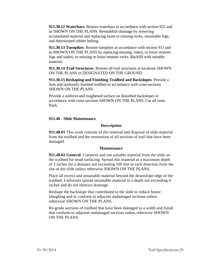**911.30.12 Waterbars**. Restore waterbars in accordance with section 922 and as SHOWN ON THE PLANS. Reestablish drainage by removing accumulated material and replacing loose or missing rocks, unsuitable logs, and deteriorated rubber belting.

**911.30.13 Turnpikes**. Restore turnpikes in accordance with section 913 and as SHOWN ON THE PLANS by replacing missing, rotten, or loose retainer logs and stakes, or missing or loose retainer rocks. Backfill with suitable material.

**911.30.14 Trail Structures**. Restore all trail structures at locations SHOWN ON THE PLANS or DESIGNATED ON THE GROUND.

**911.30.15 Reshaping and Finishing Trailbed and Backslopes**. Provide a firm and uniformly finished trailbed in accordance with cross-sections SHOWN ON THE PLANS.

Provide a uniform and roughened surface on disturbed backslopes in accordance with cross-sections SHOWN ON THE PLANS. Cut all roots flush.

# **911.40 - Slide Maintenance**

# **Description**

**911.40.01** This work consists of the removal and disposal of slide material from the trailbed and the restoration of all sections of trail that have been damaged.

# **Maintenance**

**911.40.02 General**. Conserve and use suitable material from the slide on the trailbed for tread surfacing. Spread this material at a maximum depth of 3 inches for a distance not exceeding 100 feet in each direction from the site of the slide unless otherwise SHOWN ON THE PLANS.

Place all excess and unsuitable material beyond the downslope edge of the trailbed. Uniformly spread unsuitable material to a depth not exceeding 4 inches and do not obstruct drainage.

Reshape the backslope that contributed to the slide to reduce future sloughing and to conform to adjacent undamaged sections unless otherwise SHOWN ON THE PLANS.

Re-grade sections of trailbed that have been damaged to a width and finish that conform to adjacent undamaged sections unless otherwise SHOWN ON THE PLANS.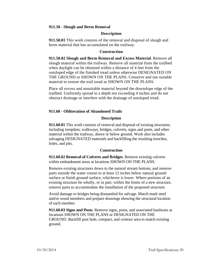# **911.50 - Slough and Berm Removal**

# **Description**

**911.50.01** This work consists of the removal and disposal of slough and berm material that has accumulated on the trailway.

# **Construction**

**911.50.02 Slough and Berm Removal and Excess Material**. Remove all slough material within the trailway. Remove all material from the trailbed when daylight can be obtained within a distance of 4 feet from the outsloped edge of the finished tread unless otherwise DESIGNATED ON THE GROUND or SHOWN ON THE PLANS. Conserve and use suitable material to restore the trail tread as SHOWN ON THE PLANS.

Place all excess and unsuitable material beyond the downslope edge of the trailbed. Uniformly spread to a depth not exceeding 4 inches and do not obstruct drainage or interfere with the drainage of outsloped tread.

# **911.60 - Obliteration of Abandoned Trails**

# **Description**

**911.60.01** This work consists of removal and disposal of existing structures, including turnpikes, walkways, bridges, culverts, signs and posts, and other material within the trailway, above or below ground. Work also includes salvaging DESIGNATED materials and backfilling the resulting trenches, holes, and pits.

# **Construction**

**911.60.02 Removal of Culverts and Bridges**. Remove existing culverts within embankment areas at locations SHOWN ON THE PLANS.

Remove existing structures down to the natural stream bottom, and remove parts outside the water course to at least 12 inches below natural ground surface or finish ground surface, whichever is lower. Where portions of an existing structure lie wholly, or in part, within the limits of a new structure, remove parts to accommodate the installation of the proposed structure.

Avoid damage to bridges being dismantled for salvage. Match mark steel and/or wood members and prepare drawings showing the structural location of each member.

**911.60.03 Signs and Posts**. Remove signs, posts, and associated hardware at locations SHOWN ON THE PLANS or DESIGNATED ON THE GROUND. Backfill post hole, compact, and contour area to match existing ground.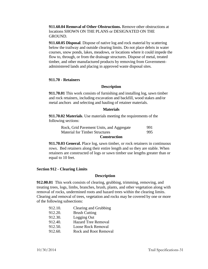**911.60.04 Removal of Other Obstructions.** Remove other obstructions at locations SHOWN ON THE PLANS or DESIGNATED ON THE GROUND.

**911.60.05 Disposal**. Dispose of native log and rock material by scattering below the trailway and outside clearing limits. Do not place debris in water courses, snow ponds, lakes, meadows, or locations where it could impede the flow to, through, or from the drainage structures. Dispose of metal, treated timber, and other manufactured products by removing from Governmentadministered lands and placing in approved waste disposal sites.

#### **911.70 - Retainers**

#### **Description**

**911.70.01** This work consists of furnishing and installing log, sawn timber and rock retainers, including excavation and backfill, wood stakes and/or metal anchors and selecting and hauling of retainer materials.

#### **Materials**

**911.70.02 Materials**. Use materials meeting the requirements of the following sections:

| Rock, Grid Pavement Units, and Aggregate | 991 |
|------------------------------------------|-----|
| <b>Material for Timber Structures</b>    | 995 |

#### **Construction**

**911.70.03 General.** Place log, sawn timber, or rock retainers in continuous rows. Bed retainers along their entire length and so they are stable. When retainers are constructed of logs or sawn timber use lengths greater than or equal to 10 feet.

#### **Section 912 - Clearing Limits**

#### **Description**

**912.00.01** This work consists of clearing, grubbing, trimming, removing, and treating trees, logs, limbs, branches, brush, plants, and other vegetation along with removal of rocks, undermined roots and hazard trees within the clearing limits. Clearing and removal of trees, vegetation and rocks may be covered by one or more of the following subsections:

| 912.10. | Clearing and Grubbing        |
|---------|------------------------------|
| 912.20. | <b>Brush Cutting</b>         |
| 912.30. | Logging Out                  |
| 912.40. | <b>Hazard Tree Removal</b>   |
| 912.50. | <b>Loose Rock Removal</b>    |
| 912.60. | <b>Rock and Root Removal</b> |
|         |                              |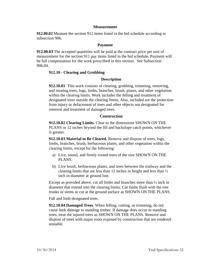#### **Measurement**

**912.00.02** Measure the section 912 items listed in the bid schedule according to subsection 906.

# **Payment**

**912.00.03** The accepted quantities will be paid at the contract price per unit of measurement for the section 911 pay items listed in the bid schedule. Payment will be full compensation for the work prescribed in this section. See Subsection 906.04.

# **912.10 - Clearing and Grubbing**

# **Description**

**912.10.01** This work consists of clearing, grubbing, trimming, removing, and treating trees, logs, limbs, branches, brush, plants, and other vegetation within the clearing limits. Work includes the felling and treatment of designated trees outside the clearing limits. Also, included are the protection from injury or defacement of trees and other objects not designated for removal and treatment of damaged trees.

#### **Construction**

**912.10.02 Clearing Limits**. Clear to the dimensions SHOWN ON THE PLANS or 12 inches beyond the fill and backslope catch points, whichever is greater.

**912.10.03 Material to Be Cleared.** Remove and dispose of trees, logs, limbs, branches, brush, herbaceous plants, and other vegetation within the clearing limits, except for the following:

- a) Live, sound, and firmly rooted trees of the size SHOWN ON THE PLANS.
- b) Live brush, herbaceous plants, and trees between the trailway and the clearing limits that are less than 12 inches in height and less than ½ inch in diameter at ground line.

Except as provided above, cut all limbs and branches more than ½ inch in diameter that extend into the clearing limits. Cut limbs flush with the tree trunks or stems or cut at the ground surface as SHOWN ON THE PLANS.

Fall and limb designated trees.

**912.10.04 Damaged Trees**. When felling, cutting, or trimming, do not cause bark damage to standing timber. If damage does occur to standing trees, treat the injured trees as SHOWN ON THE PLANS. Remove and dispose of trees with major roots exposed by construction that are rendered unstable.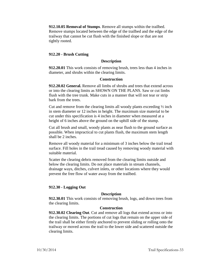**912.10.05 Removal of Stumps**. Remove all stumps within the trailbed. Remove stumps located between the edge of the trailbed and the edge of the trailway that cannot be cut flush with the finished slope or that are not tightly rooted.

# **912.20 - Brush Cutting**

# **Description**

**912.20.01** This work consists of removing brush, trees less than 4 inches in diameter, and shrubs within the clearing limits.

#### **Construction**

**912.20.02 General.** Remove all limbs of shrubs and trees that extend across or into the clearing limits as SHOWN ON THE PLANS. Saw or cut limbs flush with the tree trunk. Make cuts in a manner that will not tear or strip bark from the trees.

Cut and remove from the clearing limits all woody plants exceeding  $\frac{1}{2}$  inch in stem diameter or 12 inches in height. The maximum size material to be cut under this specification is 4 inches in diameter when measured at a height of 6 inches above the ground on the uphill side of the stump.

Cut all brush and small, woody plants as near flush to the ground surface as possible. When impractical to cut plants flush, the maximum stem length shall be 2 inches.

Remove all woody material for a minimum of 3 inches below the trail tread surface. Fill holes in the trail tread caused by removing woody material with suitable material.

Scatter the clearing debris removed from the clearing limits outside and below the clearing limits. Do not place materials in stream channels, drainage ways, ditches, culvert inlets, or other locations where they would prevent the free flow of water away from the trailbed.

# **912.30 - Logging Out**

# **Description**

**912.30.01** This work consists of removing brush, logs, and down trees from the clearing limits.

#### **Construction**

**912.30.02 Clearing Out**. Cut and remove all logs that extend across or into the clearing limits. The portions of cut logs that remain on the upper side of the trail shall be either firmly anchored to prevent sliding or rolling onto the trailway or moved across the trail to the lower side and scattered outside the clearing limits.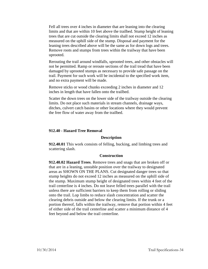Fell all trees over 4 inches in diameter that are leaning into the clearing limits and that are within 10 feet above the trailbed. Stump height of leaning trees that are cut outside the clearing limits shall not exceed 12 inches as measured on the uphill side of the stump. Disposal and payment for the leaning trees described above will be the same as for down logs and trees. Remove roots and stumps from trees within the trailway that have been uprooted.

Rerouting the trail around windfalls, uprooted trees, and other obstacles will not be permitted. Ramp or reroute sections of the trail tread that have been damaged by uprooted stumps as necessary to provide safe passage on the trail. Payment for such work will be incidental to the specified work item, and no extra payment will be made.

Remove sticks or wood chunks exceeding 2 inches in diameter and 12 inches in length that have fallen onto the trailbed.

Scatter the down trees on the lower side of the trailway outside the clearing limits. Do not place such materials in stream channels, drainage ways, ditches, culvert catch basins or other locations where they would prevent the free flow of water away from the trailbed.

# **912.40 - Hazard Tree Removal**

#### **Description**

**912.40.01** This work consists of felling, bucking, and limbing trees and scattering slash.

#### **Construction**

**912.40.02 Hazard Trees**. Remove trees and snags that are broken off or that are in a leaning, unstable position over the trailway to designated areas as SHOWN ON THE PLANS. Cut designated danger trees so that stump heights do not exceed 12 inches as measured on the uphill side of the stump. Maximum stump height of designated trees within 4 feet of the trail centerline is 4 inches. Do not leave felled trees parallel with the trail unless there are sufficient barriers to keep them from rolling or sliding onto the trail. Lop limbs to reduce slash concentration and scatter the clearing debris outside and below the clearing limits. If the trunk or a portion thereof, falls within the trailway, remove that portion within 4 feet of either side of the trail centerline and scatter a minimum distance of 4 feet beyond and below the trail centerline.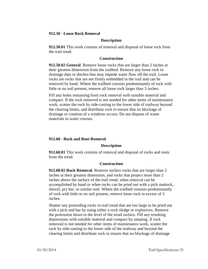#### **912.50 - Loose Rock Removal**

#### **Description**

**912.50.01** This work consists of removal and disposal of loose rock from the trail tread.

#### **Construction**

**912.50.02 General**. Remove loose rocks that are larger than 2 inches at their greatest dimension from the trailbed. Remove any loose rock in drainage dips or ditches that may impede water flow off the trail. Loose rocks are rocks that are not firmly embedded in the trail and can be removed by hand. Where the trailbed consists predominantly of rock with little or no soil present, remove all loose rock larger than 3 inches.

Fill any holes remaining from rock removal with suitable material and compact. If the rock removed is not needed for other items of maintenance work, scatter the rock by side-casting to the lower side of trailway beyond the clearing limits, and distribute rock to ensure that no blockage of drainage or creation of a windrow occurs. Do not dispose of waste materials in water courses.

#### **912.60 - Rock and Root Removal**

#### **Description**

**912.60.01** This work consists of removal and disposal of rocks and roots from the tread.

#### **Construction**

**912.60.02 Rock Removal**. Remove surface rocks that are larger than 2 inches at their greatest dimension, and rocks that project more than 2 inches above the surface of the trail tread, when removal can be accomplished by hand or when rocks can be pried out with a pick mattock, shovel, pry bar, or similar tool. Where the trailbed consists predominantly of rock with little or no soil present, remove loose rock in excess of 3 inches.

Shatter any protruding rocks in trail tread that are too large to be pried out with a pick and bar by using either a rock sledge or explosives. Remove the protrusion down to the level of the tread surface. Fill any resulting depressions with suitable material and compact by tamping. If rock removed is not needed for other items of maintenance work, scatter the rock by side-casting to the lower side of the trailway and beyond the clearing limits and distribute rock to ensure that no blockage of drainage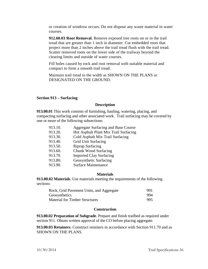or creation of windrow occurs. Do not dispose any waste material in water courses.

**912.60.03 Root Removal.** Remove exposed tree roots on or in the trail tread that are greater than 1 inch in diameter. Cut embedded roots that project more than 2 inches above the trail tread flush with the trail tread. Scatter removed roots on the lower side of the trailway beyond the clearing limits and outside of water courses.

Fill holes caused by rock and root removal with suitable material and compact to form a smooth trail tread.

Maintain trail tread to the width as SHOWN ON THE PLANS or DESIGNATED ON THE GROUND.

## **Section 913 – Surfacing**

## **Description**

**913.00.01** This work consists of furnishing, hauling, watering, placing, and compacting surfacing and other associated work. Trail surfacing may be covered by one or more of the following subsections:

| Aggregate Surfacing and Base Course   |
|---------------------------------------|
| Hot Asphalt Plant Mix Trail Surfacing |
| Cold Asphalt Mix Trail Surfacing      |
| Grid Unit Surfacing                   |
| <b>Riprap Surfacing</b>               |
| Chunk Wood Surfacing                  |
| <b>Imported Clay Surfacing</b>        |
| Geosynthetic Surfacing                |
| <b>Surface Maintenance</b>            |
|                                       |

# **Materials**

**913.00.02 Materials**. Use materials meeting the requirements of the following sections:

| Rock, Grid Pavement Units, and Aggregate | 991 |
|------------------------------------------|-----|
| Geosynthetics                            | 994 |
| <b>Material for Timber Structures</b>    | 995 |

## **Construction**

**913.00.02 Preparation of Subgrade**. Prepare and finish trailbed as required under section 911. Obtain written approval of the CO before placing aggregate.

**913.00.03 Retainers**. Construct retainers in accordance with Section 911.70 and as SHOWN ON THE PLANS.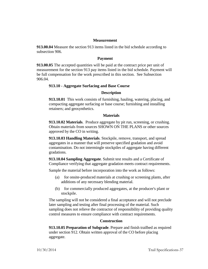#### **Measurement**

**913.00.04** Measure the section 913 items listed in the bid schedule according to subsection 906.

#### **Payment**

**913.00.05** The accepted quantities will be paid at the contract price per unit of measurement for the section 913 pay items listed in the bid schedule. Payment will be full compensation for the work prescribed in this section. See Subsection 906.04.

#### **913.10 - Aggregate Surfacing and Base Course**

#### **Description**

**913.10.01** This work consists of furnishing, hauling, watering, placing, and compacting aggregate surfacing or base course; furnishing and installing retainers; and geosynthetics.

#### **Materials**

**913.10.02 Materials**. Produce aggregate by pit run, screening, or crushing. Obtain materials from sources SHOWN ON THE PLANS or other sources approved by the CO in writing.

**913.10.03 Handling Materials**. Stockpile, remove, transport, and spread aggregates in a manner that will preserve specified gradation and avoid contamination. Do not intermingle stockpiles of aggregate having different gradations.

**913.10.04 Sampling Aggregate**. Submit test results and a Certificate of Compliance verifying that aggregate gradation meets contract requirements.

Sample the material before incorporation into the work as follows:

- (a) for onsite-produced materials at crushing or screening plants, after additions of any necessary blending material.
- (b) for commercially produced aggregates, at the producer's plant or stockpile.

The sampling will not be considered a final acceptance and will not preclude later sampling and testing after final processing of the material. Such sampling does not relieve the contractor of responsibility of providing quality control measures to ensure compliance with contract requirements.

#### **Construction**

**913.10.05 Preparation of Subgrade**. Prepare and finish trailbed as required under section 912. Obtain written approval of the CO before placing aggregate.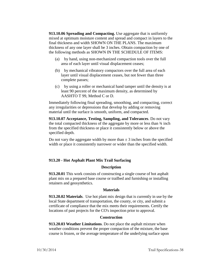**913.10.06 Spreading and Compacting.** Use aggregate that is uniformly mixed at optimum moisture content and spread and compact in layers to the final thickness and width SHOWN ON THE PLANS. The maximum thickness of any one layer shall be 3 inches. Obtain compaction by one of the following methods as SHOWN IN THE SCHEDULE OF ITEMS:

- (a) by hand, using non-mechanized compaction tools over the full area of each layer until visual displacement ceases;
- (b) by mechanical vibratory compactors over the full area of each layer until visual displacement ceases, but not fewer than three complete passes;
- (c) by using a roller or mechanical hand tamper until the density is at least 90 percent of the maximum density, as determined by AASHTO T 99, Method C or D.

Immediately following final spreading, smoothing, and compacting, correct any irregularities or depressions that develop by adding or removing material until the surface is smooth, uniform, and compacted.

**913.10.07 Acceptance, Testing, Sampling, and Tolerances**. Do not vary the total compacted thickness of the aggregate by more or less than ¾ inch from the specified thickness or place it consistently below or above the specified depth.

Do not vary the aggregate width by more than  $\pm$  3 inches from the specified width or place it consistently narrower or wider than the specified width.

# **913.20 - Hot Asphalt Plant Mix Trail Surfacing**

## **Description**

**913.20.01** This work consists of constructing a single course of hot asphalt plant mix on a prepared base course or trailbed and furnishing or installing retainers and geosynthetics.

## **Materials**

**913.20.02 Materials**. Use hot plant mix design that is currently in use by the local State department of transportation, the county, or city, and submit a certificate of compliance that the mix meets their requirements. Certify the locations of past projects for the CO's inspection prior to approval.

## **Construction**

**913.20.03 Weather Limitations**. Do not place the asphalt mixture when weather conditions prevent the proper compaction of the mixture, the base course is frozen, or the average temperature of the underlying surface upon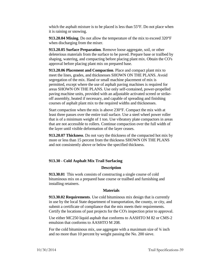which the asphalt mixture is to be placed is less than 55°F. Do not place when it is raining or snowing.

**913.20.04 Mixing**. Do not allow the temperature of the mix to exceed 320°F when discharging from the mixer.

**913.20.05 Surface Preparation**. Remove loose aggregate, soil, or other deleterious materials from the surface to be paved. Prepare base or trailbed by shaping, watering, and compacting before placing plant mix. Obtain the CO's approval before placing plant mix on prepared base.

**913.20.06 Placement and Compaction**. Place and compact plant mix to meet the lines, grades, and thicknesses SHOWN ON THE PLANS. Avoid segregation of the mix. Hand or small machine placement of mix is permitted, except where the use of asphalt paving machines is required for areas SHOWN ON THE PLANS. Use only self-contained, power-propelled paving machine units, provided with an adjustable activated screed or strikeoff assembly, heated if necessary, and capable of spreading and finishing courses of asphalt plant mix to the required widths and thicknesses.

Start compaction when the mix is above 230°F. Compact the mix with at least three passes over the entire trail surface. Use a steel wheel power roller that is of a minimum weight of 1 ton. Use vibratory plate compactors in areas that are not accessible to rollers. Continue compaction over the full width of the layer until visible deformation of the layer ceases.

**913.20.07 Thickness**. Do not vary the thickness of the compacted hot mix by more or less than 15 percent from the thickness SHOWN ON THE PLANS and not consistently above or below the specified thickness.

## **913.30 - Cold Asphalt Mix Trail Surfacing**

## **Description**

**913.30.01** This work consists of constructing a single course of cold bituminous mix on a prepared base course or trailbed and furnishing and installing retainers.

## **Materials**

**913.30.02 Requirements**. Use cold bituminous mix design that is currently in use by the local State department of transportation, the county, or city, and submit a certificate of compliance that the mix meets their requirements. Certify the locations of past projects for the CO's inspection prior to approval.

Use either MC250 liquid asphalt that conforms to AASHTO M 82 or CMS-2 emulsion that conforms to AASHTO M 208.

For the cold bituminous mix, use aggregate with a maximum size of  $\frac{3}{4}$  inch and no more than 10 percent by weight passing the No. 200 sieve.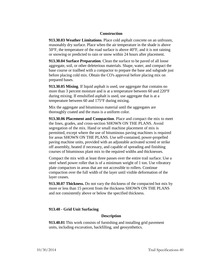## **Construction**

**913.30.03 Weather Limitations**. Place cold asphalt concrete on an unfrozen, reasonably dry surface. Place when the air temperature in the shade is above 50°F, the temperature of the road surface is above 40°F, and it is not raining or snowing or predicted to rain or snow within 24 hours after placement.

**913.30.04 Surface Preparation**. Clean the surface to be paved of all loose aggregate, soil, or other deleterious materials. Shape, water, and compact the base course or trailbed with a compactor to prepare the base and subgrade just before placing cold mix. Obtain the CO's approval before placing mix on prepared bases.

**913.30.05 Mixing**. If liquid asphalt is used, use aggregate that contains no more than 3 percent moisture and is at a temperature between 60 and 220°F during mixing. If emulsified asphalt is used, use aggregate that is at a temperature between 60 and 175°F during mixing.

Mix the aggregate and bituminous material until the aggregates are thoroughly coated and the mass is a uniform color.

**913.30.06 Placement and Compaction**. Place and compact the mix to meet the lines, grades, and cross-section SHOWN ON THE PLANS. Avoid segregation of the mix. Hand or small machine placement of mix is permitted, except where the use of bituminous paving machines is required for areas SHOWN ON THE PLANS. Use self-contained, power-propelled paving machine units, provided with an adjustable activated screed or strike off assembly, heated if necessary, and capable of spreading and finishing courses of bituminous plant mix to the required widths and thicknesses.

Compact the mix with at least three passes over the entire trail surface. Use a steel wheel power roller that is of a minimum weight of 1 ton. Use vibratory plate compactors in areas that are not accessible to rollers. Continue compaction over the full width of the layer until visible deformation of the layer ceases.

**913.30.07 Thickness.** Do not vary the thickness of the compacted hot mix by more or less than 15 percent from the thickness SHOWN ON THE PLANS and not consistently above or below the specified thickness.

## **913.40 - Grid Unit Surfacing**

#### **Description**

**913.40.01** This work consists of furnishing and installing grid pavement units, including excavation, backfilling, and geosynthetics.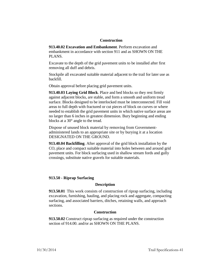## **Construction**

**913.40.02 Excavation and Embankment**. Perform excavation and embankment in accordance with section 911 and as SHOWN ON THE PLANS.

Excavate to the depth of the grid pavement units to be installed after first removing all duff and debris.

Stockpile all excavated suitable material adjacent to the trail for later use as backfill.

Obtain approval before placing grid pavement units.

**913.40.03 Laying Grid Block**. Place and bed blocks so they rest firmly against adjacent blocks, are stable, and form a smooth and uniform tread surface. Blocks designed to be interlocked must be interconnected. Fill void areas to full depth with fractured or cut pieces of block on curves or where needed to establish the grid pavement units in which native surface areas are no larger than 6 inches in greatest dimension. Bury beginning and ending blocks at a 30° angle to the tread.

Dispose of unused block material by removing from Governmentadministered lands to an appropriate site or by burying it at a location DESIGNATED ON THE GROUND.

**913.40.04 Backfilling**. After approval of the grid block installation by the CO, place and compact suitable material into holes between and around grid pavement units. For block surfacing used in shallow stream fords and gully crossings, substitute native gravels for suitable materials.

## **913.50 - Riprap Surfacing**

## **Description**

**913.50.01** This work consists of construction of riprap surfacing, including excavation, furnishing, hauling, and placing rock and aggregate, compacting surfacing, and associated barriers, ditches, retaining walls, and approach sections.

## **Construction**

**913.50.02** Construct riprap surfacing as required under the construction section of 914.00, and/or as SHOWN ON THE PLANS.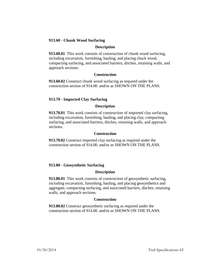# **913.60 - Chunk Wood Surfacing**

## **Description**

**913.60.01** This work consists of construction of chunk wood surfacing, including excavation, furnishing, hauling, and placing chuck wood, compacting surfacing, and associated barriers, ditches, retaining walls, and approach sections.

### **Construction**

**913.60.02** Construct chunk wood surfacing as required under the construction section of 914.00. and/or as SHOWN ON THE PLANS.

## **913.70 - Imported Clay Surfacing**

## **Description**

**913.70.01** This work consists of construction of imported clay surfacing, including excavation, furnishing, hauling, and placing clay, compacting surfacing, and associated barriers, ditches, retaining walls, and approach sections.

### **Construction**

**913.70.02** Construct imported clay surfacing as required under the construction section of 914.00. and/or as SHOWN ON THE PLANS.

## **913.80 - Geosynthetic Surfacing**

#### **Description**

**913.80.01** This work consists of construction of geosynthetic surfacing, including excavation, furnishing, hauling, and placing geosynthetics and aggregate, compacting surfacing, and associated barriers, ditches, retaining walls, and approach sections.

## **Construction**

**913.80.02** Construct geosynthetic surfacing as required under the construction section of 914.00. and/or as SHOWN ON THE PLANS.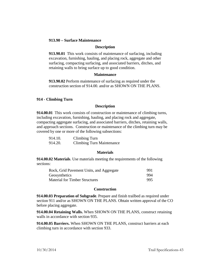## **913.90 – Surface Maintenance**

#### **Description**

**913.90.01** This work consists of maintenance of surfacing, including excavation, furnishing, hauling, and placing rock, aggregate and other surfacing, compacting surfacing, and associated barriers, ditches, and retaining walls to bring surface up to good condition.

#### **Maintenance**

**913.90.02** Perform maintenance of surfacing as required under the construction section of 914.00. and/or as SHOWN ON THE PLANS.

### **914 - Climbing Turn**

### **Description**

**914.00.01** This work consists of construction or maintenance of climbing turns, including excavation, furnishing, hauling, and placing rock and aggregate, compacting aggregate surfacing, and associated barriers, ditches, retaining walls, and approach sections. Construction or maintenance of the climbing turn may be covered by one or more of the following subsections:

| 914.10. | Climbing Turn                    |
|---------|----------------------------------|
| 914.20. | <b>Climbing Turn Maintenance</b> |

#### **Materials**

**914.00.02 Materials**. Use materials meeting the requirements of the following sections:

| Rock, Grid Pavement Units, and Aggregate | 991 |
|------------------------------------------|-----|
| Geosynthetics                            | 994 |
| <b>Material for Timber Structures</b>    | 995 |

#### **Construction**

**914.00.03 Preparation of Subgrade**. Prepare and finish trailbed as required under section 911 and/or as SHOWN ON THE PLANS. Obtain written approval of the CO before placing aggregate.

**914.00.04 Retaining Walls.** When SHOWN ON THE PLANS, construct retaining walls in accordance with section 935.

**914.00.05 Barriers.** When SHOWN ON THE PLANS, construct barriers at each climbing turn in accordance with section 933.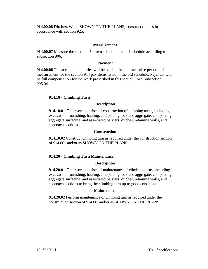**914.00.06 Ditches.** When SHOWN ON THE PLANS, construct ditches in accordance with section 925.

# **Measurement**

**914.00.07** Measure the section 914 items listed in the bid schedule according to subsection 906.

## **Payment**

**914.00.08** The accepted quantities will be paid at the contract price per unit of measurement for the section 914 pay items listed in the bid schedule. Payment will be full compensation for the work prescribed in this section. See Subsection 906.04.

## **914.10 - Climbing Turn**

### **Description**

**914.10.01** This work consists of construction of climbing turns, including excavation, furnishing, hauling, and placing rock and aggregate, compacting aggregate surfacing, and associated barriers, ditches, retaining walls, and approach sections.

### **Construction**

**914.10.02** Construct climbing turn as required under the construction section of 914.00. and/or as SHOWN ON THE PLANS.

## **914.20 - Climbing Turn Maintenance**

## **Description**

**914.20.01** This work consists of maintenance of climbing turns, including excavation, furnishing, hauling, and placing rock and aggregate, compacting aggregate surfacing, and associated barriers, ditches, retaining walls, and approach sections to bring the climbing turn up to good condition.

## **Maintenance**

**914.20.02** Perform maintenance of climbing turn as required under the construction section of 914.00. and/or as SHOWN ON THE PLANS.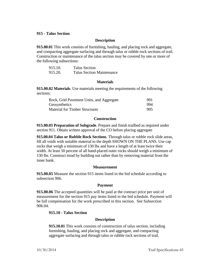### **915 - Talus Section**

### **Description**

**915.00.01** This work consists of furnishing, hauling, and placing rock and aggregate, and compacting aggregate surfacing and through talus or rubble rock sections of trail. Construction or maintenance of the talus section may be covered by one or more of the following subsections:

| 915.10. | <b>Talus Section</b>             |
|---------|----------------------------------|
| 915.20. | <b>Talus Section Maintenance</b> |

#### **Materials**

**915.00.02 Materials**. Use materials meeting the requirements of the following sections:

| Rock, Grid Pavement Units, and Aggregate | 991 |
|------------------------------------------|-----|
| Geosynthetics                            | 994 |
| <b>Material for Timber Structures</b>    | 995 |

#### **Construction**

**915.00.03 Preparation of Subgrade**. Prepare and finish trailbed as required under section 911. Obtain written approval of the CO before placing aggregate

**915.00.04 Talus or Rubble Rock Sections**. Through talus or rubble rock slide areas, fill all voids with suitable material to the depth SHOWN ON THE PLANS. Use cap rocks that weigh a minimum of 130 lbs and have a length of at least twice their width. At least 50 percent of all hand-placed outer rocks should weigh a minimum of 130 lbs. Construct tread by building out rather than by removing material from the inner bank.

#### **Measurement**

**915.00.05** Measure the section 915 items listed in the bid schedule according to subsection 906.

#### **Payment**

**915.00.06** The accepted quantities will be paid at the contract price per unit of measurement for the section 915 pay items listed in the bid schedule. Payment will be full compensation for the work prescribed in this section. See Subsection 906.04.

#### **915.10 - Talus Section**

#### **Description**

**915.10.01** This work consists of construction of talus section, including furnishing, hauling, and placing rock and aggregate, and compacting aggregate surfacing and through talus or rubble rock sections of trail.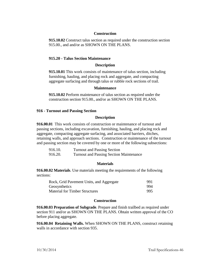# **Construction**

**915.10.02** Construct talus section as required under the construction section 915.00., and and/or as SHOWN ON THE PLANS.

# **915.20 - Talus Section Maintenance**

## **Description**

**915.10.01** This work consists of maintenance of talus section, including furnishing, hauling, and placing rock and aggregate, and compacting aggregate surfacing and through talus or rubble rock sections of trail.

## **Maintenance**

**915.10.02** Perform maintenance of talus section as required under the construction section 915.00., and/or as SHOWN ON THE PLANS.

## **916 - Turnout and Passing Section**

## **Description**

**916.00.01** This work consists of construction or maintenance of turnout and passing sections, including excavation, furnishing, hauling, and placing rock and aggregate, compacting aggregate surfacing, and associated barriers, ditches, retaining walls, and approach sections. Construction or maintenance of the turnout and passing section may be covered by one or more of the following subsections:

| 916.10. | <b>Turnout and Passing Section</b>             |
|---------|------------------------------------------------|
| 916.20. | <b>Turnout and Passing Section Maintenance</b> |

# **Materials**

**916.00.02 Materials**. Use materials meeting the requirements of the following sections:

| Rock, Grid Pavement Units, and Aggregate | 991 |
|------------------------------------------|-----|
| Geosynthetics                            | 994 |
| <b>Material for Timber Structures</b>    | 995 |

## **Construction**

**916.00.03 Preparation of Subgrade**. Prepare and finish trailbed as required under section 911 and/or as SHOWN ON THE PLANS. Obtain written approval of the CO before placing aggregate.

**916.00.04 Retaining Walls.** When SHOWN ON THE PLANS, construct retaining walls in accordance with section 935.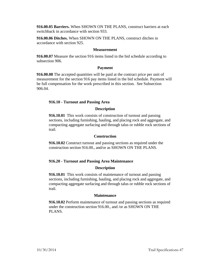**916.00.05 Barriers.** When SHOWN ON THE PLANS, construct barriers at each switchback in accordance with section 933.

**916.00.06 Ditches.** When SHOWN ON THE PLANS, construct ditches in accordance with section 925.

# **Measurement**

**916.00.07** Measure the section 916 items listed in the bid schedule according to subsection 906.

# **Payment**

**916.00.08** The accepted quantities will be paid at the contract price per unit of measurement for the section 916 pay items listed in the bid schedule. Payment will be full compensation for the work prescribed in this section. See Subsection 906.04.

# **916.10 - Turnout and Passing Area**

# **Description**

**916.10.01** This work consists of construction of turnout and passing sections, including furnishing, hauling, and placing rock and aggregate, and compacting aggregate surfacing and through talus or rubble rock sections of trail.

## **Construction**

**916.10.02** Construct turnout and passing sections as required under the construction section 916.00., and/or as SHOWN ON THE PLANS.

# **916.20 - Turnout and Passing Area Maintenance**

# **Description**

**916.10.01** This work consists of maintenance of turnout and passing sections, including furnishing, hauling, and placing rock and aggregate, and compacting aggregate surfacing and through talus or rubble rock sections of trail.

# **Maintenance**

**916.10.02** Perform maintenance of turnout and passing sections as required under the construction section 916.00., and /or as SHOWN ON THE PLANS.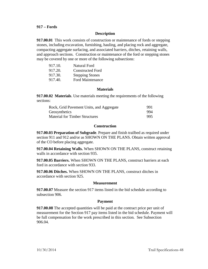## **917 – Fords**

## **Description**

**917.00.01** This work consists of construction or maintenance of fords or stepping stones, including excavation, furnishing, hauling, and placing rock and aggregate, compacting aggregate surfacing, and associated barriers, ditches, retaining walls, and approach sections. Construction or maintenance of the ford or stepping stones may be covered by one or more of the following subsections:

| 917.10. | Natural Ford            |
|---------|-------------------------|
| 917.20. | <b>Constructed Ford</b> |
| 917.30. | <b>Stepping Stones</b>  |
| 917.40. | <b>Ford Maintenance</b> |

#### **Materials**

**917.00.02 Materials**. Use materials meeting the requirements of the following sections:

| Rock, Grid Pavement Units, and Aggregate | 991 |
|------------------------------------------|-----|
| Geosynthetics                            | 994 |
| <b>Material for Timber Structures</b>    | 995 |

### **Construction**

**917.00.03 Preparation of Subgrade**. Prepare and finish trailbed as required under section 911 and 912 and/or as SHOWN ON THE PLANS. Obtain written approval of the CO before placing aggregate.

**917.00.04 Retaining Walls.** When SHOWN ON THE PLANS, construct retaining walls in accordance with section 935.

**917.00.05 Barriers.** When SHOWN ON THE PLANS, construct barriers at each ford in accordance with section 933.

**917.00.06 Ditches.** When SHOWN ON THE PLANS, construct ditches in accordance with section 925.

#### **Measurement**

**917.00.07** Measure the section 917 items listed in the bid schedule according to subsection 906.

## **Payment**

**917.00.08** The accepted quantities will be paid at the contract price per unit of measurement for the Section 917 pay items listed in the bid schedule. Payment will be full compensation for the work prescribed in this section. See Subsection 906.04.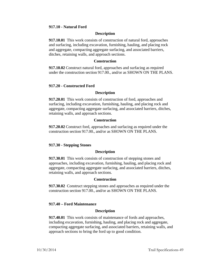## **917.10 - Natural Ford**

### **Description**

**917.10.01** This work consists of construction of natural ford, approaches and surfacing, including excavation, furnishing, hauling, and placing rock and aggregate, compacting aggregate surfacing, and associated barriers, ditches, retaining walls, and approach sections.

### **Construction**

**917.10.02** Construct natural ford, approaches and surfacing as required under the construction section 917.00., and/or as SHOWN ON THE PLANS.

### **917.20 - Constructed Ford**

#### **Description**

**917.20.01** This work consists of construction of ford, approaches and surfacing, including excavation, furnishing, hauling, and placing rock and aggregate, compacting aggregate surfacing, and associated barriers, ditches, retaining walls, and approach sections.

### **Construction**

**917.20.02** Construct ford, approaches and surfacing as required under the construction section 917.00., and/or as SHOWN ON THE PLANS.

#### **917.30 - Stepping Stones**

#### **Description**

**917.30.01** This work consists of construction of stepping stones and approaches, including excavation, furnishing, hauling, and placing rock and aggregate, compacting aggregate surfacing, and associated barriers, ditches, retaining walls, and approach sections.

#### **Construction**

**917.30.02** Construct stepping stones and approaches as required under the construction section 917.00., and/or as SHOWN ON THE PLANS.

## **917.40 – Ford Maintenance**

### **Description**

**917.40.01** This work consists of maintenance of fords and approaches, including excavation, furnishing, hauling, and placing rock and aggregate, compacting aggregate surfacing, and associated barriers, retaining walls, and approach sections to bring the ford up to good condition.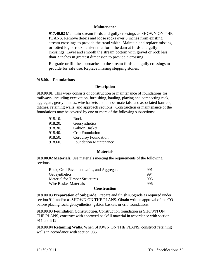### **Maintenance**

**917.40.02** Maintain stream fords and gully crossings as SHOWN ON THE PLANS. Remove debris and loose rocks over 3 inches from existing stream crossings to provide the tread width. Maintain and replace missing or rotted log or rock barriers that form the dam at fords and gully crossings. Level and smooth the stream bottom with gravel or rock less than 3 inches in greatest dimension to provide a crossing.

Re-grade or fill the approaches to the stream fords and gully crossings to provide for safe use. Replace missing stepping stones.

### **918.00. – Foundations**

### **Description**

**918.00.01** This work consists of construction or maintenance of foundations for trailways, including excavation, furnishing, hauling, placing and compacting rock, aggregate, geosynthetics, wire baskets and timber materials, and associated barriers, ditches, retaining walls, and approach sections. Construction or maintenance of the foundations may be covered by one or more of the following subsections:

| 918.10. | Rock                          |
|---------|-------------------------------|
| 918.20. | Geosynthetics                 |
| 918.30. | <b>Gabion Basket</b>          |
| 918.40. | <b>Crib Foundation</b>        |
| 918.50. | <b>Corduroy Foundation</b>    |
| 918.60. | <b>Foundation Maintenance</b> |
|         |                               |

#### **Materials**

**918.00.02 Materials**. Use materials meeting the requirements of the following sections:

| Rock, Grid Pavement Units, and Aggregate | 991 |
|------------------------------------------|-----|
| Geosynthetics                            | 994 |
| <b>Material for Timber Structures</b>    | 995 |
| Wire Basket Materials                    | 996 |
|                                          |     |

### **Construction**

**918.00.03 Preparation of Subgrade**. Prepare and finish subgrade as required under section 911 and/or as SHOWN ON THE PLANS. Obtain written approval of the CO before placing rock, geosynthetics, gabion baskets or crib foundations.

**918.00.03 Foundation Construction**. Construction foundation as SHOWN ON THE PLANS, construct with approved backfill material in accordance with section 911 and 912.

**918.00.04 Retaining Walls.** When SHOWN ON THE PLANS, construct retaining walls in accordance with section 935.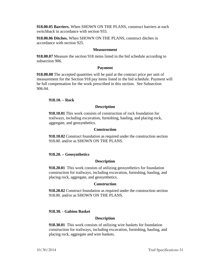**918.00.05 Barriers.** When SHOWN ON THE PLANS, construct barriers at each switchback in accordance with section 933.

**918.00.06 Ditches.** When SHOWN ON THE PLANS, construct ditches in accordance with section 925.

## **Measurement**

**918.00.07** Measure the section 918 items listed in the bid schedule according to subsection 906.

### **Payment**

**918.00.08** The accepted quantities will be paid at the contract price per unit of measurement for the Section 918 pay items listed in the bid schedule. Payment will be full compensation for the work prescribed in this section. See Subsection 906.04.

### **918.10. – Rock**

### **Description**

**918.10.01** This work consists of construction of rock foundation for trailways, including excavation, furnishing, hauling, and placing rock, aggregate, and geosynthetics.

#### **Construction**

**918.10.02** Construct foundation as required under the construction section 918.00. and/or as SHOWN ON THE PLANS.

#### **918.20. – Geosynthetics**

#### **Description**

**918.20.01** This work consists of utilizing geosynthetics for foundation construction for trailways, including excavation, furnishing, hauling, and placing rock, aggregate, and geosynthetics.

#### **Construction**

**918.20.02** Construct foundation as required under the construction section 918.00. and/or as SHOWN ON THE PLANS.

## **918.30. - Gabion Basket**

## **Description**

**918.30.01** This work consists of utilizing wire baskets for foundation construction for trailways, including excavation, furnishing, hauling, and placing rock, aggregate and wire baskets.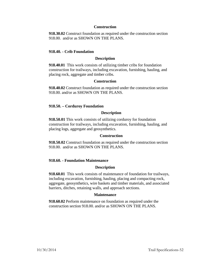## **Construction**

**918.30.02** Construct foundation as required under the construction section 918.00. and/or as SHOWN ON THE PLANS.

## **918.40. - Crib Foundation**

### **Description**

**918.40.01** This work consists of utilizing timber cribs for foundation construction for trailways, including excavation, furnishing, hauling, and placing rock, aggregate and timber cribs.

### **Construction**

**918.40.02** Construct foundation as required under the construction section 918.00. and/or as SHOWN ON THE PLANS.

### **918.50. – Corduroy Foundation**

### **Description**

**918.50.01** This work consists of utilizing corduroy for foundation construction for trailways, including excavation, furnishing, hauling, and placing logs, aggregate and geosynthetics.

#### **Construction**

**918.50.02** Construct foundation as required under the construction section 918.00. and/or as SHOWN ON THE PLANS.

#### **918.60. - Foundation Maintenance**

#### **Description**

**918.60.01** This work consists of maintenance of foundation for trailways, including excavation, furnishing, hauling, placing and compacting rock, aggregate, geosynthetics, wire baskets and timber materials, and associated barriers, ditches, retaining walls, and approach sections.

#### **Maintenance**

**918.60.02** Perform maintenance on foundation as required under the construction section 918.00. and/or as SHOWN ON THE PLANS.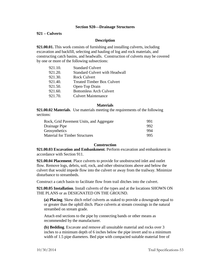### **Section 920—Drainage Structures**

### **921 – Culverts**

### **Description**

**921.00.01.** This work consists of furnishing and installing culverts, including excavation and backfill, selecting and hauling of log and rock materials, and constructing catch basins, and headwalls. Construction of culverts may be covered by one or more of the following subsections:

| 921.10. | <b>Standard Culvert</b>               |
|---------|---------------------------------------|
| 921.20. | <b>Standard Culvert with Headwall</b> |
| 921.30. | <b>Rock Culvert</b>                   |
| 921.40. | <b>Treated Timber Box Culvert</b>     |
| 921.50. | Open-Top Drain                        |
| 921.60. | <b>Bottomless Arch Culvert</b>        |
| 921.70. | <b>Culvert Maintenance</b>            |

#### **Materials**

**921.00.02 Materials**. Use materials meeting the requirements of the following sections:

| 991  |
|------|
| 992  |
| 994  |
| 995. |
|      |

#### **Construction**

**921.00.03 Excavation and Embankment**. Perform excavation and embankment in accordance with Section 911.

**921.00.04 Placement**. Place culverts to provide for unobstructed inlet and outlet flow. Remove logs, debris, soil, rock, and other obstructions above and below the culvert that would impede flow into the culvert or away from the trailway. Minimize disturbance to streambeds.

Construct a catch basin to facilitate flow from trail ditches into the culvert.

**921.00.05 Installation**. Install culverts of the types and at the locations SHOWN ON THE PLANS or as DESIGNATED ON THE GROUND.

**(a) Placing**. Skew ditch relief culverts as staked to provide a downgrade equal to or greater than the uphill ditch. Place culverts at stream crossings in the natural streambed on stream grade.

Attach end sections to the pipe by connecting bands or other means as recommended by the manufacturer.

**(b) Bedding**. Excavate and remove all unsuitable material and rocks over 3 inches to a minimum depth of 6 inches below the pipe invert and to a minimum width of 1.5 pipe diameters. Bed pipe with compacted suitable material free of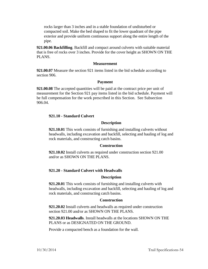rocks larger than 3 inches and in a stable foundation of undisturbed or compacted soil. Make the bed shaped to fit the lower quadrant of the pipe exterior and provide uniform continuous support along the entire length of the pipe.

**921.00.06 Backfilling**. Backfill and compact around culverts with suitable material that is free of rocks over 3 inches. Provide for the cover height as SHOWN ON THE PLANS.

## **Measurement**

**921.00.07** Measure the section 921 items listed in the bid schedule according to section 906.

## **Payment**

**921.00.08** The accepted quantities will be paid at the contract price per unit of measurement for the Section 921 pay items listed in the bid schedule. Payment will be full compensation for the work prescribed in this Section. See Subsection 906.04.

## **921.10 - Standard Culvert**

### **Description**

**921.10.01** This work consists of furnishing and installing culverts without headwalls, including excavation and backfill, selecting and hauling of log and rock materials, and constructing catch basins.

## **Construction**

**921.10.02** Install culverts as required under construction section 921.00 and/or as SHOWN ON THE PLANS.

## **921.20 - Standard Culvert with Headwalls**

## **Description**

**921.20.01** This work consists of furnishing and installing culverts with headwalls, including excavation and backfill, selecting and hauling of log and rock materials, and constructing catch basins.

## **Construction**

**921.20.02** Install culverts and headwalls as required under construction section 921.00 and/or as SHOWN ON THE PLANS.

**921.20.03 Headwalls**. Install headwalls at the locations SHOWN ON THE PLANS or as DESIGNATED ON THE GROUND.

Provide a compacted bench as a foundation for the wall.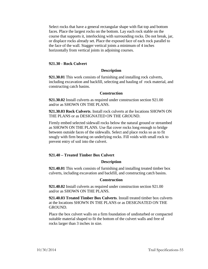Select rocks that have a general rectangular shape with flat top and bottom faces. Place the largest rocks on the bottom. Lay each rock stable on the course that supports it, interlocking with surrounding rocks. Do not break, jar, or displace rocks already set. Place the exposed face of each rock parallel to the face of the wall. Stagger vertical joints a minimum of 4 inches horizontally from vertical joints in adjoining courses.

### **921.30 - Rock Culvert**

#### **Description**

**921.30.01** This work consists of furnishing and installing rock culverts, including excavation and backfill, selecting and hauling of rock material, and constructing catch basins.

### **Construction**

**921.30.02** Install culverts as required under construction section 921.00 and/or as SHOWN ON THE PLANS.

**921.30.03 Rock Culverts**. Install rock culverts at the locations SHOWN ON THE PLANS or as DESIGNATED ON THE GROUND.

Firmly embed selected sidewall rocks below the natural ground or streambed as SHOWN ON THE PLANS. Use flat cover rocks long enough to bridge between outside faces of the sidewalls. Select and place rocks so as to fit snugly with firm bearing on underlying rocks. Fill voids with small rock to prevent entry of soil into the culvert.

## **921.40 – Treated Timber Box Culvert**

#### **Description**

**921.40.01** This work consists of furnishing and installing treated timber box culverts, including excavation and backfill, and constructing catch basins.

### **Construction**

**921.40.02** Install culverts as required under construction section 921.00 and/or as SHOWN ON THE PLANS.

**921.40.03 Treated Timber Box Culverts**. Install treated timber box culverts at the locations SHOWN IN THE PLANS or as DESIGNATED ON THE GROUND.

Place the box culvert walls on a firm foundation of undisturbed or compacted suitable material shaped to fit the bottom of the culvert walls and free of rocks larger than 3 inches in size.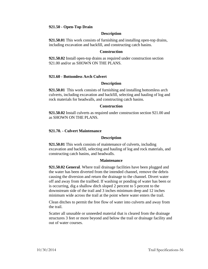## **921.50 - Open-Top Drain**

### **Description**

**921.50.01** This work consists of furnishing and installing open-top drains, including excavation and backfill, and constructing catch basins.

#### **Construction**

**921.50.02** Install open-top drains as required under construction section 921.00 and/or as SHOWN ON THE PLANS.

## **921.60 - Bottomless Arch Culvert**

### **Description**

**921.50.01** This work consists of furnishing and installing bottomless arch culverts, including excavation and backfill, selecting and hauling of log and rock materials for headwalls, and constructing catch basins.

#### **Construction**

**921.50.02** Install culverts as required under construction section 921.00 and as SHOWN ON THE PLANS.

### **921.70. - Culvert Maintenance**

#### **Description**

**921.50.01** This work consists of maintenance of culverts, including excavation and backfill, selecting and hauling of log and rock materials, and constructing catch basins, and headwalls.

#### **Maintenance**

**921.50.02 General**. Where trail drainage facilities have been plugged and the water has been diverted from the intended channel, remove the debris causing the diversion and return the drainage to the channel. Divert water off and away from the trailbed. If washing or ponding of water has been or is occurring, dig a shallow ditch sloped 2 percent to 5 percent to the downstream side of the trail and 3 inches minimum deep and 12 inches minimum wide across the trail at the point where water enters the trail.

Clean ditches to permit the free flow of water into culverts and away from the trail.

Scatter all unusable or unneeded material that is cleared from the drainage structures 3 feet or more beyond and below the trail or drainage facility and out of water courses.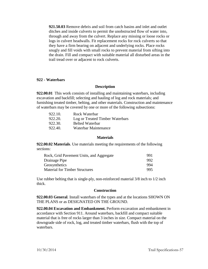**921.50.03** Remove debris and soil from catch basins and inlet and outlet ditches and inside culverts to permit the unobstructed flow of water into, through and away from the culvert. Replace any missing or loose rocks or logs in culvert headwalls. Fit replacement rocks for rock culverts so that they have a firm bearing on adjacent and underlying rocks. Place rocks snugly and fill voids with small rocks to prevent material from sifting into the drain. Fill and compact with suitable material all disturbed areas in the trail tread over or adjacent to rock culverts.

### **922 - Waterbars**

### **Description**

**922.00.01** This work consists of installing and maintaining waterbars, including excavation and backfill; selecting and hauling of log and rock materials; and furnishing treated timber, belting, and other materials. Construction and maintenance of waterbars may be covered by one or more of the following subsections:

| Log or Treated Timber Waterbars |
|---------------------------------|
|                                 |
|                                 |
|                                 |

#### **Materials**

**922.00.02 Materials**. Use materials meeting the requirements of the following sections:

| Rock, Grid Pavement Units, and Aggregate | 991  |
|------------------------------------------|------|
| Drainage Pipe                            | -992 |
| Geosynthetics                            | 994  |
| <b>Material for Timber Structures</b>    | 995  |

Use rubber belting that is single-ply, non-reinforced material 3/8 inch to 1/2 inch thick.

## **Construction**

**922.00.03 General**. Install waterbars of the types and at the locations SHOWN ON THE PLANS or as DESIGNATED ON THE GROUND.

**922.00.04 Excavation and Embankment.** Perform excavation and embankment in accordance with Section 911. Around waterbars, backfill and compact suitable material that is free of rocks larger than 3 inches in size. Compact material on the downgrade side of rock, log, and treated timber waterbars, flush with the top of waterbars.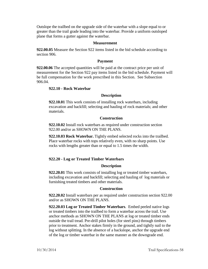Outslope the trailbed on the upgrade side of the waterbar with a slope equal to or greater than the trail grade leading into the waterbar. Provide a uniform outsloped plane that forms a gutter against the waterbar.

#### **Measurement**

**922.00.05** Measure the Section 922 items listed in the bid schedule according to section 906.

#### **Payment**

**922.00.06** The accepted quantities will be paid at the contract price per unit of measurement for the Section 922 pay items listed in the bid schedule. Payment will be full compensation for the work prescribed in this Section. See Subsection 906.04.

### **922.10 - Rock Waterbar**

#### **Description**

**922.10.01** This work consists of installing rock waterbars, including excavation and backfill; selecting and hauling of rock materials; and other materials.

#### **Construction**

**922.10.02** Install rock waterbars as required under construction section 922.00 and/or as SHOWN ON THE PLANS.

**922.10.03 Rock Waterbar.** Tightly embed selected rocks into the trailbed. Place waterbar rocks with tops relatively even, with no sharp points. Use rocks with lengths greater than or equal to 1.5 times the width.

### **922.20 - Log or Treated Timber Waterbars**

#### **Description**

**922.20.01** This work consists of installing log or treated timber waterbars, including excavation and backfill; selecting and hauling of log materials or furnishing treated timbers and other materials.

## **Construction**

**922.20.02** Install waterbars per as required under construction section 922.00 and/or as SHOWN ON THE PLANS.

**922.20.03 Log or Treated Timber Waterbars**. Embed peeled native logs or treated timbers into the trailbed to form a waterbar across the trail. Use anchor methods as SHOWN ON THE PLANS at log or treated timber ends outside the trail tread. Pre-drill pilot holes (for steel pins) through timbers prior to treatment. Anchor stakes firmly in the ground, and tightly nail to the log without splitting. In the absence of a backslope, anchor the upgrade end of the log or timber waterbar in the same manner as the downgrade end.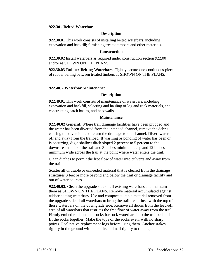### **922.30 - Belted Waterbar**

### **Description**

**922.30.01** This work consists of installing belted waterbars, including excavation and backfill; furnishing treated timbers and other materials.

### **Construction**

**922.30.02** Install waterbars as required under construction section 922.00 and/or as SHOWN ON THE PLANS.

**922.30.03 Rubber Belting Waterbars.** Tightly secure one continuous piece of rubber belting between treated timbers as SHOWN ON THE PLANS.

### **922.40. - Waterbar Maintenance**

#### **Description**

**922.40.01** This work consists of maintenance of waterbars, including excavation and backfill, selecting and hauling of log and rock materials, and constructing catch basins, and headwalls.

#### **Maintenance**

**922.40.02 General**. Where trail drainage facilities have been plugged and the water has been diverted from the intended channel, remove the debris causing the diversion and return the drainage to the channel. Divert water off and away from the trailbed. If washing or ponding of water has been or is occurring, dig a shallow ditch sloped 2 percent to 5 percent to the downstream side of the trail and 3 inches minimum deep and 12 inches minimum wide across the trail at the point where water enters the trail.

Clean ditches to permit the free flow of water into culverts and away from the trail.

Scatter all unusable or unneeded material that is cleared from the drainage structures 3 feet or more beyond and below the trail or drainage facility and out of water courses.

**922.40.03**. Clean the upgrade side of all existing waterbars and maintain them as SHOWN ON THE PLANS. Remove material accumulated against rubber belting waterbars. Use and compact suitable material removed from the upgrade side of all waterbars to bring the trail tread flush with the top of those waterbars on the downgrade side. Remove all debris from the lead-off area of all waterbars that restricts the free flow of water away from the trail. Firmly embed replacement rocks for rock waterbars into the trailbed and fit the rocks together. Make the tops of the rocks even, with no sharp points. Peel native replacement logs before using them. Anchor stakes tightly in the ground without splits and nail tightly to the log.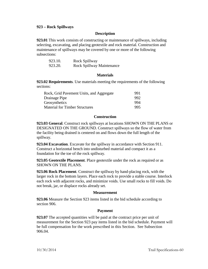## **923 – Rock Spillways**

## **Description**

**923.01** This work consists of constructing or maintenance of spillways, including selecting, excavating, and placing geotextile and rock material. Construction and maintenance of spillways may be covered by one or more of the following subsections:

| 923.10. | Rock Spillway             |
|---------|---------------------------|
| 923.20. | Rock Spillway Maintenance |

### **Materials**

**923.02 Requirements**. Use materials meeting the requirements of the following sections:

| 991  |
|------|
| 992. |
| 994  |
| 995. |
|      |

## **Construction**

**923.03 General**. Construct rock spillways at locations SHOWN ON THE PLANS or DESIGNATED ON THE GROUND. Construct spillways so the flow of water from the facility being drained is centered on and flows down the full length of the spillway.

**923.04 Excavation**. Excavate for the spillway in accordance with Section 911. Construct a horizontal bench into undisturbed material and compact it as a foundation for the toe of the rock spillway.

**923.05 Geotextile Placement**. Place geotextile under the rock as required or as SHOWN ON THE PLANS.

**923.06 Rock Placement**. Construct the spillway by hand-placing rock, with the larger rock in the bottom layers. Place each rock to provide a stable course. Interlock each rock with adjacent rocks, and minimize voids. Use small rocks to fill voids. Do not break, jar, or displace rocks already set.

## **Measurement**

**923.06** Measure the Section 923 items listed in the bid schedule according to section 906.

## **Payment**

**923.07** The accepted quantities will be paid at the contract price per unit of measurement for the Section 923 pay items listed in the bid schedule. Payment will be full compensation for the work prescribed in this Section. See Subsection 906.04.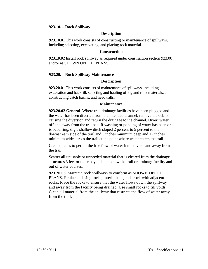## **923.10. – Rock Spillway**

### **Description**

**923.10.01** This work consists of constructing or maintenance of spillways, including selecting, excavating, and placing rock material.

#### **Construction**

**923.10.02** Install rock spillway as required under construction section 923.00 and/or as SHOWN ON THE PLANS.

## **923.20. – Rock Spillway Maintenance**

## **Description**

**923.20.01** This work consists of maintenance of spillways, including excavation and backfill, selecting and hauling of log and rock materials, and constructing catch basins, and headwalls.

### **Maintenance**

**923.20.02 General**. Where trail drainage facilities have been plugged and the water has been diverted from the intended channel, remove the debris causing the diversion and return the drainage to the channel. Divert water off and away from the trailbed. If washing or ponding of water has been or is occurring, dig a shallow ditch sloped 2 percent to 5 percent to the downstream side of the trail and 3 inches minimum deep and 12 inches minimum wide across the trail at the point where water enters the trail.

Clean ditches to permit the free flow of water into culverts and away from the trail.

Scatter all unusable or unneeded material that is cleared from the drainage structures 3 feet or more beyond and below the trail or drainage facility and out of water courses.

**923.20.03**. Maintain rock spillways to conform as SHOWN ON THE PLANS. Replace missing rocks, interlocking each rock with adjacent rocks. Place the rocks to ensure that the water flows down the spillway and away from the facility being drained. Use small rocks to fill voids. Clean all material from the spillway that restricts the flow of water away from the trail.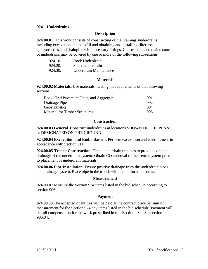## **924 – Underdrains**

### **Description**

**924.00.01** This work consists of constructing or maintaining underdrains, including excavation and backfill and obtaining and installing filter rock, geosynthetics, and drainpipe with necessary fittings. Construction and maintenance of underdrains may be covered by one or more of the following subsections:

| 924.10. | Rock Underdrain        |
|---------|------------------------|
| 924.20. | Sheet Underdrain       |
| 924.30. | Underdrain Maintenance |

### **Materials**

**924.00.02 Materials**. Use materials meeting the requirements of the following sections:

| 991  |
|------|
| -992 |
| 994  |
| 995  |
|      |

## **Construction**

**924.00.03 General**. Construct underdrains at locations SHOWN ON THE PLANS or DESIGNATED ON THE GROUND.

**924.00.04 Excavation and Embankment**. Perform excavation and embankment in accordance with Section 911.

**924.00.05 Trench Construction**. Grade underdrain trenches to provide complete drainage of the underdrain system. Obtain CO approval of the trench system prior to placement of underdrain materials.

**924.00.06 Pipe Installation**. Ensure positive drainage from the underdrain pipes and drainage system. Place pipe in the trench with the perforations down.

#### **Measurement**

**924.00.07** Measure the Section 924 items listed in the bid schedule according to section 906.

#### **Payment**

**924.00.08** The accepted quantities will be paid at the contract price per unit of measurement for the Section 924 pay items listed in the bid schedule. Payment will be full compensation for the work prescribed in this Section. See Subsection 906.04.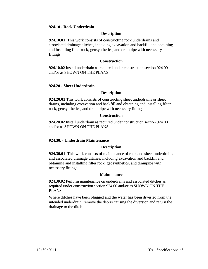### **924.10 - Rock Underdrain**

### **Description**

**924.10.01** This work consists of constructing rock underdrains and associated drainage ditches, including excavation and backfill and obtaining and installing filter rock, geosynthetics, and drainpipe with necessary fittings.

## **Construction**

**924.10.02** Install underdrain as required under construction section 924.00 and/or as SHOWN ON THE PLANS.

### **924.20 - Sheet Underdrain**

### **Description**

**924.20.01** This work consists of constructing sheet underdrains or sheet drains, including excavation and backfill and obtaining and installing filter rock, geosynthetics, and drain pipe with necessary fittings.

### **Construction**

**924.20.02** Install underdrain as required under construction section 924.00 and/or as SHOWN ON THE PLANS.

# **924.30. - Underdrain Maintenance**

### **Description**

**924.30.01** This work consists of maintenance of rock and sheet underdrains and associated drainage ditches, including excavation and backfill and obtaining and installing filter rock, geosynthetics, and drainpipe with necessary fittings.

#### **Maintenance**

**924.30.02** Perform maintenance on underdrains and associated ditches as required under construction section 924.00 and/or as SHOWN ON THE PLANS.

Where ditches have been plugged and the water has been diverted from the intended underdrain, remove the debris causing the diversion and return the drainage to the ditch.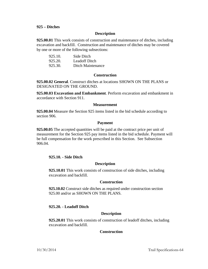### **925 – Ditches**

### **Description**

**925.00.01** This work consists of construction and maintenance of ditches, including excavation and backfill. Construction and maintenance of ditches may be covered by one or more of the following subsections:

| 925.10. | Side Ditch        |
|---------|-------------------|
| 925.20. | Leadoff Ditch     |
| 925.30. | Ditch Maintenance |

### **Construction**

**925.00.02 General**. Construct ditches at locations SHOWN ON THE PLANS or DESIGNATED ON THE GROUND.

**925.00.03 Excavation and Embankment**. Perform excavation and embankment in accordance with Section 911.

### **Measurement**

**925.00.04** Measure the Section 925 items listed in the bid schedule according to section 906.

### **Payment**

**925.00.05** The accepted quantities will be paid at the contract price per unit of measurement for the Section 925 pay items listed in the bid schedule. Payment will be full compensation for the work prescribed in this Section. See Subsection 906.04.

## **925.10. - Side Ditch**

## **Description**

**925.10.01** This work consists of construction of side ditches, including excavation and backfill.

#### **Construction**

**925.10.02** Construct side ditches as required under construction section 925.00 and/or as SHOWN ON THE PLANS.

## **925.20. - Leadoff Ditch**

## **Description**

**925.20.01** This work consists of construction of leadoff ditches, including excavation and backfill.

## **Construction**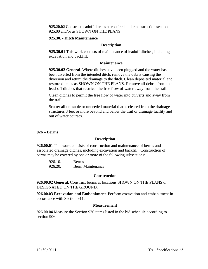**925.20.02** Construct leadoff ditches as required under construction section 925.00 and/or as SHOWN ON THE PLANS.

## **925.30. - Ditch Maintenance**

## **Description**

**925.30.01** This work consists of maintenance of leadoff ditches, including excavation and backfill.

## **Maintenance**

**925.30.02 General**. Where ditches have been plugged and the water has been diverted from the intended ditch, remove the debris causing the diversion and return the drainage to the ditch. Clean deposited material and restore ditches as SHOWN ON THE PLANS. Remove all debris from the lead-off ditches that restricts the free flow of water away from the trail.

Clean ditches to permit the free flow of water into culverts and away from the trail.

Scatter all unusable or unneeded material that is cleared from the drainage structures 3 feet or more beyond and below the trail or drainage facility and out of water courses.

# **926 – Berms**

# **Description**

**926.00.01** This work consists of construction and maintenance of berms and associated drainage ditches, including excavation and backfill. Construction of berms may be covered by one or more of the following subsections:

| 926.10. | <b>Berms</b>            |
|---------|-------------------------|
| 926.20. | <b>Berm Maintenance</b> |

# **Construction**

**926.00.02 General**. Construct berms at locations SHOWN ON THE PLANS or DESIGNATED ON THE GROUND.

**926.00.03 Excavation and Embankment**. Perform excavation and embankment in accordance with Section 911.

# **Measurement**

**926.00.04** Measure the Section 926 items listed in the bid schedule according to section 906.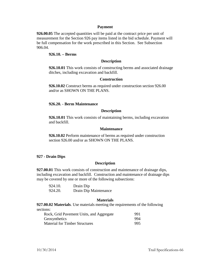### **Payment**

**926.00.05** The accepted quantities will be paid at the contract price per unit of measurement for the Section 926 pay items listed in the bid schedule. Payment will be full compensation for the work prescribed in this Section. See Subsection 906.04.

## **926.10. – Berms**

### **Description**

**926.10.01** This work consists of constructing berms and associated drainage ditches, including excavation and backfill.

### **Construction**

**926.10.02** Construct berms as required under construction section 926.00 and/or as SHOWN ON THE PLANS.

### **926.20. - Berm Maintenance**

### **Description**

**926.10.01** This work consists of maintaining berms, including excavation and backfill.

#### **Maintenance**

**926.10.02** Perform maintenance of berms as required under construction section 926.00 and/or as SHOWN ON THE PLANS.

#### **927 - Drain Dips**

### **Description**

**927.00.01** This work consists of construction and maintenance of drainage dips, including excavation and backfill. Construction and maintenance of drainage dips may be covered by one or more of the following subsections:

| 924.10. | Drain Dip             |
|---------|-----------------------|
| 924.20. | Drain Dip Maintenance |

#### **Materials**

**927.00.02 Materials**. Use materials meeting the requirements of the following sections:

| Rock, Grid Pavement Units, and Aggregate | 991  |
|------------------------------------------|------|
| Geosynthetics                            | 994  |
| <b>Material for Timber Structures</b>    | 995. |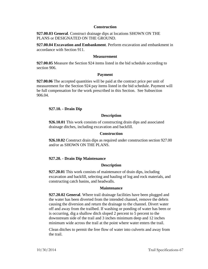### **Construction**

**927.00.03 General**. Construct drainage dips at locations SHOWN ON THE PLANS or DESIGNATED ON THE GROUND.

**927.00.04 Excavation and Embankment**. Perform excavation and embankment in accordance with Section 911.

### **Measurement**

**927.00.05** Measure the Section 924 items listed in the bid schedule according to section 906.

### **Payment**

**927.00.06** The accepted quantities will be paid at the contract price per unit of measurement for the Section 924 pay items listed in the bid schedule. Payment will be full compensation for the work prescribed in this Section. See Subsection 906.04.

## **927.10. - Drain Dip**

### **Description**

**926.10.01** This work consists of constructing drain dips and associated drainage ditches, including excavation and backfill.

#### **Construction**

**926.10.02** Construct drain dips as required under construction section 927.00 and/or as SHOWN ON THE PLANS.

## **927.20. - Drain Dip Maintenance**

#### **Description**

**927.20.01** This work consists of maintenance of drain dips, including excavation and backfill, selecting and hauling of log and rock materials, and constructing catch basins, and headwalls.

### **Maintenance**

**927.20.02 General**. Where trail drainage facilities have been plugged and the water has been diverted from the intended channel, remove the debris causing the diversion and return the drainage to the channel. Divert water off and away from the trailbed. If washing or ponding of water has been or is occurring, dig a shallow ditch sloped 2 percent to 5 percent to the downstream side of the trail and 3 inches minimum deep and 12 inches minimum wide across the trail at the point where water enters the trail.

Clean ditches to permit the free flow of water into culverts and away from the trail.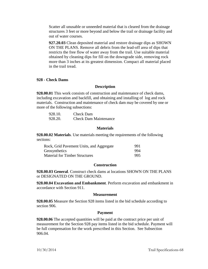Scatter all unusable or unneeded material that is cleared from the drainage structures 3 feet or more beyond and below the trail or drainage facility and out of water courses.

**927.20.03** Clean deposited material and restore drainage dips as SHOWN ON THE PLANS. Remove all debris from the lead-off area of dips that restricts the free flow of water away from the trail. Use suitable material obtained by cleaning dips for fill on the downgrade side, removing rock more than 3 inches at its greatest dimension. Compact all material placed in the trail tread.

#### **928 - Check Dams**

### **Description**

**928.00.01** This work consists of construction and maintenance of check dams, including excavation and backfill, and obtaining and installing of log and rock materials. Construction and maintenance of check dam may be covered by one or more of the following subsections:

| 928.10. | Check Dam                    |
|---------|------------------------------|
| 928.20. | <b>Check Dam Maintenance</b> |

#### **Materials**

**928.00.02 Materials**. Use materials meeting the requirements of the following sections:

| Rock, Grid Pavement Units, and Aggregate | 991  |
|------------------------------------------|------|
| Geosynthetics                            | 994  |
| <b>Material for Timber Structures</b>    | 995. |

### **Construction**

**928.00.03 General**. Construct check dams at locations SHOWN ON THE PLANS or DESIGNATED ON THE GROUND.

**928.00.04 Excavation and Embankment**. Perform excavation and embankment in accordance with Section 911.

#### **Measurement**

**928.00.05** Measure the Section 928 items listed in the bid schedule according to section 906.

#### **Payment**

**928.00.06** The accepted quantities will be paid at the contract price per unit of measurement for the Section 928 pay items listed in the bid schedule. Payment will be full compensation for the work prescribed in this Section. See Subsection 906.04.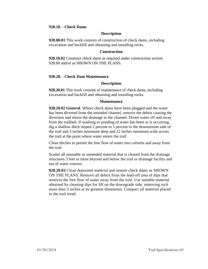### **928.10. - Check Dams**

## **Description**

**928.00.01** This work consists of construction of check dams, including excavation and backfill and obtaining and installing rocks.

### **Construction**

**928.10.02** Construct check dams as required under construction section 928.00 and/or as SHOWN ON THE PLANS.

## **928.20. - Check Dam Maintenance**

## **Description**

**928.20.01** This work consists of maintenance of check dams, including excavation and backfill and obtaining and installing rocks.

## **Maintenance**

**928.20.02 General**. Where check dams have been plugged and the water has been diverted from the intended channel, remove the debris causing the diversion and return the drainage to the channel. Divert water off and away from the trailbed. If washing or ponding of water has been or is occurring, dig a shallow ditch sloped 2 percent to 5 percent to the downstream side of the trail and 3 inches minimum deep and 12 inches minimum wide across the trail at the point where water enters the trail.

Clean ditches to permit the free flow of water into culverts and away from the trail.

Scatter all unusable or unneeded material that is cleared from the drainage structures 3 feet or more beyond and below the trail or drainage facility and out of water courses.

**928.20.03** Clean deposited material and restore check dams as SHOWN ON THE PLANS. Remove all debris from the lead-off area of dips that restricts the free flow of water away from the trail. Use suitable material obtained by cleaning dips for fill on the downgrade side, removing rock more than 3 inches at its greatest dimension. Compact all material placed in the trail tread.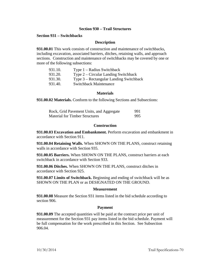## **Section 930 – Trail Structures**

## **Section 931 – Switchbacks**

### **Description**

**931.00.01** This work consists of construction and maintenance of switchbacks, including excavation, associated barriers, ditches, retaining walls, and approach sections. Construction and maintenance of switchbacks may be covered by one or more of the following subsections:

| 931.10. | Type $1 -$ Radius Switchback            |
|---------|-----------------------------------------|
| 931.20. | Type $2$ – Circular Landing Switchback  |
| 931.30. | Type 3 – Rectangular Landing Switchback |
| 931.40. | <b>Switchback Maintenance</b>           |

#### **Materials**

**931.00.02 Materials.** Conform to the following Sections and Subsections:

| Rock, Grid Pavement Units, and Aggregate | 991 |
|------------------------------------------|-----|
| <b>Material for Timber Structures</b>    | 995 |

### **Construction**

**931.00.03 Excavation and Embankment.** Perform excavation and embankment in accordance with Section 911.

**931.00.04 Retaining Walls.** When SHOWN ON THE PLANS, construct retaining walls in accordance with Section 935.

**931.00.05 Barriers.** When SHOWN ON THE PLANS, construct barriers at each switchback in accordance with Section 933.

**931.00.06 Ditches.** When SHOWN ON THE PLANS, construct ditches in accordance with Section 925.

**931.00.07 Limits of Switchback.** Beginning and ending of switchback will be as SHOWN ON THE PLAN or as DESIGNATED ON THE GROUND.

#### **Measurement**

**931.00.08** Measure the Section 931 items listed in the bid schedule according to section 906.

#### **Payment**

**931.00.09** The accepted quantities will be paid at the contract price per unit of measurement for the Section 931 pay items listed in the bid schedule. Payment will be full compensation for the work prescribed in this Section. See Subsection 906.04.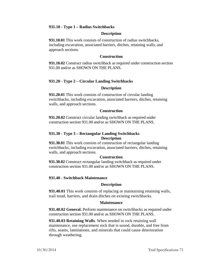## **931.10 - Type 1 – Radius Switchbacks**

### **Description**

**931.10.01** This work consists of construction of radius switchbacks, including excavation, associated barriers, ditches, retaining walls, and approach sections.

#### **Construction**

**931.10.02** Construct radius switchback as required under construction section 931.00 and/or as SHOWN ON THE PLANS.

# **931.20 - Type 2 – Circular Landing Switchbacks**

#### **Description**

**931.20.01** This work consists of construction of circular landing switchbacks, including excavation, associated barriers, ditches, retaining walls, and approach sections.

### **Construction**

**931.20.02** Construct circular landing switchback as required under construction section 931.00 and/or as SHOWN ON THE PLANS.

# **931.30 - Type 3 – Rectangular Landing Switchbacks Description**

**931.30.01** This work consists of construction of rectangular landing switchbacks, including excavation, associated barriers, ditches, retaining walls, and approach sections.

### **Construction**

**931.30.02** Construct rectangular landing switchback as required under construction section 931.00 and/or as SHOWN ON THE PLANS.

# **931.40 - Switchback Maintenance**

### **Description**

**931.40.01** This work consists of replacing or maintaining retaining walls, trail tread, barriers, and drain ditches on existing switchbacks.

#### **Maintenance**

**931.40.02 General.** Perform maintenance on switchbacks as required under construction section 931.00 and/or as SHOWN ON THE PLANS.

**931.40.03 Retaining Walls**. When needed in rock retaining wall maintenance, use replacement rock that is sound, durable, and free from rifts, seams, laminations, and minerals that could cause deterioration through weathering.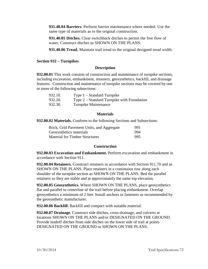**931.40.04 Barriers**. Perform barrier maintenance where needed. Use the same type of materials as in the original construction.

**931.40.05 Ditches.** Clear switchback ditches to permit the free flow of water. Construct ditches as SHOWN ON THE PLANS.

**931.40.06 Tread.** Maintain trail tread to the original designed tread width.

# **Section 932 – Turnpikes**

# **Description**

**932.00.01** This work consists of construction and maintenance of turnpike sections, including excavation, embankment, retainers, geosynthetics, backfill, and drainage features. Construction and maintenance of turnpike sections may be covered by one or more of the following subsections:

| 932.10. | Type $1 - Standard$ Turnpike                 |
|---------|----------------------------------------------|
| 932.20. | Type $2$ – Standard Turnpike with Foundation |
| 932.30. | Turnpike Maintenance                         |

## **Materials**

**932.00.02 Materials.** Conform to the following Sections and Subsections:

| Rock, Grid Pavement Units, and Aggregate | 991 |
|------------------------------------------|-----|
| Geosynthetics materials                  | 994 |
| <b>Material for Timber Structures</b>    | 995 |

## **Construction**

**932.00.03 Excavation and Embankment.** Perform excavation and embankment in accordance with Section 911.

**932.00.04 Retainers.** Construct retainers in accordance with Section 911.70 and as SHOWN ON THE PLANS. Place retainers in a continuous row along each shoulder of the turnpike section as SHOWN ON THE PLANS. Bed the parallel retainers so they are stable and at approximately the same top elevation.

**932.00.05 Geosynthetics.** Where SHOWN ON THE PLANS, place geosynthetics flat and parallel to centerline of the trail before placing embankment. Overlap geosynthetics a minimum of 2 feet. Install anchors or fasteners as recommended by the geosynthetic manufacturer.

**932.00.06 Backfill.** Backfill and compact with suitable material.

**932.00.07 Drainage.** Construct side ditches, cross-drainage, and culverts at locations SHOWN ON THE PLANS and/or DESIGNATED ON THE GROUND. Provide leadoff ditches from side ditches on the lower side of trail at points DESIGNATED ON THE GROUND or SHOWN ON THE PLANS.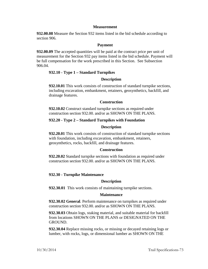## **Measurement**

**932.00.08** Measure the Section 932 items listed in the bid schedule according to section 906.

### **Payment**

**932.00.09** The accepted quantities will be paid at the contract price per unit of measurement for the Section 932 pay items listed in the bid schedule. Payment will be full compensation for the work prescribed in this Section. See Subsection 906.04.

## **932.10 - Type 1 – Standard Turnpikes**

## **Description**

**932.10.01** This work consists of construction of standard turnpike sections, including excavation, embankment, retainers, geosynthetics, backfill, and drainage features.

### **Construction**

**932.10.02** Construct standard turnpike sections as required under construction section 932.00. and/or as SHOWN ON THE PLANS.

## **932.20 - Type 2 – Standard Turnpikes with Foundation**

## **Description**

**932.20.01** This work consists of construction of standard turnpike sections with foundation, including excavation, embankment, retainers, geosynthetics, rocks, backfill, and drainage features.

#### **Construction**

**932.20.02** Standard turnpike sections with foundation as required under construction section 932.00. and/or as SHOWN ON THE PLANS.

## **932.30 - Turnpike Maintenance**

## **Description**

**932.30.01** This work consists of maintaining turnpike sections.

#### **Maintenance**

**932.30.02 General**. Perform maintenance on turnpikes as required under construction section 932.00. and/or as SHOWN ON THE PLANS.

**932.30.03** Obtain logs, staking material, and suitable material for backfill from locations SHOWN ON THE PLANS or DESIGNATED ON THE GROUND.

**932.30.04** Replace missing rocks, or missing or decayed retaining logs or lumber, with rocks, logs, or dimensional lumber as SHOWN ON THE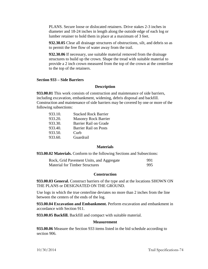PLANS. Secure loose or dislocated retainers. Drive stakes 2-3 inches in diameter and 18-24 inches in length along the outside edge of each log or lumber retainer to hold them in place at a maximum of 3 feet.

**932.30.05** Clear all drainage structures of obstructions, silt, and debris so as to permit the free flow of water away from the trail.

**932.30.06** If necessary, use suitable material removed from the drainage structures to build up the crown. Shape the tread with suitable material to provide a 2 inch crown measured from the top of the crown at the centerline to the top of the retainers.

#### **Section 933 – Side Barriers**

#### **Description**

**933.00.01** This work consists of construction and maintenance of side barriers, including excavation, embankment, widening, debris disposal and backfill. Construction and maintenance of side barriers may be covered by one or more of the following subsections:

| 933.10. | <b>Stacked Rock Barrier</b>  |
|---------|------------------------------|
| 933.20. | <b>Masonry Rock Barrier</b>  |
| 933.30. | Barrier Rail on Grade        |
| 933.40. | <b>Barrier Rail on Posts</b> |
| 933.50. | Curb                         |
| 933.60. | Guardrail                    |

### **Materials**

**933.00.02 Materials.** Conform to the following Sections and Subsections:

| Rock, Grid Pavement Units, and Aggregate | 991 |
|------------------------------------------|-----|
| <b>Material for Timber Structures</b>    | 995 |

### **Construction**

**933.00.03 General.** Construct barriers of the type and at the locations SHOWN ON THE PLANS or DESIGNATED ON THE GROUND.

Use logs in which the true centerline deviates no more than 2 inches from the line between the centers of the ends of the log.

**933.00.04 Excavation and Embankment.** Perform excavation and embankment in accordance with Section 911.

**933.00.05 Backfill.** Backfill and compact with suitable material.

### **Measurement**

**933.00.06** Measure the Section 933 items listed in the bid schedule according to section 906.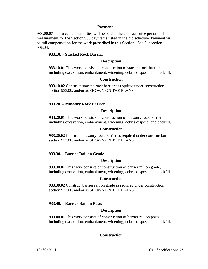### **Payment**

**933.00.07** The accepted quantities will be paid at the contract price per unit of measurement for the Section 933 pay items listed in the bid schedule. Payment will be full compensation for the work prescribed in this Section. See Subsection 906.04.

## **933.10. – Stacked Rock Barrier**

### **Description**

**933.10.01** This work consists of construction of stacked rock barrier, including excavation, embankment, widening, debris disposal and backfill.

### **Construction**

**933.10.02** Construct stacked rock barrier as required under construction section 933.00. and/or as SHOWN ON THE PLANS.

### **933.20. – Masonry Rock Barrier**

### **Description**

**933.20.01** This work consists of construction of masonry rock barrier, including excavation, embankment, widening, debris disposal and backfill.

#### **Construction**

**933.20.02** Construct masonry rock barrier as required under construction section 933.00. and/or as SHOWN ON THE PLANS.

#### **933.30. – Barrier Rail on Grade**

### **Description**

**933.30.01** This work consists of construction of barrier rail on grade, including excavation, embankment, widening, debris disposal and backfill.

#### **Construction**

**933.30.02** Construct barrier rail on grade as required under construction section 933.00. and/or as SHOWN ON THE PLANS.

## **933.40. – Barrier Rail on Posts**

#### **Description**

**933.40.01** This work consists of construction of barrier rail on posts, including excavation, embankment, widening, debris disposal and backfill.

## **Construction**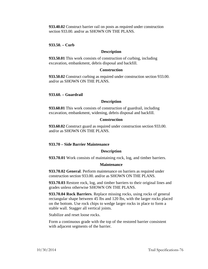**933.40.02** Construct barrier rail on posts as required under construction section 933.00. and/or as SHOWN ON THE PLANS.

**933.50. – Curb**

## **Description**

**933.50.01** This work consists of construction of curbing, including excavation, embankment, debris disposal and backfill.

### **Construction**

**933.50.02** Construct curbing as required under construction section 933.00. and/or as SHOWN ON THE PLANS.

### **933.60. – Guardrail**

### **Description**

**933.60.01** This work consists of construction of guardrail, including excavation, embankment, widening, debris disposal and backfill.

### **Construction**

**933.60.02** Construct guard as required under construction section 933.00. and/or as SHOWN ON THE PLANS.

## **933.70 – Side Barrier Maintenance**

## **Description**

**933.70.01** Work consists of maintaining rock, log, and timber barriers.

#### **Maintenance**

**933.70.02 General**. Perform maintenance on barriers as required under construction section 933.00. and/or as SHOWN ON THE PLANS.

**933.70.03** Restore rock, log, and timber barriers to their original lines and grades unless otherwise SHOWN ON THE PLANS.

**933.70.04 Rock Barriers**. Replace missing rocks, using rocks of general rectangular shape between 45 lbs and 120 lbs, with the larger rocks placed on the bottom. Use rock chips to wedge larger rocks in place to form a stable wall. Stagger all vertical joints.

Stabilize and reset loose rocks.

Form a continuous grade with the top of the restored barrier consistent with adjacent segments of the barrier.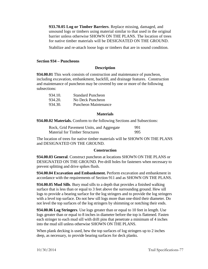**933.70.05 Log or Timber Barriers**. Replace missing, damaged, and unsound logs or timbers using material similar to that used in the original barrier unless otherwise SHOWN ON THE PLANS. The location of trees for native timber materials will be DESIGNATED ON THE GROUND.

Stabilize and re-attach loose logs or timbers that are in sound condition.

## **Section 934 – Puncheons**

## **Description**

**934.00.01** This work consists of construction and maintenance of puncheon, including excavation, embankment, backfill, and drainage features. Construction and maintenance of puncheon may be covered by one or more of the following subsections:

| 934.10. | <b>Standard Puncheon</b> |
|---------|--------------------------|
| 934.20. | No Deck Puncheon         |
| 934.30. | Puncheon Maintenance     |

### **Materials**

**934.00.02 Materials.** Conform to the following Sections and Subsections:

| Rock, Grid Pavement Units, and Aggregate | 991 |
|------------------------------------------|-----|
| <b>Material for Timber Structures</b>    | 995 |

The location of trees for native timber materials will be SHOWN ON THE PLANS and DESIGNATED ON THE GROUND.

## **Construction**

**934.00.03 General**. Construct puncheon at locations SHOWN ON THE PLANS or DESIGNATED ON THE GROUND. Pre-drill holes for fasteners when necessary to prevent splitting and drive spikes flush.

**934.00.04 Excavation and Embankment.** Perform excavation and embankment in accordance with the requirements of Section 911 and as SHOWN ON THE PLANS.

**934.00.05 Mud Sills**. Bury mud sills to a depth that provides a finished walking surface that is less than or equal to 3 feet above the surrounding ground. Hew sill logs to provide a bearing surface for the log stringers and to provide the log stringers with a level top surface. Do not hew sill logs more than one-third their diameter. Do not level the top surfaces of the log stringers by shimming or notching their ends.

**934.00.06 Log Stringers**. Use logs greater than or equal to 10 feet in length. Use logs greater than or equal to 8 inches in diameter before the top is flattened. Fasten each stringer to each mud sill with drift pins that penetrate a minimum of 4 inches into the mud sill unless otherwise SHOWN ON THE PLANS.

When plank decking is used, hew the top surfaces of log stringers up to 2 inches deep, as necessary, to provide bearing surfaces for deck planks.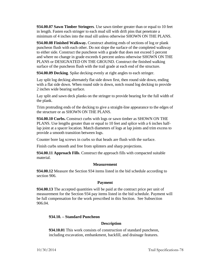**934.00.07 Sawn Timber Stringers**. Use sawn timber greater than or equal to 10 feet in length. Fasten each stringer to each mud sill with drift pins that penetrate a minimum of 4 inches into the mud sill unless otherwise SHOWN ON THE PLANS.

**934.00.08 Finished Walkway.** Construct abutting ends of sections of log or plank puncheon flush with each other. Do not slope the surface of the completed walkway to either side. Construct the puncheon with a grade that does not exceed 5 percent and where no change in grade exceeds 6 percent unless otherwise SHOWN ON THE PLANS or DESIGNATED ON THE GROUND. Construct the finished walking surface of the puncheon flush with the trail grade at each end of the structure.

**934.00.09 Decking**. Spike decking evenly at right angles to each stringer.

Lay split log decking alternately flat side down first, then round side down, ending with a flat side down. When round side is down, notch round log decking to provide 2 inches wide bearing surface.

Lay split and sawn deck planks on the stringer to provide bearing for the full width of the plank.

Trim protruding ends of the decking to give a straight-line appearance to the edges of the structure or as SHOWN ON THE PLANS.

**934.00.10 Curbs.** Construct curbs with logs or sawn timber as SHOWN ON THE PLANS. Use lengths greater than or equal to 10 feet and splice with a 6 inches halflap joint at a spacer location. Match diameters of logs at lap joints and trim excess to provide a smooth transition between logs.

Counter bore lag screws in curbs so that heads are flush with the surface.

Finish curbs smooth and free from splinters and sharp projections.

**934.00.11 Approach Fills**. Construct the approach fills with compacted suitable material.

# **Measurement**

**934.00.12** Measure the Section 934 items listed in the bid schedule according to section 906.

## **Payment**

**934.00.13** The accepted quantities will be paid at the contract price per unit of measurement for the Section 934 pay items listed in the bid schedule. Payment will be full compensation for the work prescribed in this Section. See Subsection 906.04.

# **934.10. – Standard Puncheon**

# **Description**

**934.10.01** This work consists of construction of standard puncheon, including excavation, embankment, backfill, and drainage features.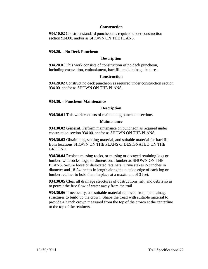## **Construction**

**934.10.02** Construct standard puncheon as required under construction section 934.00. and/or as SHOWN ON THE PLANS.

## **934.20. – No Deck Puncheon**

#### **Description**

**934.20.01** This work consists of construction of no deck puncheon, including excavation, embankment, backfill, and drainage features.

### **Construction**

**934.20.02** Construct no deck puncheon as required under construction section 934.00. and/or as SHOWN ON THE PLANS.

### **934.30. – Puncheon Maintenance**

### **Description**

**934.30.01** This work consists of maintaining puncheon sections.

### **Maintenance**

**934.30.02 General**. Perform maintenance on puncheon as required under construction section 934.00. and/or as SHOWN ON THE PLANS.

**934.30.03** Obtain logs, staking material, and suitable material for backfill from locations SHOWN ON THE PLANS or DESIGNATED ON THE GROUND.

**934.30.04** Replace missing rocks, or missing or decayed retaining logs or lumber, with rocks, logs, or dimensional lumber as SHOWN ON THE PLANS. Secure loose or dislocated retainers. Drive stakes 2-3 inches in diameter and 18-24 inches in length along the outside edge of each log or lumber retainer to hold them in place at a maximum of 3 feet.

**934.30.05** Clear all drainage structures of obstructions, silt, and debris so as to permit the free flow of water away from the trail.

**934.30.06** If necessary, use suitable material removed from the drainage structures to build up the crown. Shape the tread with suitable material to provide a 2 inch crown measured from the top of the crown at the centerline to the top of the retainers.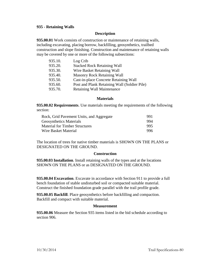## **935 - Retaining Walls**

### **Description**

**935.00.01** Work consists of construction or maintenance of retaining walls, including excavating, placing borrow, backfilling, geosynthetics, trailbed construction and slope finishing. Construction and maintenance of retaining walls may be covered by one or more of the following subsections:

| 935.10. | Log Crib                                     |
|---------|----------------------------------------------|
| 935.20. | <b>Stacked Rock Retaining Wall</b>           |
| 935.30. | Wire Basket Retaining Wall                   |
| 935.40. | <b>Masonry Rock Retaining Wall</b>           |
| 935.50. | Cast-in-place Concrete Retaining Wall        |
| 935.60. | Post and Plank Retaining Wall (Soldier Pile) |
| 935.70. | <b>Retaining Wall Maintenance</b>            |

#### **Materials**

**935.00.02 Requirements**. Use materials meeting the requirements of the following section:

| Rock, Grid Pavement Units, and Aggregate | 991 |
|------------------------------------------|-----|
| <b>Geosynthetics Materials</b>           | 994 |
| <b>Material for Timber Structures</b>    | 995 |
| Wire Basket Material                     | 996 |

The location of trees for native timber materials is SHOWN ON THE PLANS or DESIGNATED ON THE GROUND.

#### **Construction**

**935.00.03 Installation**. Install retaining walls of the types and at the locations SHOWN ON THE PLANS or as DESIGNATED ON THE GROUND.

**935.00.04 Excavation**. Excavate in accordance with Section 911 to provide a full bench foundation of stable undisturbed soil or compacted suitable material. Construct the finished foundation grade parallel with the trail profile grade.

**935.00.05 Backfill**. Place geosynthetics before backfilling and compaction. Backfill and compact with suitable material.

#### **Measurement**

**935.00.06** Measure the Section 935 items listed in the bid schedule according to section 906.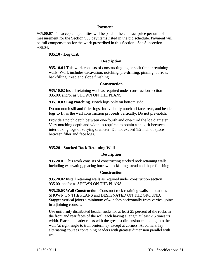### **Payment**

**935.00.07** The accepted quantities will be paid at the contract price per unit of measurement for the Section 935 pay items listed in the bid schedule. Payment will be full compensation for the work prescribed in this Section. See Subsection 906.04.

## **935.10 - Log Crib**

### **Description**

**935.10.01** This work consists of constructing log or split timber retaining walls. Work includes excavation, notching, pre-drilling, pinning, borrow, backfilling, tread and slope finishing.

#### **Construction**

**935.10.02** Install retaining walls as required under construction section 935.00. and/or as SHOWN ON THE PLANS.

**935.10.03 Log Notching.** Notch logs only on bottom side.

Do not notch sill and filler logs. Individually notch all face, rear, and header logs to fit as the wall construction proceeds vertically. Do not pre-notch.

Provide a notch depth between one-fourth and one-third the log diameter. Vary notching depth and width as required to obtain a snug fit between interlocking logs of varying diameter. Do not exceed 1/2 inch of space between filler and face logs.

#### **935.20 - Stacked Rock Retaining Wall**

#### **Description**

**935.20.01** This work consists of constructing stacked rock retaining walls, including excavating, placing borrow, backfilling, tread and slope finishing.

### **Construction**

**935.20.02** Install retaining walls as required under construction section 935.00. and/or as SHOWN ON THE PLANS.

**935.20.03 Wall Construction.** Construct rock retaining walls at locations SHOWN ON THE PLANS and DESIGNATED ON THE GROUND. Stagger vertical joints a minimum of 4 inches horizontally from vertical joints in adjoining courses.

Use uniformly distributed header rocks for at least 25 percent of the rocks in the front and rear faces of the wall each having a length at least 2.5 times its width. Place all header rocks with the greatest dimension extending into the wall (at right angle to trail centerline), except at corners. At corners, lay alternating courses containing headers with greatest dimension parallel with wall.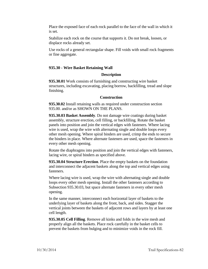Place the exposed face of each rock parallel to the face of the wall in which it is set.

Stabilize each rock on the course that supports it. Do not break, loosen, or displace rocks already set.

Use rocks of a general rectangular shape. Fill voids with small rock fragments or fine aggregate.

# **935.30 - Wire Basket Retaining Wall**

## **Description**

**935.30.01** Work consists of furnishing and constructing wire basket structures, including excavating, placing borrow, backfilling, tread and slope finishing.

## **Construction**

**935.30.02** Install retaining walls as required under construction section 935.00. and/or as SHOWN ON THE PLANS.

**935.30.03 Basket Assembly**. Do not damage wire coatings during basket assembly, structure erection, cell filling, or backfilling. Rotate the basket panels into position and join the vertical edges with fasteners. Where lacing wire is used, wrap the wire with alternating single and double loops every other mesh opening. Where spiral binders are used, crimp the ends to secure the binders in place. Where alternate fasteners are used, space the fasteners in every other mesh opening.

Rotate the diaphragms into position and join the vertical edges with fasteners, lacing wire, or spiral binders as specified above.

**935.30.04 Structure Erection**. Place the empty baskets on the foundation and interconnect the adjacent baskets along the top and vertical edges using fasteners.

Where lacing wire is used, wrap the wire with alternating single and double loops every other mesh opening. Install the other fasteners according to Subsection 935.30.03, but space alternate fasteners in every other mesh opening.

In the same manner, interconnect each horizontal layer of baskets to the underlying layer of baskets along the front, back, and sides. Stagger the vertical joints between the baskets of adjacent rows and layers by at least one cell length.

**935.30.05 Cell Filling**. Remove all kinks and folds in the wire mesh and properly align all the baskets. Place rock carefully in the basket cells to prevent the baskets from bulging and to minimize voids in the rock fill.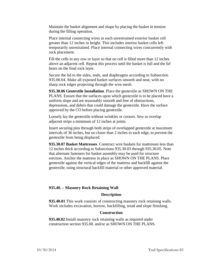Maintain the basket alignment and shape by placing the basket in tension during the filling operation.

Place internal connecting wires in each unrestrained exterior basket cell greater than 12 inches in height. This includes interior basket cells left temporarily unrestrained. Place internal connecting wires concurrently with rock placement.

Fill the cells in any row or layer so that no cell is filled more than 12 inches above an adjacent cell. Repeat this process until the basket is full and the lid bears on the final rock layer.

Secure the lid to the sides, ends, and diaphragms according to Subsection 935.00.04. Make all exposed basket surfaces smooth and neat, with no sharp rock edges projecting through the wire mesh.

**935.30.06 Geotextile Installation**. Place the geotextile as SHOWN ON THE PLANS. Ensure that the surfaces upon which geotextile is to be placed have a uniform slope and are reasonably smooth and free of obstructions, depressions, and debris that could damage the geotextile. Have the surface approved by the CO before placing geotextile.

Loosely lay the geotextile without wrinkles or creases. Sew or overlap adjacent strips a minimum of 12 inches at joints.

Insert securing pins through both strips of overlapped geotextile at maximum intervals of 36 inches, but no closer than 2 inches to each edge, to prevent the geotextile from being displaced.

**935.30.07 Basket Mattresses**. Construct wire baskets for mattresses less than 12 inches thick according to Subsections 935.30.03 through 935.30.05. Note that alternate fasteners for basket assembly may be used for structure erection. Anchor the mattress in place as SHOWN ON THE PLANS. Place geotextile against the vertical edges of the mattress and backfill against the geotextile, using structural backfill material or other approved material.

## **935.40. – Masonry Rock Retaining Wall**

#### **Description**

**935.40.01** This work consists of constructing masonry rock retaining walls. Work includes excavation, borrow, backfilling, tread and slope finishing.

### **Construction**

**935.40.02** Install masonry rock retaining walls as required under construction section 935.00. and/or as SHOWN ON THE PLANS.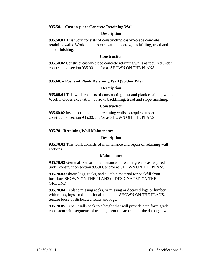## **935.50. – Cast-in-place Concrete Retaining Wall**

### **Description**

**935.50.01** This work consists of constructing cast-in-place concrete retaining walls. Work includes excavation, borrow, backfilling, tread and slope finishing.

### **Construction**

**935.50.02** Construct cast-in-place concrete retaining walls as required under construction section 935.00. and/or as SHOWN ON THE PLANS.

# **935.60. – Post and Plank Retaining Wall (Soldier Pile**)

### **Description**

**935.60.01** This work consists of constructing post and plank retaining walls. Work includes excavation, borrow, backfilling, tread and slope finishing.

### **Construction**

**935.60.02** Install post and plank retaining walls as required under construction section 935.00. and/or as SHOWN ON THE PLANS.

## **935.70 - Retaining Wall Maintenance**

#### **Description**

**935.70.01** This work consists of maintenance and repair of retaining wall sections.

#### **Maintenance**

**935.70.02 General**. Perform maintenance on retaining walls as required under construction section 935.00. and/or as SHOWN ON THE PLANS.

**935.70.03** Obtain logs, rocks, and suitable material for backfill from locations SHOWN ON THE PLANS or DESIGNATED ON THE GROUND.

**935.70.04** Replace missing rocks, or missing or decayed logs or lumber, with rocks, logs, or dimensional lumber as SHOWN ON THE PLANS. Secure loose or dislocated rocks and logs.

**935.70.05** Repair walls back to a height that will provide a uniform grade consistent with segments of trail adjacent to each side of the damaged wall.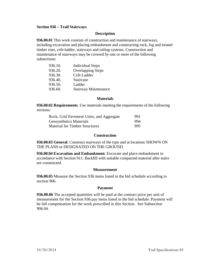## **Section 936 – Trail Stairways**

### **Description**

**936.00.01** This work consists of construction and maintenance of stairways, including excavation and placing embankment and constructing rock, log and treated timber riser, crib-ladder, stairways and railing systems. Construction and maintenance of stairways may be covered by one or more of the following subsections:

| 936.10. | <b>Individual Steps</b>     |
|---------|-----------------------------|
| 936.20. | <b>Overlapping Steps</b>    |
| 936.30. | Crib Ladder                 |
| 936.40. | Staircase                   |
| 936.50. | Ladder                      |
| 936.60. | <b>Stairway Maintenance</b> |

#### **Materials**

**936.00.02 Requirements**. Use materials meeting the requirements of the following sections:

| Rock, Grid Pavement Units, and Aggregate | 991  |
|------------------------------------------|------|
| <b>Geosynthetics Materials</b>           | 994  |
| <b>Material for Timber Structures</b>    | 995. |

#### **Construction**

**936.00.03 General**. Construct stairways of the type and at locations SHOWN ON THE PLANS or DESIGNATED ON THE GROUND.

**936.00.04 Excavation and Embankment**. Excavate and place embankment in accordance with Section 911. Backfill with suitable compacted material after stairs are constructed.

#### **Measurement**

**936.00.05** Measure the Section 936 items listed in the bid schedule according to section 906.

#### **Payment**

**936.00.06** The accepted quantities will be paid at the contract price per unit of measurement for the Section 936 pay items listed in the bid schedule. Payment will be full compensation for the work prescribed in this Section. See Subsection 906.04.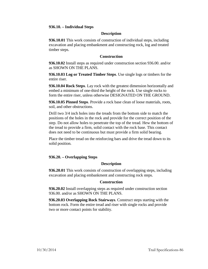## **936.10. – Individual Steps**

## **Description**

**936.10.01** This work consists of construction of individual steps, including excavation and placing embankment and constructing rock, log and treated timber steps.

## **Construction**

**936.10.02** Install steps as required under construction section 936.00. and/or as SHOWN ON THE PLANS.

**936.10.03 Log or Treated Timber Steps**. Use single logs or timbers for the entire riser.

**936.10.04 Rock Steps**. Lay rock with the greatest dimension horizontally and embed a minimum of one-third the height of the rock. Use single rocks to form the entire riser, unless otherwise DESIGNATED ON THE GROUND.

**936.10.05 Pinned Steps**. Provide a rock base clean of loose materials, roots, soil, and other obstructions.

Drill two 3/4 inch holes into the treads from the bottom side to match the positions of the holes in the rock and provide for the correct position of the step. Do not allow holes to penetrate the top of the tread. Hew the bottom of the tread to provide a firm, solid contact with the rock base. This contact does not need to be continuous but must provide a firm solid bearing.

Place the timber tread on the reinforcing bars and drive the tread down to its solid position.

#### **936.20. – Overlapping Steps**

#### **Description**

**936.20.01** This work consists of construction of overlapping steps, including excavation and placing embankment and constructing rock steps.

## **Construction**

**936.20.02** Install overlapping steps as required under construction section 936.00. and/or as SHOWN ON THE PLANS.

**936.20.03 Overlapping Rock Stairways**. Construct steps starting with the bottom rock. Form the entire tread and riser with single rocks and provide two or more contact points for stability.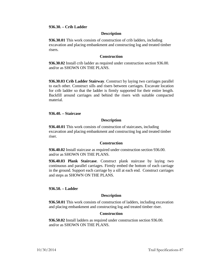### **936.30. – Crib Ladder**

### **Description**

**936.30.01** This work consists of construction of crib ladders, including excavation and placing embankment and constructing log and treated timber risers.

### **Construction**

**936.30.02** Install crib ladder as required under construction section 936.00. and/or as SHOWN ON THE PLANS.

**936.30.03 Crib Ladder Stairway**. Construct by laying two carriages parallel to each other. Construct sills and risers between carriages. Excavate location for crib ladder so that the ladder is firmly supported for their entire length. Backfill around carriages and behind the risers with suitable compacted material.

### **936.40. – Staircase**

### **Description**

**936.40.01** This work consists of construction of staircases, including excavation and placing embankment and constructing log and treated timber riser.

#### **Construction**

**936.40.02** Install staircase as required under construction section 936.00. and/or as SHOWN ON THE PLANS.

**936.40.03 Plank Staircase**. Construct plank staircase by laying two continuous and parallel carriages. Firmly embed the bottom of each carriage in the ground. Support each carriage by a sill at each end. Construct carriages and steps as SHOWN ON THE PLANS.

## **936.50. – Ladder**

#### **Description**

**936.50.01** This work consists of construction of ladders, including excavation and placing embankment and constructing log and treated timber riser.

### **Construction**

**936.50.02** Install ladders as required under construction section 936.00. and/or as SHOWN ON THE PLANS.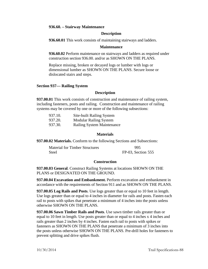### **936.60. – Stairway Maintenance**

## **Description**

**936.60.01** This work consists of maintaining stairways and ladders.

### **Maintenance**

**936.60.02** Perform maintenance on stairways and ladders as required under construction section 936.00. and/or as SHOWN ON THE PLANS.

Replace missing, broken or decayed logs or lumber with logs or dimensional lumber as SHOWN ON THE PLANS. Secure loose or dislocated stairs and steps.

## **Section 937— Railing System**

### **Description**

**937.00.01** This work consists of construction and maintenance of railing system, including fasteners, posts and railing. Construction and maintenance of railing systems may be covered by one or more of the following subsections:

| 937.10. | Site-built Railing System         |
|---------|-----------------------------------|
| 937.20. | <b>Modular Railing System</b>     |
| 937.30. | <b>Railing System Maintenance</b> |

### **Materials**

**937.00.02 Materials.** Conform to the following Sections and Subsections:

| <b>Material for Timber Structures</b> | 995                |
|---------------------------------------|--------------------|
| Steel                                 | FP-03, Section 555 |

## **Construction**

**937.00.03 General**. Construct Railing Systems at locations SHOWN ON THE PLANS or DESIGNATED ON THE GROUND.

**937.00.04 Excavation and Embankment.** Perform excavation and embankment in accordance with the requirements of Section 911 and as SHOWN ON THE PLANS.

**937.00.05 Log Rails and Posts**. Use logs greater than or equal to 10 feet in length. Use logs greater than or equal to 4 inches in diameter for rails and posts. Fasten each rail to posts with spikes that penetrate a minimum of 4 inches into the posts unless otherwise SHOWN ON THE PLANS.

**937.00.06 Sawn Timber Rails and Posts**. Use sawn timber rails greater than or equal to 10 feet in length. Use posts greater than or equal to 4 inches x 4 inches and rails greater than 2 inches by 4 inches. Fasten each rail to posts with spikes or fasteners as SHOWN ON THE PLANS that penetrate a minimum of 3 inches into the posts unless otherwise SHOWN ON THE PLANS. Pre-drill holes for fasteners to prevent splitting and drive spikes flush.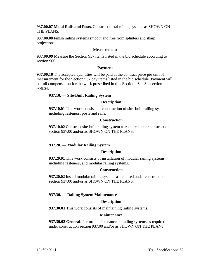**937.00.07 Metal Rails and Posts.** Construct metal railing systems as SHOWN ON THE PLANS.

**937.00.08** Finish railing systems smooth and free from splinters and sharp projections.

## **Measurement**

**937.00.09** Measure the Section 937 items listed in the bid schedule according to section 906.

## **Payment**

**937.00.10** The accepted quantities will be paid at the contract price per unit of measurement for the Section 937 pay items listed in the bid schedule. Payment will be full compensation for the work prescribed in this Section. See Subsection 906.04.

# **937.10. — Site-Built Railing System**

## **Description**

**937.10.01** This work consists of construction of site–built railing system, including fasteners, posts and rails.

# **Construction**

**937.10.02** Construct site-built railing system as required under construction section 937.00 and/or as SHOWN ON THE PLANS.

# **937.20. — Modular Railing System**

## **Description**

**937.20.01** This work consists of installation of modular railing systems, including fasteners, and modular railing systems.

## **Construction**

**937.20.02** Install modular railing systems as required under construction section 937.00 and/or as SHOWN ON THE PLANS.

# **937.30. — Railing System Maintenance**

## **Description**

**937.30.01** This work consists of maintaining railing systems.

## **Maintenance**

**937.30.02 General**. Perform maintenance on railing systems as required under construction section 937.00 and/or as SHOWN ON THE PLANS.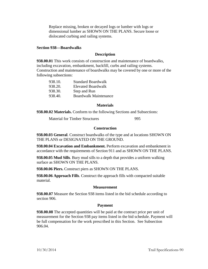Replace missing, broken or decayed logs or lumber with logs or dimensional lumber as SHOWN ON THE PLANS. Secure loose or dislocated curbing and railing systems.

## **Section 938—Boardwalks**

## **Description**

**938.00.01** This work consists of construction and maintenance of boardwalks, including excavation, embankment, backfill, curbs and railing systems. Construction and maintenance of boardwalks may be covered by one or more of the following subsections:

| <b>Standard Boardwalk</b>    |
|------------------------------|
| <b>Elevated Boardwalk</b>    |
| Step and Run                 |
| <b>Boardwalk Maintenance</b> |
|                              |

#### **Materials**

**938.00.02 Materials.** Conform to the following Sections and Subsections:

Material for Timber Structures 995

## **Construction**

**938.00.03 General**. Construct boardwalks of the type and at locations SHOWN ON THE PLANS or DESIGNATED ON THE GROUND.

**938.00.04 Excavation and Embankment.** Perform excavation and embankment in accordance with the requirements of Section 911 and as SHOWN ON THE PLANS.

**938.00.05 Mud Sills**. Bury mud sills to a depth that provides a uniform walking surface as SHOWN ON THE PLANS.

**938.00.06 Piers.** Construct piers as SHOWN ON THE PLANS.

**938.00.06 Approach Fills**. Construct the approach fills with compacted suitable material.

## **Measurement**

**938.00.07** Measure the Section 938 items listed in the bid schedule according to section 906.

## **Payment**

**938.00.08** The accepted quantities will be paid at the contract price per unit of measurement for the Section 938 pay items listed in the bid schedule. Payment will be full compensation for the work prescribed in this Section. See Subsection 906.04.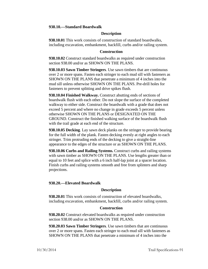### **938.10.—Standard Boardwalk**

### **Description**

**938.10.01** This work consists of construction of standard boardwalks, including excavation, embankment, backfill, curbs and/or railing system.

### **Construction**

**938.10.02** Construct standard boardwalks as required under construction section 938.00 and/or as SHOWN ON THE PLANS.

**938.10.03 Sawn Timber Stringers**. Use sawn timbers that are continuous over 2 or more spans. Fasten each stringer to each mud sill with fasteners as SHOWN ON THE PLANS that penetrate a minimum of 4 inches into the mud sill unless otherwise SHOWN ON THE PLANS. Pre-drill holes for fasteners to prevent splitting and drive spikes flush.

**938.10.04 Finished Walkway.** Construct abutting ends of sections of boardwalk flush with each other. Do not slope the surface of the completed walkway to either side. Construct the boardwalk with a grade that does not exceed 5 percent and where no change in grade exceeds 5 percent unless otherwise SHOWN ON THE PLANS or DESIGNATED ON THE GROUND. Construct the finished walking surface of the boardwalk flush with the trail grade at each end of the structure.

**938.10.05 Decking**. Lay sawn deck planks on the stringer to provide bearing for the full width of the plank. Fasten decking evenly at right angles to each stringer. Trim protruding ends of the decking to give a straight-line appearance to the edges of the structure or as SHOWN ON THE PLANS.

**938.10.06 Curbs and Railing Systems.** Construct curbs and railing systems with sawn timber as SHOWN ON THE PLANS. Use lengths greater than or equal to 10 feet and splice with a 6 inch half-lap joint at a spacer location. Finish curbs and railing systems smooth and free from splinters and sharp projections.

## **938.20.—Elevated Boardwalk**

## **Description**

**938.20.01** This work consists of construction of elevated boardwalks, including excavation, embankment, backfill, curbs and/or railing system.

#### **Construction**

**938.20.02** Construct elevated boardwalks as required under construction section 938.00 and/or as SHOWN ON THE PLANS.

**938.20.03 Sawn Timber Stringers**. Use sawn timbers that are continuous over 2 or more spans. Fasten each stringer to each mud sill with fasteners as SHOWN ON THE PLANS that penetrate a minimum of 4 inches into the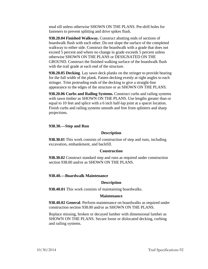mud sill unless otherwise SHOWN ON THE PLANS. Pre-drill holes for fasteners to prevent splitting and drive spikes flush.

**938.20.04 Finished Walkway.** Construct abutting ends of sections of boardwalk flush with each other. Do not slope the surface of the completed walkway to either side. Construct the boardwalk with a grade that does not exceed 5 percent and where no change in grade exceeds 5 percent unless otherwise SHOWN ON THE PLANS or DESIGNATED ON THE GROUND. Construct the finished walking surface of the boardwalk flush with the trail grade at each end of the structure.

**938.20.05 Decking**. Lay sawn deck planks on the stringer to provide bearing for the full width of the plank. Fasten decking evenly at right angles to each stringer. Trim protruding ends of the decking to give a straight-line appearance to the edges of the structure or as SHOWN ON THE PLANS.

**938.20.06 Curbs and Railing Systems.** Construct curbs and railing systems with sawn timber as SHOWN ON THE PLANS. Use lengths greater than or equal to 10 feet and splice with a 6 inch half-lap joint at a spacer location. Finish curbs and railing systems smooth and free from splinters and sharp projections.

## **938.30.—Step and Run**

### **Description**

**938.30.01** This work consists of construction of step and runs, including excavation, embankment, and backfill.

#### **Construction**

**938.30.02** Construct standard step and runs as required under construction section 938.00 and/or as SHOWN ON THE PLANS.

#### **938.40.—Boardwalk Maintenance**

#### **Description**

**938.40.01** This work consists of maintaining boardwalks.

### **Maintenance**

**938.40.02 General**. Perform maintenance on boardwalks as required under construction section 938.00 and/or as SHOWN ON THE PLANS.

Replace missing, broken or decayed lumber with dimensional lumber as SHOWN ON THE PLANS. Secure loose or dislocated decking, curbing and railing systems.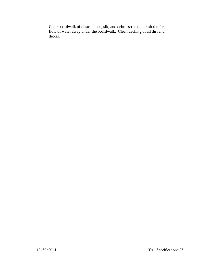Clear boardwalk of obstructions, silt, and debris so as to permit the free flow of water away under the boardwalk. Clean decking of all dirt and debris.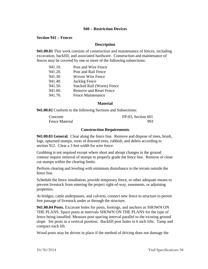## **940 – Restriction Devices**

### **Section 941 – Fences**

### **Description**

**941.00.01** This work consists of construction and maintenance of fences, including excavation, backfill, and associated hardware. Construction and maintenance of fences may be covered by one or more of the following subsections:

| 941.10. | Post and Wire Fence              |
|---------|----------------------------------|
| 941.20. | Post and Rail Fence              |
| 941.30. | Woven Wire Fence                 |
| 941.40. | Jackleg Fence                    |
| 941.50. | <b>Stacked Rail (Worm) Fence</b> |
| 941.60. | <b>Remove and Reset Fence</b>    |
| 941.70. | <b>Fence Maintenance</b>         |

#### **Material**

**941.00.02** Conform to the following Sections and Subsections:

| Concrete              | $FP-03$ , Section 601 |
|-----------------------|-----------------------|
| <b>Fence Material</b> | 993                   |

### **Construction Requirements**

**941.00.03 General.** Clear along the fence line. Remove and dispose of trees, brush, logs, upturned stumps, roots of downed trees, rubbish, and debris according to section 912. Clear a 3 feet width for wire fence.

Grubbing is not required except where short and abrupt changes in the ground contour require removal of stumps to properly grade the fence line. Remove or close cut stumps within the clearing limits.

Perform clearing and leveling with minimum disturbance to the terrain outside the fence line.

Schedule the fence installation, provide temporary fence, or other adequate means to prevent livestock from entering the project right-of-way, easements, or adjoining properties.

At bridges, cattle underpasses, and culverts, connect new fence to structure to permit free passage of livestock under or through the structure.

**941.00.04 Posts.** Excavate holes for posts, footings, and anchors as SHOWN ON THE PLANS. Space posts at intervals SHOWN ON THE PLANS for the type of fence being installed. Measure post spacing interval parallel to the existing ground slope. Set posts in a vertical position. Backfill post holes in 6 inch lifts. Tamp and compact each lift.

Wood posts may be driven in place if the method of driving does not damage the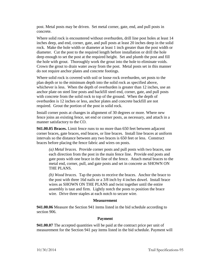post. Metal posts may be driven. Set metal corner, gate, end, and pull posts in concrete.

Where solid rock is encountered without overburden, drill line post holes at least 14 inches deep, and end, corner, gate, and pull posts at least 20 inches deep in the solid rock. Make the hole width or diameter at least 1 inch greater than the post width or diameter. Cut the post to the required length before installation or drill the hole deep enough to set the post at the required height. Set and plumb the post and fill the hole with grout. Thoroughly work the grout into the hole to eliminate voids. Crown the grout to drain water away from the post. Metal posts set in this manner do not require anchor plates and concrete footings.

Where solid rock is covered with soil or loose rock overburden, set posts to the plan depth or to the minimum depth into the solid rock as specified above, whichever is less. When the depth of overburden is greater than 12 inches, use an anchor plate on steel line posts and backfill steel end, corner, gate, and pull posts with concrete from the solid rock to top of the ground. When the depth of overburden is 12 inches or less, anchor plates and concrete backfill are not required. Grout the portion of the post in solid rock.

Install corner posts at changes in alignment of 30 degrees or more. Where new fence joins an existing fence, set end or corner posts, as necessary, and attach in a manner satisfactory to the CO.

**941.00.05 Braces.** Limit fence runs to no more than 650 feet between adjacent corner braces, gate braces, end braces, or line braces. Install line braces at uniform intervals so the distance between any two braces is 650 feet or less. Construct braces before placing the fence fabric and wires on posts.

*(a) Metal braces.* Provide corner posts and pull posts with two braces, one each direction from the post in the main fence line. Provide end posts and gate posts with one brace in the line of the fence. Attach metal braces to the metal end, corner, pull, and gate posts and set in concrete as SHOWN ON THE PLANS.

*(b) Wood braces.* Tap the posts to receive the braces. Anchor the brace to the post with three 16d nails or a 3/8 inch by 4 inches dowel. Install brace wires as SHOWN ON THE PLANS and twist together until the entire assembly is taut and firm. Lightly notch the posts to position the brace wire. Drive three staples at each notch to secure wire.

## **Measurement**

**941.00.06** Measure the Section 941 items listed in the bid schedule according to section 906.

## **Payment**

**941.00.07** The accepted quantities will be paid at the contract price per unit of measurement for the Section 941 pay items listed in the bid schedule. Payment will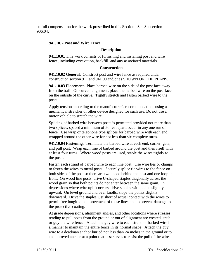be full compensation for the work prescribed in this Section. See Subsection 906.04.

## **941.10. - Post and Wire Fence**

## **Description**

**941.10.01** This work consists of furnishing and installing post and wire fence, including excavation, backfill, and any associated materials.

## **Construction**

**941.10.02 General.** Construct post and wire fence as required under construction section 911 and 941.00 and/or as SHOWN ON THE PLANS.

**941.10.03 Placement.** Place barbed wire on the side of the post face away from the trail. On curved alignment, place the barbed wire on the post face on the outside of the curve. Tightly stretch and fasten barbed wire to the posts.

Apply tension according to the manufacturer's recommendations using a mechanical stretcher or other device designed for such use. Do not use a motor vehicle to stretch the wire.

Splicing of barbed wire between posts is permitted provided not more than two splices, spaced a minimum of 50 feet apart, occur in any one run of fence. Use wrap or telephone type splices for barbed wire with each end wrapped around the other wire for not less than six complete turns.

**941.10.04 Fastening.** Terminate the barbed wire at each end, corner, gate, and pull post. Wrap each line of barbed around the post and then itself with at least four turns. Where wood posts are used, staple the wires tightly to the posts.

Fasten each strand of barbed wire to each line post. Use wire ties or clamps to fasten the wires to metal posts. Securely splice tie wires to the fence on both sides of the post so there are two loops behind the post and one loop in front. On wood line posts, drive U-shaped staples diagonally across the wood grain so that both points do not enter between the same grain. In depressions where wire uplift occurs, drive staples with points slightly upward. On level ground and over knolls, slope the points slightly downward. Drive the staples just short of actual contact with the wires to permit free longitudinal movement of those lines and to prevent damage to the protective coating.

At grade depressions, alignment angles, and other locations where stresses tending to pull posts from the ground or out of alignment are created, snub or guy the wire fence. Attach the guy wire to each strand of barbed wire in a manner to maintain the entire fence in its normal shape. Attach the guy wire to a deadman anchor buried not less than 24 inches in the ground or to an approved anchor at a point that best serves to resist the pull of the wire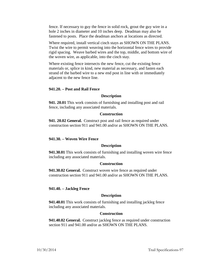fence. If necessary to guy the fence in solid rock, grout the guy wire in a hole 2 inches in diameter and 10 inches deep. Deadman may also be fastened to posts. Place the deadman anchors at locations as directed.

Where required, install vertical cinch stays as SHOWN ON THE PLANS. Twist the wire to permit weaving into the horizontal fence wires to provide rigid spacing. Weave barbed wires and the top, middle, and bottom wire of the woven wire, as applicable, into the cinch stay.

Where existing fence intersects the new fence, cut the existing fence materials or, splice in kind, new material as necessary, and fasten each strand of the barbed wire to a new end post in line with or immediately adjacent to the new fence line.

#### **941.20. – Post and Rail Fence**

#### **Description**

**941. 20.01** This work consists of furnishing and installing post and rail fence, including any associated materials.

#### **Construction**

**941. 20.02 General.** Construct post and rail fence as required under construction section 911 and 941.00 and/or as SHOWN ON THE PLANS.

#### **941.30. – Woven Wire Fence**

### **Description**

**941.30.01** This work consists of furnishing and installing woven wire fence including any associated materials.

#### **Construction**

**941.30.02 General.** Construct woven wire fence as required under construction section 911 and 941.00 and/or as SHOWN ON THE PLANS.

### **941.40. – Jackleg Fence**

#### **Description**

**941.40.01** This work consists of furnishing and installing jackleg fence including any associated materials.

### **Construction**

**941.40.02 General.** Construct jackleg fence as required under construction section 911 and 941.00 and/or as SHOWN ON THE PLANS.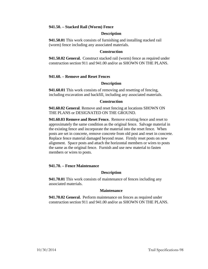## **941.50. – Stacked Rail (Worm) Fence**

### **Description**

**941.50.01** This work consists of furnishing and installing stacked rail (worm) fence including any associated materials.

#### **Construction**

**941.50.02 General.** Construct stacked rail (worm) fence as required under construction section 911 and 941.00 and/or as SHOWN ON THE PLANS.

### **941.60. – Remove and Reset Fences**

### **Description**

**941.60.01** This work consists of removing and resetting of fencing, including excavation and backfill, including any associated materials.

#### **Construction**

**941.60.02 General**. Remove and reset fencing at locations SHOWN ON THE PLANS or DESIGNATED ON THE GROUND.

**941.60.03 Remove and Reset Fence.** Remove existing fence and reset to approximately the same condition as the original fence. Salvage material in the existing fence and incorporate the material into the reset fence. When posts are set in concrete, remove concrete from old post and reset in concrete. Replace fence material damaged beyond reuse. Firmly reset posts on new alignment. Space posts and attach the horizontal members or wires to posts the same as the original fence. Furnish and use new material to fasten members or wires to posts.

## **941.70. – Fence Maintenance**

### **Description**

**941.70.01** This work consists of maintenance of fences including any associated materials.

## **Maintenance**

**941.70.02 General.** Perform maintenance on fences as required under construction section 911 and 941.00 and/or as SHOWN ON THE PLANS.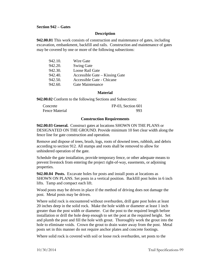### **Section 942 – Gates**

### **Description**

**942.00.01** This work consists of construction and maintenance of gates, including excavation, embankment, backfill and rails. Construction and maintenance of gates may be covered by one or more of the following subsections:

| 942.10. | Wire Gate                      |
|---------|--------------------------------|
| 942.20. | <b>Swing Gate</b>              |
| 942.30. | Loose Rail Gate                |
| 942.40. | Accessible Gate – Kissing Gate |
| 942.50. | Accessible Gate - Chicane      |
| 942.60. | Gate Maintenance               |

#### **Material**

**942.00.02** Conform to the following Sections and Subsections:

| Concrete       | FP-03, Section 601 |
|----------------|--------------------|
| Fence Material | 993                |

## **Construction Requirements**

**942.00.03 General.** Construct gates at locations SHOWN ON THE PLANS or DESIGNATED ON THE GROUND. Provide minimum 10 feet clear width along the fence line for gate construction and operation.

Remove and dispose of trees, brush, logs, roots of downed trees, rubbish, and debris according to section 912. All stumps and roots shall be removed to allow for unhindered operation of the gate.

Schedule the gate installation, provide temporary fence, or other adequate means to prevent livestock from entering the project right-of-way, easements, or adjoining properties.

**942.00.04 Posts.** Excavate holes for posts and install posts at locations as SHOWN ON PLANS. Set posts in a vertical position. Backfill post holes in 6 inch lifts. Tamp and compact each lift.

Wood posts may be driven in place if the method of driving does not damage the post. Metal posts may be driven.

Where solid rock is encountered without overburden, drill gate post holes at least 20 inches deep in the solid rock. Make the hole width or diameter at least 1 inch greater than the post width or diameter. Cut the post to the required length before installation or drill the hole deep enough to set the post at the required height. Set and plumb the post and fill the hole with grout. Thoroughly work the grout into the hole to eliminate voids. Crown the grout to drain water away from the post. Metal posts set in this manner do not require anchor plates and concrete footings.

Where solid rock is covered with soil or loose rock overburden, set posts to the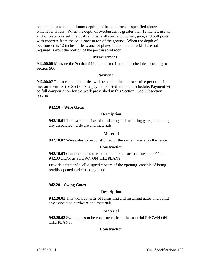plan depth or to the minimum depth into the solid rock as specified above, whichever is less. When the depth of overburden is greater than 12 inches, use an anchor plate on steel line posts and backfill steel end, corner, gate, and pull posts with concrete from the solid rock to top of the ground. When the depth of overburden is 12 inches or less, anchor plates and concrete backfill are not required. Grout the portion of the post in solid rock.

#### **Measurement**

**942.00.06** Measure the Section 942 items listed in the bid schedule according to section 906.

#### **Payment**

**942.00.07** The accepted quantities will be paid at the contract price per unit of measurement for the Section 942 pay items listed in the bid schedule. Payment will be full compensation for the work prescribed in this Section. See Subsection 906.04.

### **942.10 – Wire Gates**

#### **Description**

**942.10.01** This work consists of furnishing and installing gates, including any associated hardware and materials.

#### **Material**

**942.10.02** Wire gates to be constructed of the same material as the fence.

#### **Construction**

**942.10.03** Construct gates as required under construction section 911 and 942.00 and/or as SHOWN ON THE PLANS.

Provide a taut and well-aligned closure of the opening, capable of being readily opened and closed by hand.

#### **942.20 – Swing Gates**

#### **Description**

**942.20.01** This work consists of furnishing and installing gates, including any associated hardware and materials.

#### **Material**

**942.20.02** Swing gates to be constructed from the material SHOWN ON THE PLANS.

#### **Construction**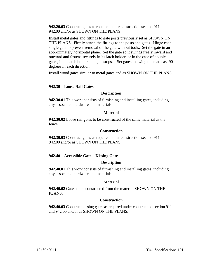**942.20.03** Construct gates as required under construction section 911 and 942.00 and/or as SHOWN ON THE PLANS.

Install metal gates and fittings to gate posts previously set as SHOWN ON THE PLANS. Firmly attach the fittings to the posts and gates. Hinge each single gate to prevent removal of the gate without tools. Set the gate in an approximately horizontal plane. Set the gate so it swings freely inward and outward and fastens securely in its latch holder, or in the case of double gates, in its latch holder and gate stops. Set gates to swing open at least 90 degrees in each direction.

Install wood gates similar to metal gates and as SHOWN ON THE PLANS.

## **942.30 – Loose Rail Gates**

### **Description**

**942.30.01** This work consists of furnishing and installing gates, including any associated hardware and materials.

#### **Material**

**942.30.02** Loose rail gates to be constructed of the same material as the fence.

## **Construction**

**942.30.03** Construct gates as required under construction section 911 and 942.00 and/or as SHOWN ON THE PLANS.

## **942.40 – Accessible Gate – Kissing Gate**

### **Description**

**942.40.01** This work consists of furnishing and installing gates, including any associated hardware and materials.

#### **Material**

**942.40.02** Gates to be constructed from the material SHOWN ON THE PLANS.

## **Construction**

**942.40.03** Construct kissing gates as required under construction section 911 and 942.00 and/or as SHOWN ON THE PLANS.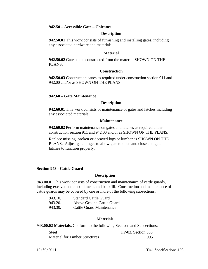## **942.50 – Accessible Gate – Chicanes**

### **Description**

**942.50.01** This work consists of furnishing and installing gates, including any associated hardware and materials.

### **Material**

**942.50.02** Gates to be constructed from the material SHOWN ON THE PLANS.

### **Construction**

**942.50.03** Construct chicanes as required under construction section 911 and 942.00 and/or as SHOWN ON THE PLANS.

## **942.60 – Gate Maintenance**

### **Description**

**942.60.01** This work consists of maintenance of gates and latches including any associated materials.

#### **Maintenance**

**942.60.02** Perform maintenance on gates and latches as required under construction section 911 and 942.00 and/or as SHOWN ON THE PLANS.

Replace missing, broken or decayed logs or lumber as SHOWN ON THE PLANS. Adjust gate hinges to allow gate to open and close and gate latches to function properly.

## **Section 943 - Cattle Guard**

## **Description**

**943.00.01** This work consists of construction and maintenance of cattle guards, including excavation, embankment, and backfill. Construction and maintenance of cattle guards may be covered by one or more of the following subsections:

| 943.10. | <b>Standard Cattle Guard</b> |
|---------|------------------------------|
| 943.20. | Above Ground Cattle Guard    |
| 943.30. | Cattle Guard Maintenance     |

#### **Materials**

**943.00.02 Materials.** Conform to the following Sections and Subsections:

| <b>Steel</b>                          | FP-03, Section 555 |
|---------------------------------------|--------------------|
| <b>Material for Timber Structures</b> | 995                |

10/30/2014 Trail Specifications-102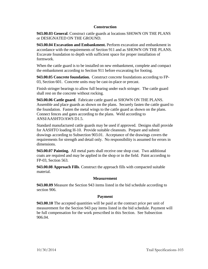# **Construction**

**943.00.03 General**. Construct cattle guards at locations SHOWN ON THE PLANS or DESIGNATED ON THE GROUND.

**943.00.04 Excavation and Embankment.** Perform excavation and embankment in accordance with the requirements of Section 911 and as SHOWN ON THE PLANS. Excavate foundation to depth with sufficient space for proper installation of formwork.

When the cattle guard is to be installed on new embankment, complete and compact the embankment according to Section 911 before excavating for footing.

**943.00.05 Concrete foundation.** Construct concrete foundations according to FP-03, Section 601. Concrete units may be cast-in-place or precast.

Finish stringer bearings to allow full bearing under each stringer. The cattle guard shall rest on the concrete without rocking.

**943.00.06 Cattle guard**. Fabricate cattle guard as SHOWN ON THE PLANS. Assemble and place guards as shown on the plans. Securely fasten the cattle guard to the foundation. Fasten the metal wings to the cattle guard as shown on the plans. Connect fences and gates according to the plans. Weld according to ANSI/AASHTO/AWS D1.5.

Standard manufactured cattle guards may be used if approved. Designs shall provide for AASHTO loading H-10. Provide suitable cleanouts. Prepare and submit drawings according to Subsection 903.01. Acceptance of the drawings covers the requirements for strength and detail only. No responsibility is assumed for errors in dimensions.

**943.00.07 Painting.** All metal parts shall receive one shop coat. Two additional coats are required and may be applied in the shop or in the field. Paint according to FP-03, Section 563.

**943.00.08 Approach Fills**. Construct the approach fills with compacted suitable material.

## **Measurement**

**943.00.09** Measure the Section 943 items listed in the bid schedule according to section 906.

## **Payment**

**943.00.10** The accepted quantities will be paid at the contract price per unit of measurement for the Section 943 pay items listed in the bid schedule. Payment will be full compensation for the work prescribed in this Section. See Subsection 906.04.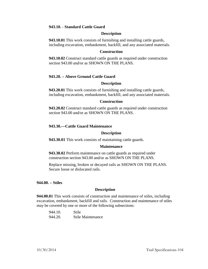## **943.10. - Standard Cattle Guard**

#### **Description**

**943.10.01** This work consists of furnishing and installing cattle guards, including excavation, embankment, backfill, and any associated materials.

#### **Construction**

**943.10.02** Construct standard cattle guards as required under construction section 943.00 and/or as SHOWN ON THE PLANS.

## **943.20. – Above Ground Cattle Guard**

### **Description**

**943.20.01** This work consists of furnishing and installing cattle guards, including excavation, embankment, backfill, and any associated materials.

### **Construction**

**943.20.02** Construct standard cattle guards as required under construction section 943.00 and/or as SHOWN ON THE PLANS.

## **943.30.—Cattle Guard Maintenance**

### **Description**

**943.30.01** This work consists of maintaining cattle guards.

## **Maintenance**

**943.30.02** Perform maintenance on cattle guards as required under construction section 943.00 and/or as SHOWN ON THE PLANS.

Replace missing, broken or decayed rails as SHOWN ON THE PLANS. Secure loose or dislocated rails.

#### **944.00. – Stiles**

## **Description**

**944.00.01** This work consists of construction and maintenance of stiles, including excavation, embankment, backfill and rails. Construction and maintenance of stiles may be covered by one or more of the following subsections:

| 944.10. | Stile             |
|---------|-------------------|
| 944.20. | Stile Maintenance |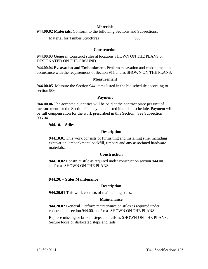### **Materials**

**944.00.02 Materials.** Conform to the following Sections and Subsections:

Material for Timber Structures 995

## **Construction**

**944.00.03 General**. Construct stiles at locations SHOWN ON THE PLANS or DESIGNATED ON THE GROUND.

**944.00.04 Excavation and Embankment.** Perform excavation and embankment in accordance with the requirements of Section 911 and as SHOWN ON THE PLANS.

### **Measurement**

**944.00.05** Measure the Section 944 items listed in the bid schedule according to section 906.

## **Payment**

**944.00.06** The accepted quantities will be paid at the contract price per unit of measurement for the Section 944 pay items listed in the bid schedule. Payment will be full compensation for the work prescribed in this Section. See Subsection 906.04.

# **944.10. – Stiles**

## **Description**

**944.10.01** This work consists of furnishing and installing stile, including excavation, embankment, backfill, timbers and any associated hardware materials.

## **Construction**

**944.10.02** Construct stile as required under construction section 944.00. and/or as SHOWN ON THE PLANS.

## **944.20. – Stiles Maintenance**

# **Description**

**944.20.01** This work consists of maintaining stiles.

## **Maintenance**

**944.20.02 General**. Perform maintenance on stiles as required under construction section 944.00. and/or as SHOWN ON THE PLANS.

Replace missing or broken steps and rails as SHOWN ON THE PLANS. Secure loose or dislocated steps and rails.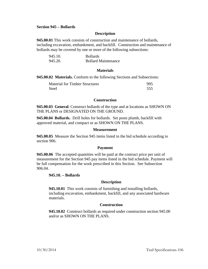### **Section 945 – Bollards**

### **Description**

**945.00.01** This work consists of construction and maintenance of bollards, including excavation, embankment, and backfill. Construction and maintenance of bollards may be covered by one or more of the following subsections:

| 945.10. | <b>Bollards</b>            |
|---------|----------------------------|
| 945.20. | <b>Bollard Maintenance</b> |

### **Materials**

**945.00.02 Materials.** Conform to the following Sections and Subsections:

| <b>Material for Timber Structures</b> | 995 |
|---------------------------------------|-----|
| <b>Steel</b>                          | 555 |

### **Construction**

**945.00.03 General**. Construct bollards of the type and at locations as SHOWN ON THE PLANS or DESIGNATED ON THE GROUND.

**945.00.04 Bollards.** Drill holes for bollards. Set posts plumb, backfill with approved material, and compact or as SHOWN ON THE PLANS.

### **Measurement**

**945.00.05** Measure the Section 945 items listed in the bid schedule according to section 906.

## **Payment**

**945.00.06** The accepted quantities will be paid at the contract price per unit of measurement for the Section 945 pay items listed in the bid schedule. Payment will be full compensation for the work prescribed in this Section. See Subsection 906.04.

#### **945.10. – Bollards**

#### **Description**

**945.10.01** This work consists of furnishing and installing bollards, including excavation, embankment, backfill, and any associated hardware materials.

## **Construction**

**945.10.02** Construct bollards as required under construction section 945.00 and/or as SHOWN ON THE PLANS.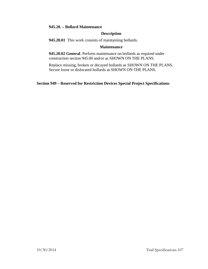## **945.20. – Bollard Maintenance**

## **Description**

**945.20.01** This work consists of maintaining bollards.

### **Maintenance**

**945.20.02 General**. Perform maintenance on bollards as required under construction section 945.00 and/or as SHOWN ON THE PLANS.

Replace missing, broken or decayed bollards as SHOWN ON THE PLANS. Secure loose or dislocated bollards as SHOWN ON THE PLANS.

# **Section 949 – Reserved for Restriction Devices Special Project Specifications**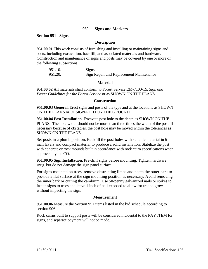## **950. Signs and Markers**

**Section 951 - Signs**

## **Description**

**951.00.01** This work consists of furnishing and installing or maintaining signs and posts, including excavation, backfill, and associated materials and hardware. Construction and maintenance of signs and posts may be covered by one or more of the following subsections:

| 951.10. | Signs                                   |
|---------|-----------------------------------------|
| 951.20. | Sign Repair and Replacement Maintenance |

## **Material**

**951.00.02** All materials shall conform to Forest Service EM-7100-15, *Sign and Poster Guidelines for the Forest Service* or as SHOWN ON THE PLANS.

### **Construction**

**951.00.03 General.** Erect signs and posts of the type and at the locations as SHOWN ON THE PLANS or DESIGNATED ON THE GROUND.

**951.00.04 Post Installation**. Excavate post hole to the depth as SHOWN ON THE PLANS. The hole width should not be more than three times the width of the post. If necessary because of obstacles, the post hole may be moved within the tolerances as SHOWN ON THE PLANS.

Set posts in a plumb position. Backfill the post holes with suitable material in 6 inch layers and compact material to produce a solid installation. Stabilize the post with concrete or rock mounds built in accordance with rock cairn specifications when approved by the CO.

**951.00.05 Sign Installation**. Pre-drill signs before mounting. Tighten hardware snug, but do not damage the sign panel surface.

For signs mounted on trees, remove obstructing limbs and notch the outer bark to provide a flat surface at the sign mounting position as necessary. Avoid removing the inner bark or cutting the cambium. Use 50-penny galvanized nails or spikes to fasten signs to trees and leave 1 inch of nail exposed to allow for tree to grow without impacting the sign.

## **Measurement**

**951.00.06** Measure the Section 951 items listed in the bid schedule according to section 906.

Rock cairns built to support posts will be considered incidental to the PAY ITEM for signs, and separate payment will not be made.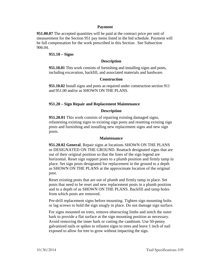### **Payment**

**951.00.07** The accepted quantities will be paid at the contract price per unit of measurement for the Section 951 pay items listed in the bid schedule. Payment will be full compensation for the work prescribed in this Section. See Subsection 906.04.

### **951.10 – Signs**

### **Description**

**951.10.01** This work consists of furnishing and installing signs and posts, including excavation, backfill, and associated materials and hardware.

### **Construction**

**951.10.02** Install signs and posts as required under construction section 911 and 951.00 and/or as SHOWN ON THE PLANS.

### **951.20 – Sign Repair and Replacement Maintenance**

### **Description**

**951.20.01** This work consists of repairing existing damaged signs, refastening existing signs to existing sign posts and resetting existing sign posts and furnishing and installing new replacement signs and new sign posts.

### **Maintenance**

**951.20.02 General**. Repair signs at locations SHOWN ON THE PLANS or DESIGNATED ON THE GROUND. Reattach designated signs that are out of their original position so that the lines of the sign legend are horizontal. Reset sign support posts to a plumb position and firmly tamp in place. Set sign posts designated for replacement in the ground to a depth as SHOWN ON THE PLANS at the approximate location of the original post.

Reset existing posts that are out of plumb and firmly tamp in place. Set posts that need to be reset and new replacement posts in a plumb position and to a depth of as SHOWN ON THE PLANS. Backfill and tamp holes from which posts are removed.

Pre-drill replacement signs before mounting. Tighten sign mounting bolts or lag screws to hold the sign snugly in place. Do not damage sign surface.

For signs mounted on trees, remove obstructing limbs and notch the outer bark to provide a flat surface at the sign mounting position as necessary. Avoid removing the inner bark or cutting the cambium. Use 50-penny galvanized nails or spikes to refasten signs to trees and leave 1 inch of nail exposed to allow for tree to grow without impacting the sign.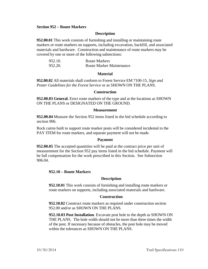### **Section 952 – Route Markers**

### **Description**

**952.00.01** This work consists of furnishing and installing or maintaining route markers or route markers on supports, including excavation, backfill, and associated materials and hardware. Construction and maintenance of route markers may be covered by one or more of the following subsections:

| 952.10. | Route Markers                   |
|---------|---------------------------------|
| 952.20. | <b>Route Marker Maintenance</b> |

### **Material**

**952.00.02** All materials shall conform to Forest Service EM 7100-15, *Sign and Poster Guidelines for the Forest Service* or as SHOWN ON THE PLANS.

### **Construction**

**952.00.03 General.** Erect route markers of the type and at the locations as SHOWN ON THE PLANS or DESIGNATED ON THE GROUND.

### **Measurement**

**952.00.04** Measure the Section 952 items listed in the bid schedule according to section 906.

Rock cairns built to support route marker posts will be considered incidental to the PAY ITEM for route markers, and separate payment will not be made.

### **Payment**

**952.00.05** The accepted quantities will be paid at the contract price per unit of measurement for the Section 952 pay items listed in the bid schedule. Payment will be full compensation for the work prescribed in this Section. See Subsection 906.04.

### **952.10 – Route Markers**

### **Description**

**952.10.01** This work consists of furnishing and installing route markers or route markers on supports, including associated materials and hardware.

### **Construction**

**952.10.02** Construct route markers as required under construction section 952.00 and/or as SHOWN ON THE PLANS.

**952.10.03 Post Installation**. Excavate post hole to the depth as SHOWN ON THE PLANS. The hole width should not be more than three times the width of the post. If necessary because of obstacles, the post hole may be moved within the tolerances as SHOWN ON THE PLANS.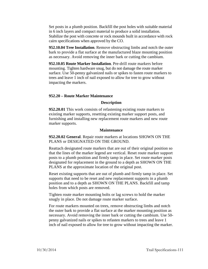Set posts in a plumb position. Backfill the post holes with suitable material in 6 inch layers and compact material to produce a solid installation. Stabilize the post with concrete or rock mounds built in accordance with rock cairn specifications when approved by the CO.

**952.10.04 Tree Installation**. Remove obstructing limbs and notch the outer bark to provide a flat surface at the manufactured blaze mounting position as necessary. Avoid removing the inner bark or cutting the cambium.

**952.10.05 Route Marker Installation**. Pre-drill route markers before mounting. Tighten hardware snug, but do not damage the route marker surface. Use 50-penny galvanized nails or spikes to fasten route markers to trees and leave 1 inch of nail exposed to allow for tree to grow without impacting the markers.

## **952.20 – Route Marker Maintenance**

## **Description**

**952.20.01** This work consists of refastening existing route markers to existing marker supports, resetting existing marker support posts, and furnishing and installing new replacement route markers and new route marker supports.

### **Maintenance**

**952.20.02 General**. Repair route markers at locations SHOWN ON THE PLANS or DESIGNATED ON THE GROUND.

Reattach designated route markers that are out of their original position so that the lines of the marker legend are vertical. Reset route marker support posts to a plumb position and firmly tamp in place. Set route marker posts designated for replacement in the ground to a depth as SHOWN ON THE PLANS at the approximate location of the original post.

Reset existing supports that are out of plumb and firmly tamp in place. Set supports that need to be reset and new replacement supports in a plumb position and to a depth as SHOWN ON THE PLANS. Backfill and tamp holes from which posts are removed.

Tighten route marker mounting bolts or lag screws to hold the marker snugly in place. Do not damage route marker surface.

For route markers mounted on trees, remove obstructing limbs and notch the outer bark to provide a flat surface at the marker mounting position as necessary. Avoid removing the inner bark or cutting the cambium. Use 50 penny galvanized nails or spikes to refasten markers to trees and leave 1 inch of nail exposed to allow for tree to grow without impacting the marker.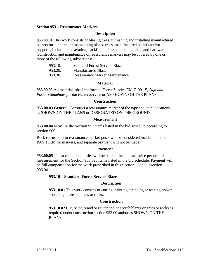### **Section 953 – Reassurance Markers**

### **Description**

**953.00.01** This work consists of blazing trees, furnishing and installing manufactured blazers on supports, or maintaining blazed trees, manufactured blazers and/or supports, including excavation, backfill, and associated materials and hardware. Construction and maintenance of reassurance markers may be covered by one or more of the following subsections:

| 953.10. | <b>Standard Forest Service Blaze</b> |
|---------|--------------------------------------|
| 953.20. | <b>Manufactured Blazer</b>           |
| 953.30. | Reassurance Marker Maintenance       |

### **Material**

**953.00.02** All materials shall conform to Forest Service EM-7100-15, *Sign and Poster Guidelines for the Forest Service* or AS SHOWN ON THE PLANS.

### **Construction**

**953.00.03 General.** Construct a reassurance marker of the type and at the locations as SHOWN ON THE PLANS or DESIGNATED ON THE GROUND.

### **Measurement**

**953.00.04** Measure the Section 953 items listed in the bid schedule according to section 906.

Rock cairns built to reassurance marker posts will be considered incidental to the PAY ITEM for markers, and separate payment will not be made.

### **Payment**

**953.00.05** The accepted quantities will be paid at the contract price per unit of measurement for the Section 953 pay items listed in the bid schedule. Payment will be full compensation for the work prescribed in this Section. See Subsection 906.04.

### **953.10 – Standard Forest Service Blaze**

### **Description**

**953.10.01** This work consists of cutting, painting, branding or routing and/or scorching blazes on trees or rocks.

### **Construction**

**953.10.02** Cut, paint, brand or router and/or scorch blazes on trees or rocks as required under construction section 953.00 and/or as SHOWN ON THE PLANS.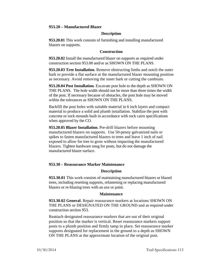### **953.20 – Manufactured Blazer**

### **Description**

**953.20.01** This work consists of furnishing and installing manufactured blazers on supports.

### **Construction**

**953.20.02** Install the manufactured blazer on supports as required under construction section 953.00 and/or as SHOWN ON THE PLANS.

**953.20.03 Tree Installation**. Remove obstructing limbs and notch the outer bark to provide a flat surface at the manufactured blazer mounting position as necessary. Avoid removing the inner bark or cutting the cambium.

**953.20.04 Post Installation**. Excavate post hole to the depth as SHOWN ON THE PLANS. The hole width should not be more than three times the width of the post. If necessary because of obstacles, the post hole may be moved within the tolerances as SHOWN ON THE PLANS.

Backfill the post holes with suitable material in 6 inch layers and compact material to produce a solid and plumb installation. Stabilize the post with concrete or rock mounds built in accordance with rock cairn specifications when approved by the CO.

**953.20.05 Blazer Installation**. Pre-drill blazers before mounting manufactured blazers on supports. Use 50-penny galvanized nails or spikes to fasten manufactured blazers to trees and leave 1 inch of nail exposed to allow for tree to grow without impacting the manufactured blazers. Tighten hardware snug for posts, but do not damage the manufactured blazer surface.

## **953.30 – Reassurance Marker Maintenance**

### **Description**

**953.30.01** This work consists of maintaining manufactured blazers or blazed trees, including resetting supports, refastening or replacing manufactured blazers or re-blazing trees with an axe or paint.

### **Maintenance**

**953.30.02 General**. Repair reassurance markers at locations SHOWN ON THE PLANS or DESIGNATED ON THE GROUND and as required under construction section 953.

Reattach designated reassurance markers that are out of their original position so that the marker is vertical. Reset reassurance markers support posts to a plumb position and firmly tamp in place. Set reassurance marker supports designated for replacement in the ground to a depth as SHOWN ON THE PLANS at the approximate location of the original post.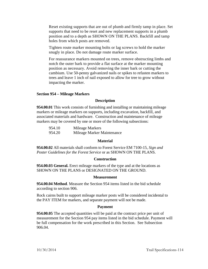Reset existing supports that are out of plumb and firmly tamp in place. Set supports that need to be reset and new replacement supports in a plumb position and to a depth as SHOWN ON THE PLANS. Backfill and tamp holes from which posts are removed.

Tighten route marker mounting bolts or lag screws to hold the marker snugly in place. Do not damage route marker surface.

For reassurance markers mounted on trees, remove obstructing limbs and notch the outer bark to provide a flat surface at the marker mounting position as necessary. Avoid removing the inner bark or cutting the cambium. Use 50-penny galvanized nails or spikes to refasten markers to trees and leave 1 inch of nail exposed to allow for tree to grow without impacting the marker.

## **Section 954 – Mileage Markers**

### **Description**

**954.00.01** This work consists of furnishing and installing or maintaining mileage markers or mileage markers on supports, including excavation, backfill, and associated materials and hardware. Construction and maintenance of mileage markers may be covered by one or more of the following subsections:

| 954.10 | Mileage Markers            |
|--------|----------------------------|
| 954.20 | Mileage Marker Maintenance |

## **Material**

**954.00.02** All materials shall conform to Forest Service EM 7100-15, *Sign and Poster Guidelines for the Forest Service* or as SHOWN ON THE PLANS.

### **Construction**

**954.00.03 General.** Erect mileage markers of the type and at the locations as SHOWN ON THE PLANS or DESIGNATED ON THE GROUND.

### **Measurement**

**954.00.04 Method**. Measure the Section 954 items listed in the bid schedule according to section 906.

Rock cairns built to support mileage marker posts will be considered incidental to the PAY ITEM for markers, and separate payment will not be made.

### **Payment**

**954.00.05** The accepted quantities will be paid at the contract price per unit of measurement for the Section 954 pay items listed in the bid schedule. Payment will be full compensation for the work prescribed in this Section. See Subsection 906.04.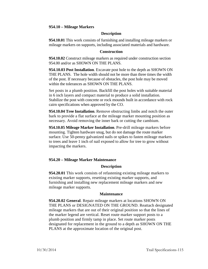### **954.10 – Mileage Markers**

### **Description**

**954.10.01** This work consists of furnishing and installing mileage markers or mileage markers on supports, including associated materials and hardware.

### **Construction**

**954.10.02** Construct mileage markers as required under construction section 954.00 and/or as SHOWN ON THE PLANS.

**954.10.03 Post Installation**. Excavate post hole to the depth as SHOWN ON THE PLANS. The hole width should not be more than three times the width of the post. If necessary because of obstacles, the post hole may be moved within the tolerances as SHOWN ON THE PLANS.

Set posts in a plumb position. Backfill the post holes with suitable material in 6 inch layers and compact material to produce a solid installation. Stabilize the post with concrete or rock mounds built in accordance with rock cairn specifications when approved by the CO.

**954.10.04 Tree Installation**. Remove obstructing limbs and notch the outer bark to provide a flat surface at the mileage marker mounting position as necessary. Avoid removing the inner bark or cutting the cambium.

**954.10.05 Mileage Marker Installation**. Pre-drill mileage markers before mounting. Tighten hardware snug, but do not damage the route marker surface. Use 50-penny galvanized nails or spikes to fasten mileage markers to trees and leave 1 inch of nail exposed to allow for tree to grow without impacting the markers.

## **954.20 – Mileage Marker Maintenance**

### **Description**

**954.20.01** This work consists of refastening existing mileage markers to existing marker supports, resetting existing marker supports, and furnishing and installing new replacement mileage markers and new mileage marker supports.

### **Maintenance**

**954.20.02 General**. Repair mileage markers at locations SHOWN ON THE PLANS or DESIGNATED ON THE GROUND. Reattach designated mileage markers that are out of their original position so that the lines of the marker legend are vertical. Reset route marker support posts to a plumb position and firmly tamp in place. Set route marker posts designated for replacement in the ground to a depth as SHOWN ON THE PLANS at the approximate location of the original post.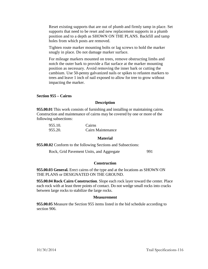Reset existing supports that are out of plumb and firmly tamp in place. Set supports that need to be reset and new replacement supports in a plumb position and to a depth as SHOWN ON THE PLANS. Backfill and tamp holes from which posts are removed.

Tighten route marker mounting bolts or lag screws to hold the marker snugly in place. Do not damage marker surface.

For mileage markers mounted on trees, remove obstructing limbs and notch the outer bark to provide a flat surface at the marker mounting position as necessary. Avoid removing the inner bark or cutting the cambium. Use 50-penny galvanized nails or spikes to refasten markers to trees and leave 1 inch of nail exposed to allow for tree to grow without impacting the marker.

**Section 955 – Cairns**

### **Description**

**955.00.01** This work consists of furnishing and installing or maintaining cairns. Construction and maintenance of cairns may be covered by one or more of the following subsections:

| 955.10. | Cairns            |
|---------|-------------------|
| 955.20. | Cairn Maintenance |

## **Material**

**955.00.02** Conform to the following Sections and Subsections:

Rock, Grid Pavement Units, and Aggregate 991

## **Construction**

**955.00.03 General.** Erect cairns of the type and at the locations as SHOWN ON THE PLANS or DESIGNATED ON THE GROUND.

**955.00.04 Rock Cairn Construction**. Slope each rock layer toward the center. Place each rock with at least three points of contact. Do not wedge small rocks into cracks between large rocks to stabilize the large rocks.

### **Measurement**

**955.00.05** Measure the Section 955 items listed in the bid schedule according to section 906.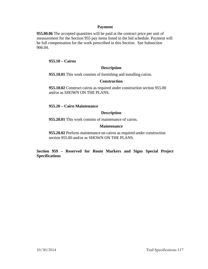## **Payment**

**955.00.06** The accepted quantities will be paid at the contract price per unit of measurement for the Section 955 pay items listed in the bid schedule. Payment will be full compensation for the work prescribed in this Section. See Subsection 906.04.

## **955.10 – Cairns**

## **Description**

**955.10.01** This work consists of furnishing and installing cairns.

## **Construction**

**955.10.02** Construct cairns as required under construction section 955.00 and/or as SHOWN ON THE PLANS.

## **955.20 – Cairn Maintenance**

## **Description**

**955.20.01** This work consists of maintenance of cairns.

## **Maintenance**

**955.20.02** Perform maintenance on cairns as required under construction section 955.00 and/or as SHOWN ON THE PLANS.

**Section 959 – Reserved for Route Markers and Signs Special Project Specifications**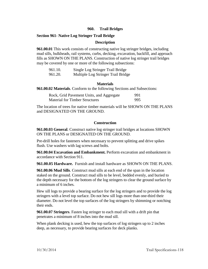## **960. Trail Bridges**

### **Section 961- Native Log Stringer Trail Bridge**

### **Description**

**961.00.01** This work consists of constructing native log stringer bridges, including mud sills, bulkheads, rail systems, curbs, decking, excavation, backfill, and approach fills as SHOWN ON THE PLANS. Construction of native log stringer trail bridges may be covered by one or more of the following subsections:

| 961.10. | Single Log Stringer Trail Bridge   |
|---------|------------------------------------|
| 961.20. | Multiple Log Stringer Trail Bridge |

### **Materials**

**961.00.02 Materials**. Conform to the following Sections and Subsections:

| Rock, Grid Pavement Units, and Aggregate | 991 |
|------------------------------------------|-----|
| <b>Material for Timber Structures</b>    | 995 |

The location of trees for native timber materials will be SHOWN ON THE PLANS and DESIGNATED ON THE GROUND.

### **Construction**

**961.00.03 General**. Construct native log stringer trail bridges at locations SHOWN ON THE PLANS or DESIGNATED ON THE GROUND.

Pre-drill holes for fasteners when necessary to prevent splitting and drive spikes flush. Use washers with lag screws and bolts.

**961.00.04 Excavation and Embankment.** Perform excavation and embankment in accordance with Section 911.

**961.00.05 Hardware.** Furnish and install hardware as SHOWN ON THE PLANS.

**961.00.06 Mud Sills**. Construct mud sills at each end of the span in the location staked on the ground. Construct mud sills to be level, bedded evenly, and buried to the depth necessary for the bottom of the log stringers to clear the ground surface by a minimum of 6 inches.

Hew sill logs to provide a bearing surface for the log stringers and to provide the log stringers with a level top surface. Do not hew sill logs more than one-third their diameter. Do not level the top surfaces of the log stringers by shimming or notching their ends.

**961.00.07 Stringers**. Fasten log stringer to each mud sill with a drift pin that penetrates a minimum of 8 inches into the mud sill.

When plank decking is used, hew the top surfaces of log stringers up to 2 inches deep, as necessary, to provide bearing surfaces for deck planks.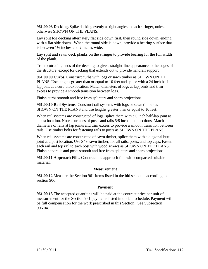**961.00.08 Decking.** Spike decking evenly at right angles to each stringer, unless otherwise SHOWN ON THE PLANS.

Lay split log decking alternately flat side down first, then round side down, ending with a flat side down. When the round side is down, provide a bearing surface that is between 1½ inches and 2 inches wide.

Lay split and sawn deck planks on the stringer to provide bearing for the full width of the plank.

Trim protruding ends of the decking to give a straight-line appearance to the edges of the structure, except for decking that extends out to provide handrail support.

**961.00.09 Curbs.** Construct curbs with logs or sawn timber as SHOWN ON THE PLANS. Use lengths greater than or equal to 10 feet and splice with a 24 inch halflap joint at a curb block location. Match diameters of logs at lap joints and trim excess to provide a smooth transition between logs.

Finish curbs smooth and free from splinters and sharp projections.

**961.00.10 Rail Systems**. Construct rail systems with logs or sawn timber as SHOWN ON THE PLANS and use lengths greater than or equal to 10 feet.

When rail systems are constructed of logs, splice them with a 6 inch half-lap joint at a post location. Notch surfaces of posts and rails 5/8 inch at connections. Match diameters of rails at lap joints and trim excess to provide a smooth transition between rails. Use timber bolts for fastening rails to posts as SHOWN ON THE PLANS.

When rail systems are constructed of sawn timber, splice them with a diagonal butt joint at a post location. Use S4S sawn timber, for all rails, posts, and top caps. Fasten each rail and top rail to each post with wood screws as SHOWN ON THE PLANS. Finish handrails and posts smooth and free from splinters and sharp projections.

**961.00.11 Approach Fills**. Construct the approach fills with compacted suitable material.

## **Measurement**

**961.00.12** Measure the Section 961 items listed in the bid schedule according to section 906.

## **Payment**

**961.00.13** The accepted quantities will be paid at the contract price per unit of measurement for the Section 961 pay items listed in the bid schedule. Payment will be full compensation for the work prescribed in this Section. See Subsection 906.04.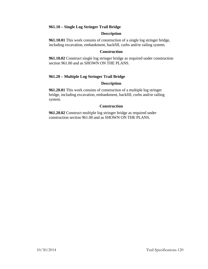## **961.10 – Single Log Stringer Trail Bridge**

## **Description**

**961.10.01** This work consists of construction of a single log stringer bridge, including excavation, embankment, backfill, curbs and/or railing system.

### **Construction**

**961.10.02** Construct single log stringer bridge as required under construction section 961.00 and as SHOWN ON THE PLANS.

## **961.20 – Multiple Log Stringer Trail Bridge**

## **Description**

**961.20.01** This work consists of construction of a multiple log stringer bridge, including excavation, embankment, backfill, curbs and/or railing system.

## **Construction**

**961.20.02** Construct multiple log stringer bridge as required under construction section 961.00 and as SHOWN ON THE PLANS.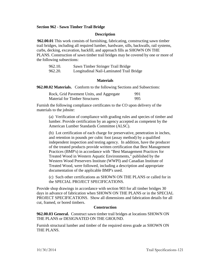## **Section 962 - Sawn Timber Trail Bridge**

### **Description**

**962.00.01** This work consists of furnishing, fabricating, constructing sawn timber trail bridges, including all required lumber, hardware, sills, backwalls, rail systems, curbs, decking, excavation, backfill, and approach fills as SHOWN ON THE PLANS. Construction of sawn timber trail bridges may be covered by one or more of the following subsections:

| 962.10. | Sawn Timber Stringer Trail Bridge        |
|---------|------------------------------------------|
| 962.20. | Longitudinal Nail-Laminated Trail Bridge |

### **Materials**

**962.00.02 Materials.** Conform to the following Sections and Subsections:

| Rock, Grid Pavement Units, and Aggregate | 991 |
|------------------------------------------|-----|
| <b>Material for Timber Structures</b>    | 995 |

Furnish the following compliance certificates to the CO upon delivery of the materials to the jobsite:

(a) Verification of compliance with grading rules and species of timber and lumber. Provide certification by an agency accepted as competent by the American Lumber Standards Committee (ALSC).

(b) Lot certification of each charge for preservative, penetration in inches, and retention in pounds per cubic foot (assay method) by a qualified independent inspection and testing agency. In addition, have the producer of the treated products provide written certification that Best Management Practices (BMP's) in accordance with "Best Management Practices for Treated Wood in Western Aquatic Environments," published by the Western Wood Preservers Institute (WWPI) and Canadian Institute of Treated Wood, were followed, including a description and appropriate documentation of the applicable BMP's used.

(c) Such other certifications as SHOWN ON THE PLANS or called for in the SPECIAL PROJECT SPECIFICATIONS.

Provide shop drawings in accordance with section 903 for all timber bridges 30 days in advance of fabrication when SHOWN ON THE PLANS or in the SPECIAL PROJECT SPECIFICATIONS. Show all dimensions and fabrication details for all cut, framed, or bored timbers.

### **Construction**

**962.00.03 General.** Construct sawn timber trail bridges at locations SHOWN ON THE PLANS or DESIGNATED ON THE GROUND.

Furnish structural lumber and timber of the required stress grade as SHOWN ON THE PLANS.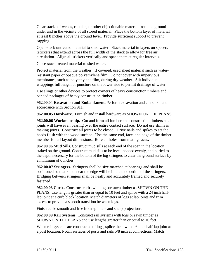Clear stacks of weeds, rubbish, or other objectionable material from the ground under and in the vicinity of all stored material. Place the bottom layer of material at least 8 inches above the ground level. Provide sufficient support to prevent sagging.

Open-stack untreated material to shed water. Stack material in layers on spacers (stickers) that extend across the full width of the stack to allow for free air circulation. Align all stickers vertically and space them at regular intervals.

Close-stack treated material to shed water.

Protect material from the weather. If covered, used sheet material such as waterresistant paper or opaque polyethylene film. Do not cover with impervious membranes, such as polyethylene film, during dry weather. Slit individual wrappings full length or puncture on the lower side to permit drainage of water.

Use slings or other devices to protect corners of heavy construction timbers and banded packages of heavy construction timber

**962.00.04 Excavation and Embankment.** Perform excavation and embankment in accordance with Section 911.

**962.00.05 Hardware.** Furnish and install hardware as SHOWN ON THE PLANS

**962.00.06 Workmanship.** Cut and form all lumber and construction timbers so all joints will have even bearing over the entire contact surface. Do not use shims in making joints. Construct all joints to be closed. Drive nails and spikes to set the heads flush with the wood surface. Use the same end, face, and edge of the timber member for all layout dimensions. Bore all holes from mating faces.

**962.00.06 Mud Sills**. Construct mud sills at each end of the span in the location staked on the ground. Construct mud sills to be level, bedded evenly, and buried to the depth necessary for the bottom of the log stringers to clear the ground surface by a minimum of 6 inches.

**962.00.07 Stringers.** Stringers shall be size matched at bearings and shall be positioned so that knots near the edge will be in the top portion of the stringers. Bridging between stringers shall be neatly and accurately framed and securely fastened.

**962.00.08 Curbs.** Construct curbs with logs or sawn timber as SHOWN ON THE PLANS. Use lengths greater than or equal to 10 feet and splice with a 24 inch halflap joint at a curb block location. Match diameters of logs at lap joints and trim excess to provide a smooth transition between logs.

Finish curbs smooth and free from splinters and sharp projections.

**962.00.09 Rail Systems**. Construct rail systems with logs or sawn timber as SHOWN ON THE PLANS and use lengths greater than or equal to 10 feet.

When rail systems are constructed of logs, splice them with a 6 inch half-lap joint at a post location. Notch surfaces of posts and rails 5/8 inch at connections. Match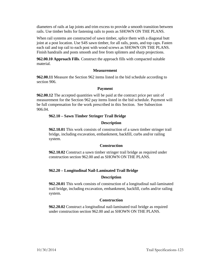diameters of rails at lap joints and trim excess to provide a smooth transition between rails. Use timber bolts for fastening rails to posts as SHOWN ON THE PLANS.

When rail systems are constructed of sawn timber, splice them with a diagonal butt joint at a post location. Use S4S sawn timber, for all rails, posts, and top caps. Fasten each rail and top rail to each post with wood screws as SHOWN ON THE PLANS. Finish handrails and posts smooth and free from splinters and sharp projections.

**962.00.10 Approach Fills**. Construct the approach fills with compacted suitable material.

## **Measurement**

**962.00.11** Measure the Section 962 items listed in the bid schedule according to section 906.

## **Payment**

**962.00.12** The accepted quantities will be paid at the contract price per unit of measurement for the Section 962 pay items listed in the bid schedule. Payment will be full compensation for the work prescribed in this Section. See Subsection 906.04.

## **962.10 – Sawn Timber Stringer Trail Bridge**

## **Description**

**962.10.01** This work consists of construction of a sawn timber stringer trail bridge, including excavation, embankment, backfill, curbs and/or railing system.

## **Construction**

**962.10.02** Construct a sawn timber stringer trail bridge as required under construction section 962.00 and as SHOWN ON THE PLANS.

## **962.20 – Longitudinal Nail-Laminated Trail Bridge**

## **Description**

**962.20.01** This work consists of construction of a longitudinal nail-laminated trail bridge, including excavation, embankment, backfill, curbs and/or railing system.

## **Construction**

**962.20.02** Construct a longitudinal nail-laminated trail bridge as required under construction section 962.00 and as SHOWN ON THE PLANS.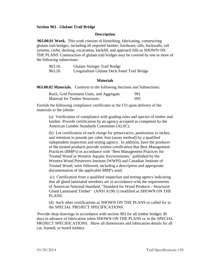### **Section 963 - Glulam Trail Bridge**

#### **Description**

**963.00.01 Work.** This work consists of furnishing, fabricating, constructing glulam trail bridges, including all required lumber, hardware, sills, backwalls, rail systems, curbs, decking, excavation, backfill, and approach fills as SHOWN ON THE PLANS. Construction of glulam trail bridges may be covered by one or more of the following subsections:

| 963.10. | Glulam Stringer Trail Bridge                |
|---------|---------------------------------------------|
| 963.20. | Longitudinal Glulam Deck Panel Trail Bridge |

#### **Materials**

**963.00.02 Materials.** Conform to the following Sections and Subsections:

| Rock, Grid Pavement Units, and Aggregate | 991 |
|------------------------------------------|-----|
| <b>Material for Timber Structures</b>    | 995 |

Furnish the following compliance certificates to the CO upon delivery of the materials to the jobsite:

(a) Verification of compliance with grading rules and species of timber and lumber. Provide certification by an agency accepted as competent by the American Lumber Standards Committee (ALSC).

(b) Lot certification of each charge for preservative, penetration in inches, and retention in pounds per cubic foot (assay method) by a qualified independent inspection and testing agency. In addition, have the producer of the treated products provide written certification that Best Management Practices (BMP's) in accordance with "Best Management Practices for Treated Wood in Western Aquatic Environments," published by the Western Wood Preservers Institute (WWPI) and Canadian Institute of Treated Wood, were followed, including a description and appropriate documentation of the applicable BMP's used.

(c) Certification from a qualified inspection and testing agency indicating that all glued laminated members are in accordance with the requirements of American National Standard, "Standard for Wood Products - Structural Glued Laminated Timber" (ANSI A190.1) modified as SHOWN ON THE PLANS.

(d) Such other certifications as SHOWN ON THE PLANS or called for in the SPECIAL PROJECT SPECIFICATIONS.

Provide shop drawings in accordance with section 903 for all timber bridges 30 days in advance of fabrication when SHOWN ON THE PLANS or in the SPECIAL PROJECT SPECIFICATIONS. Show all dimensions and fabrication details for all cut, framed, or bored timbers.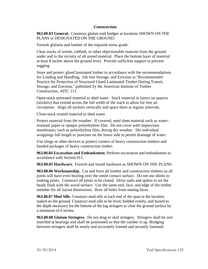## **Construction**

**963.00.03 General.** Construct glulam trail bridges at locations SHOWN ON THE PLANS or DESIGNATED ON THE GROUND.

Furnish glulams and lumber of the required stress grade.

Clear stacks of weeds, rubbish, or other objectionable material from the ground under and in the vicinity of all stored material. Place the bottom layer of material at least 8 inches above the ground level. Provide sufficient support to prevent sagging.

Store and protect glued laminated timber in accordance with the recommendations for Loading and Handling, Job Site Storage, and Erection in "Recommended Practice for Protection of Structural Glued Laminated Timber During Transit, Storage, and Erection," published by the American Institute of Timber Construction, AITC 111.

Open-stack untreated material to shed water. Stack material in layers on spacers (stickers) that extend across the full width of the stack to allow for free air circulation. Align all stickers vertically and space them at regular intervals.

Close-stack treated material to shed water.

Protect material from the weather. If covered, used sheet material such as waterresistant paper or opaque polyethylene film. Do not cover with impervious membranes, such as polyethylene film, during dry weather. Slit individual wrappings full length or puncture on the lower side to permit drainage of water.

Use slings or other devices to protect corners of heavy construction timbers and banded packages of heavy construction timber.

**963.00.04 Excavation and Embankment.** Perform excavation and embankment in accordance with Section 911.

**963.00.05 Hardware.** Furnish and install hardware as SHOWN ON THE PLANS.

**963.00.06 Workmanship.** Cut and form all lumber and construction timbers so all joints will have even bearing over the entire contact surface. Do not use shims in making joints. Construct all joints to be closed. Drive nails and spikes to set the heads flush with the wood surface. Use the same end, face, and edge of the timber member for all layout dimensions. Bore all holes from mating faces.

**963.00.07 Mud Sills**. Construct mud sills at each end of the span in the location staked on the ground. Construct mud sills to be level, bedded evenly, and buried to the depth necessary for the bottom of the log stringers to clear the ground surface by a minimum of 6 inches.

**963.00.08 Glulam Stringers.** Do not drag or skid stringers. Stringers shall be size matched at bearings and shall be positioned so that the camber is up. Bridging between stringers shall be neatly and accurately framed and securely fastened.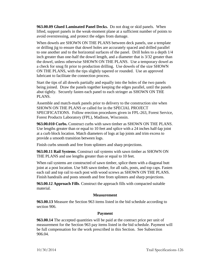**963.00.09 Glued Laminated Panel Decks.** Do not drag or skid panels. When lifted, support panels in the weak-moment plane at a sufficient number of points to avoid overstressing, and protect the edges from damage.

When dowels are SHOWN ON THE PLANS between deck panels, use a template or drilling jig to ensure that dowel holes are accurately spaced and drilled parallel to one another and to the horizontal surfaces of the panel. Drill holes to a depth 1/4 inch greater than one-half the dowel length, and a diameter that is 3/32 greater than the dowel, unless otherwise SHOWN ON THE PLANS. Use a temporary dowel as a check for snug fit prior to production drilling. Use dowels of the size SHOWN ON THE PLANS, with the tips slightly tapered or rounded. Use an approved lubricant to facilitate the connection process.

Start the tips of all dowels partially and equally into the holes of the two panels being joined. Draw the panels together keeping the edges parallel, until the panels abut tightly. Securely fasten each panel to each stringer as SHOWN ON THE PLANS.

Assemble and match-mark panels prior to delivery to the construction site when SHOWN ON THE PLANS or called for in the SPECIAL PROJECT SPECIFICATIONS. Follow erection procedures given in FPL-263, Forest Service, Forest Products Laboratory (FPL), Madison, Wisconsin.

**963.00.010 Curbs.** Construct curbs with sawn timber as SHOWN ON THE PLANS. Use lengths greater than or equal to 10 feet and splice with a 24 inches half-lap joint at a curb block location. Match diameters of logs at lap joints and trim excess to provide a smooth transition between logs.

Finish curbs smooth and free from splinters and sharp projections.

**963.00.11 Rail Systems**. Construct rail systems with sawn timber as SHOWN ON THE PLANS and use lengths greater than or equal to 10 feet.

When rail systems are constructed of sawn timber, splice them with a diagonal butt joint at a post location. Use S4S sawn timber, for all rails, posts, and top caps. Fasten each rail and top rail to each post with wood screws as SHOWN ON THE PLANS. Finish handrails and posts smooth and free from splinters and sharp projections.

**963.00.12 Approach Fills**. Construct the approach fills with compacted suitable material.

## **Measurement**

**963.00.13** Measure the Section 963 items listed in the bid schedule according to section 906.

# **Payment**

**963.00.14** The accepted quantities will be paid at the contract price per unit of measurement for the Section 963 pay items listed in the bid schedule. Payment will be full compensation for the work prescribed in this Section. See Subsection 906.04.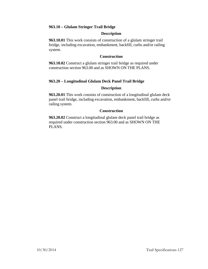## **963.10 – Glulam Stringer Trail Bridge**

## **Description**

**963.10.01** This work consists of construction of a glulam stringer trail bridge, including excavation, embankment, backfill, curbs and/or railing system.

## **Construction**

**963.10.02** Construct a glulam stringer trail bridge as required under construction section 963.00 and as SHOWN ON THE PLANS.

# **963.20 – Longitudinal Glulam Deck Panel Trail Bridge**

## **Description**

**963.20.01** This work consists of construction of a longitudinal glulam deck panel trail bridge, including excavation, embankment, backfill, curbs and/or railing system.

## **Construction**

**963.20.02** Construct a longitudinal glulam deck panel trail bridge as required under construction section 963.00 and as SHOWN ON THE PLANS.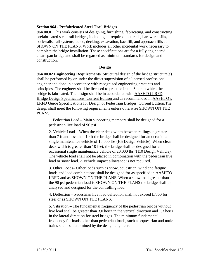## **Section 964 - Prefabricated Steel Trail Bridges**

**964.00.01** This work consists of designing, furnishing, fabricating, and constructing prefabricated steel trail bridges, including all required materials, hardware, sills, backwalls, rail systems, curbs, decking, excavation, backfill, and approach fills as SHOWN ON THE PLANS. Work includes all other incidental work necessary to complete the bridge installation. These specifications are for a fully engineered clear span bridge and shall be regarded as minimum standards for design and construction.

## **Design**

**964.00.02 Engineering Requirements.** Structural design of the bridge structure(s) shall be performed by or under the direct supervision of a licensed professional engineer and done in accordance with recognized engineering practices and principles. The engineer shall be licensed to practice in the State in which the bridge is fabricated. The design shall be in accordance with AASHTO LRFD Bridge Design Specifications, Current Edition and as recommended in AASHTO's LRFD Guide Specifications for Design of Pedestrian Bridges, Current Edition.The design shall meet the following requirements unless otherwise SHOWN ON THE PLANS:

1. Pedestrian Load – Main supporting members shall be designed for a pedestrian live load of 90 psf.

2. Vehicle Load – When the clear deck width between railings is greater than 7 ft and less than 10 ft the bridge shall be designed for an occasional single maintenance vehicle of 10,000 lbs (H5 Design Vehicle). When clear deck width is greater than 10 feet, the bridge shall be designed for an occasional single maintenance vehicle of 20,000 lbs (H10 Design Vehicle). The vehicle load shall not be placed in combination with the pedestrian live load or snow load. A vehicle impact allowance is not required.

3. Other Loads– Other loads such as snow, equestrian, wind and fatigue loads and load combinations shall be designed for as specified in AASHTO LRFD and as SHOWN ON THE PLANS. When a snow load greater than the 90 psf pedestrian load is SHOWN ON THE PLANS the bridge shall be analyzed and designed for the controlling load.

4. Deflection – Pedestrian live load deflection shall not exceed L/360 for steel or as SHOWN ON THE PLANS.

5. Vibration – The fundamental frequency of the pedestrian bridge without live load shall be greater than 3.0 hertz in the vertical direction and 1.3 hertz in the lateral direction for steel bridges. The minimum fundamental frequency for loads other than pedestrian loads, such as equestrian and mule trains shall be determined by the design engineer.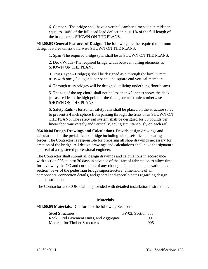6. Camber - The bridge shall have a vertical camber dimension at midspan equal to 100% of the full dead load deflection plus 1% of the full length of the bridge or as SHOWN ON THE PLANS.

**964.00.03 General Features of Design.** The following are the required minimum design features unless otherwise SHOWN ON THE PLANS.

1. Span -The required bridge span shall be as SHOWN ON THE PLANS.

2. Deck Width -The required bridge width between railing elements as SHOWN ON THE PLANS.

3. Truss Type - Bridge(s) shall be designed as a through (or box) "Pratt" truss with one (1) diagonal per panel and square end vertical members.

4. Through truss bridges will be designed utilizing underhung floor beams.

5. The top of the top chord shall not be less than 42 inches above the deck (measured from the high point of the riding surface) unless otherwise SHOWN ON THE PLANS.

6. Safety Rails - Horizontal safety rails shall be placed on the structure so as to prevent a 4 inch sphere from passing through the truss or as SHOWN ON THE PLANS. The safety rail system shall be designed for 50 pounds per linear foot transversely and vertically, acting simultaneously on each rail.

**964.00.04 Design Drawings and Calculations**. Provide design drawings and calculations for the prefabricated bridge including wind, seismic and bearing forces. The Contractor is responsible for preparing all shop drawings necessary for erection of the bridge. All design drawings and calculations shall have the signature and seal of a registered professional engineer.

The Contractor shall submit all design drawings and calculations in accordance with section 903 at least 30 days in advance of the start of fabrication to allow time for review by the CO and correction of any changes. Include plan, elevation, and section views of the pedestrian bridge superstructure, dimensions of all components, connection details, and general and specific notes regarding design and construction.

The Contractor and COR shall be provided with detailed installation instructions.

## **Materials**

## **964.00.05 Materials.** Conform to the following Sections:

| <b>Steel Structures</b>                  | $FP-03$ , Section 555 |
|------------------------------------------|-----------------------|
| Rock, Grid Pavement Units, and Aggregate | 991                   |
| <b>Material for Timber Structures</b>    | 995                   |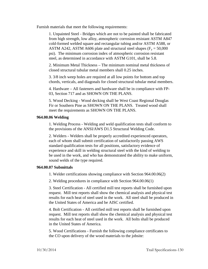Furnish materials that meet the following requirements:

1. Unpainted Steel - Bridges which are not to be painted shall be fabricated from high strength, low alloy, atmospheric corrosion resistant ASTM A847 cold-formed welded square and rectangular tubing and/or ASTM A588, or ASTM A242, ASTM A606 plate and structural steel shapes ( $F_v = 50,000$ ) psi). The minimum corrosion index of atmospheric corrosion resistant steel, as determined in accordance with ASTM G101, shall be 5.8.

2. Minimum Metal Thickness – The minimum nominal metal thickness of closed structural tubular metal members shall 0.25 inches.

3. 3/8 inch weep holes are required at all low points for bottom and top chords, verticals, and diagonals for closed structural tubular metal members.

4. Hardware – All fasteners and hardware shall be in compliance with FP-03, Section 717 and as SHOWN ON THE PLANS.

5. Wood Decking - Wood decking shall be West Coast Regional Douglas Fir or Southern Pine as SHOWN ON THE PLANS. Treated wood shall meet the requirements as SHOWN ON THE PLANS.

## **964.00.06 Welding**

1. Welding Process - Welding and weld qualification tests shall conform to the provisions of the ANSI/AWS D1.5 Structural Welding Code.

2. Welders - Welders shall be properly accredited experienced operators, each of whom shall submit certification of satisfactorily passing AWS standard qualification tests for all positions, satisfactory evidence of experience and skill in welding structural steel with the kind of welding to be used in the work, and who has demonstrated the ability to make uniform, sound welds of the type required.

## **964.00.07 Submittals**

1. Welder certifications showing compliance with Section 964.00.06(2)

2. Welding procedures in compliance with Section 964.00.06(1)

3. Steel Certification - All certified mill test reports shall be furnished upon request. Mill test reports shall show the chemical analysis and physical test results for each heat of steel used in the work. All steel shall be produced in the United States of America and be AISC certified.

4. Bolt Certification - All certified mill test reports shall be furnished upon request. Mill test reports shall show the chemical analysis and physical test results for each heat of steel used in the work. All bolts shall be produced in the United States of America.

5. Wood Certifications - Furnish the following compliance certificates to the CO upon delivery of the wood materials to the jobsite: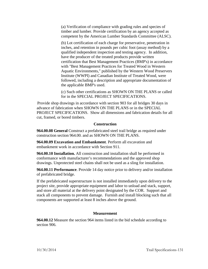(a) Verification of compliance with grading rules and species of timber and lumber. Provide certification by an agency accepted as competent by the American Lumber Standards Committee (ALSC).

(b) Lot certification of each charge for preservative, penetration in inches, and retention in pounds per cubic foot (assay method) by a qualified independent inspection and testing agency. In addition, have the producer of the treated products provide written certification that Best Management Practices (BMP's) in accordance with "Best Management Practices for Treated Wood in Western Aquatic Environments," published by the Western Wood Preservers Institute (WWPI) and Canadian Institute of Treated Wood, were followed, including a description and appropriate documentation of the applicable BMP's used.

(c) Such other certifications as SHOWN ON THE PLANS or called for in the SPECIAL PROJECT SPECIFICATIONS.

Provide shop drawings in accordance with section 903 for all bridges 30 days in advance of fabrication when SHOWN ON THE PLANS or in the SPECIAL PROJECT SPECIFICATIONS. Show all dimensions and fabrication details for all cut, framed, or bored timbers.

## **Construction**

**964.00.08 General** Construct a prefabricated steel trail bridge as required under construction section 964.00. and as SHOWN ON THE PLANS.

**964.00.09 Excavation and Embankment**. Perform all excavation and embankment work in accordance with Section 911.

**964.00.10 Installation.** All construction and installation shall be performed in conformance with manufacturer's recommendations and the approved shop drawings. Unprotected steel chains shall not be used as a sling for installation.

**964.00.11 Performance**. Provide 14 day notice prior to delivery and/or installation of prefabricated bridge.

If the prefabricated superstructure is not installed immediately upon delivery to the project site, provide appropriate equipment and labor to unload and stack, support, and store all material at the delivery point designated by the COR. Support and stack all components to prevent damage. Furnish and install blocking such that all components are supported at least 8 inches above the ground.

## **Measurement**

**964.00.12** Measure the section 964 items listed in the bid schedule according to section 906.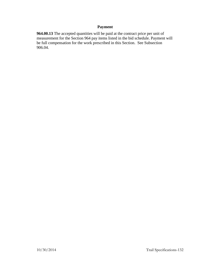# **Payment**

**964.00.13** The accepted quantities will be paid at the contract price per unit of measurement for the Section 964 pay items listed in the bid schedule. Payment will be full compensation for the work prescribed in this Section. See Subsection 906.04.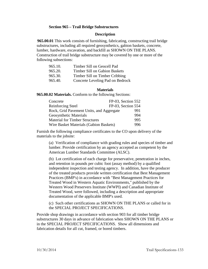## **Section 965 – Trail Bridge Substructures**

### **Description**

**965.00.01** This work consists of furnishing, fabricating, constructing trail bridge substructures, including all required geosynthetics, gabion baskets, concrete, lumber, hardware, excavation, and backfill as SHOWN ON THE PLANS. Construction of trail bridge substructure may be covered by one or more of the following subsections:

| 965.10. | Timber Sill on Geocell Pad       |
|---------|----------------------------------|
| 965.20. | Timber Sill on Gabion Baskets    |
| 965.30. | Timber Sill on Timber Cribbing   |
| 965.40. | Concrete Leveling Pad on Bedrock |

#### **Materials**

**965.00.02 Materials.** Conform to the following Sections:

| Concrete                                 | FP-03, Section 552 |  |
|------------------------------------------|--------------------|--|
| Reinforcing Steel                        | FP-03, Section 554 |  |
| Rock, Grid Pavement Units, and Aggregate | 991                |  |
| <b>Geosynthetic Materials</b>            | 994                |  |
| <b>Material for Timber Structures</b>    | 995                |  |
| Wire Basket Materials (Gabion Baskets)   | 996                |  |

Furnish the following compliance certificates to the CO upon delivery of the materials to the jobsite:

(a) Verification of compliance with grading rules and species of timber and lumber. Provide certification by an agency accepted as competent by the American Lumber Standards Committee (ALSC).

(b) Lot certification of each charge for preservative, penetration in inches, and retention in pounds per cubic foot (assay method) by a qualified independent inspection and testing agency. In addition, have the producer of the treated products provide written certification that Best Management Practices (BMP's) in accordance with "Best Management Practices for Treated Wood in Western Aquatic Environments," published by the Western Wood Preservers Institute (WWPI) and Canadian Institute of Treated Wood, were followed, including a description and appropriate documentation of the applicable BMP's used.

(c) Such other certifications as SHOWN ON THE PLANS or called for in the SPECIAL PROJECT SPECIFICATIONS.

Provide shop drawings in accordance with section 903 for all timber bridge substructures 30 days in advance of fabrication when SHOWN ON THE PLANS or in the SPECIAL PROJECT SPECIFICATIONS. Show all dimensions and fabrication details for all cut, framed, or bored timbers.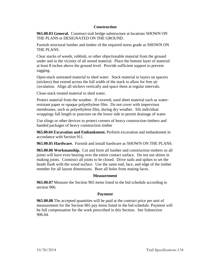## **Construction**

**965.00.03 General.** Construct trail bridge substructure at locations SHOWN ON THE PLANS or DESIGNATED ON THE GROUND.

Furnish structural lumber and timber of the required stress grade as SHOWN ON THE PLANS.

Clear stacks of weeds, rubbish, or other objectionable material from the ground under and in the vicinity of all stored material. Place the bottom layer of material at least 8 inches above the ground level. Provide sufficient support to prevent sagging.

Open-stack untreated material to shed water. Stack material in layers on spacers (stickers) that extend across the full width of the stack to allow for free air circulation. Align all stickers vertically and space them at regular intervals.

Close-stack treated material to shed water.

Protect material from the weather. If covered, used sheet material such as waterresistant paper or opaque polyethylene film. Do not cover with impervious membranes, such as polyethylene film, during dry weather. Slit individual wrappings full length or puncture on the lower side to permit drainage of water.

Use slings or other devices to protect corners of heavy construction timbers and banded packages of heavy construction timber

**965.00.04 Excavation and Embankment.** Perform excavation and embankment in accordance with Section 911.

**965.00.05 Hardware.** Furnish and install hardware as SHOWN ON THE PLANS.

**965.00.06 Workmanship.** Cut and form all lumber and construction timbers so all joints will have even bearing over the entire contact surface. Do not use shims in making joints. Construct all joints to be closed. Drive nails and spikes to set the heads flush with the wood surface. Use the same end, face, and edge of the timber member for all layout dimensions. Bore all holes from mating faces.

## **Measurement**

**965.00.07** Measure the Section 965 items listed in the bid schedule according to section 906.

## **Payment**

**965.00.08** The accepted quantities will be paid at the contract price per unit of measurement for the Section 965 pay items listed in the bid schedule. Payment will be full compensation for the work prescribed in this Section. See Subsection 906.04.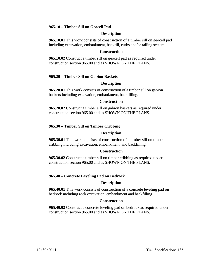## **965.10 – Timber Sill on Geocell Pad**

### **Description**

**965.10.01** This work consists of construction of a timber sill on geocell pad including excavation, embankment, backfill, curbs and/or railing system.

### **Construction**

**965.10.02** Construct a timber sill on geocell pad as required under construction section 965.00 and as SHOWN ON THE PLANS.

## **965.20 – Timber Sill on Gabion Baskets**

### **Description**

**965.20.01** This work consists of construction of a timber sill on gabion baskets including excavation, embankment, backfilling.

### **Construction**

**965.20.02** Construct a timber sill on gabion baskets as required under construction section 965.00 and as SHOWN ON THE PLANS.

## **965.30 – Timber Sill on Timber Cribbing**

### **Description**

**965.30.01** This work consists of construction of a timber sill on timber cribbing including excavation, embankment, and backfilling.

### **Construction**

**965.30.02** Construct a timber sill on timber cribbing as required under construction section 965.00 and as SHOWN ON THE PLANS.

### **965.40 – Concrete Leveling Pad on Bedrock**

### **Description**

**965.40.01** This work consists of construction of a concrete leveling pad on bedrock including rock excavation, embankment and backfilling.

### **Construction**

**965.40.02** Construct a concrete leveling pad on bedrock as required under construction section 965.00 and as SHOWN ON THE PLANS.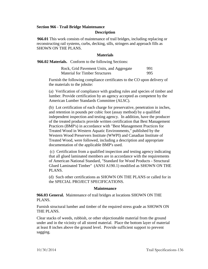# **Section 966 - Trail Bridge Maintenance**

### **Description**

**966.01** This work consists of maintenance of trail bridges, including replacing or reconstructing rail systems, curbs, decking, sills, stringers and approach fills as SHOWN ON THE PLANS.

### **Materials**

**966.02 Materials.** Conform to the following Sections:

| Rock, Grid Pavement Units, and Aggregate | 991 |
|------------------------------------------|-----|
| <b>Material for Timber Structures</b>    | 995 |

Furnish the following compliance certificates to the CO upon delivery of the materials to the jobsite:

(a) Verification of compliance with grading rules and species of timber and lumber. Provide certification by an agency accepted as competent by the American Lumber Standards Committee (ALSC).

(b) Lot certification of each charge for preservative, penetration in inches, and retention in pounds per cubic foot (assay method) by a qualified independent inspection and testing agency. In addition, have the producer of the treated products provide written certification that Best Management Practices (BMP's) in accordance with "Best Management Practices for Treated Wood in Western Aquatic Environments," published by the Western Wood Preservers Institute (WWPI) and Canadian Institute of Treated Wood, were followed, including a description and appropriate documentation of the applicable BMP's used.

(c) Certification from a qualified inspection and testing agency indicating that all glued laminated members are in accordance with the requirements of American National Standard, "Standard for Wood Products - Structural Glued Laminated Timber" (ANSI A190.1) modified as SHOWN ON THE PLANS.

(d) Such other certifications as SHOWN ON THE PLANS or called for in the SPECIAL PROJECT SPECIFICATIONS.

### **Maintenance**

**966.03 General.** Maintenance of trail bridges at locations SHOWN ON THE PLANS.

Furnish structural lumber and timber of the required stress grade as SHOWN ON THE PLANS.

Clear stacks of weeds, rubbish, or other objectionable material from the ground under and in the vicinity of all stored material. Place the bottom layer of material at least 8 inches above the ground level. Provide sufficient support to prevent sagging.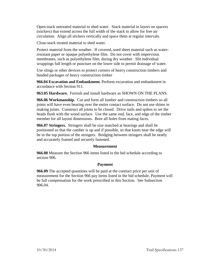Open-stack untreated material to shed water. Stack material in layers on spacers (stickers) that extend across the full width of the stack to allow for free air circulation. Align all stickers vertically and space them at regular intervals.

Close-stack treated material to shed water.

Protect material from the weather. If covered, used sheet material such as waterresistant paper or opaque polyethylene film. Do not cover with impervious membranes, such as polyethylene film, during dry weather. Slit individual wrappings full length or puncture on the lower side to permit drainage of water.

Use slings or other devices to protect corners of heavy construction timbers and banded packages of heavy construction timber

**966.04 Excavation and Embankment.** Perform excavation and embankment in accordance with Section 911.

**963.05 Hardware.** Furnish and install hardware as SHOWN ON THE PLANS.

**966.06 Workmanship.** Cut and form all lumber and construction timbers so all joints will have even bearing over the entire contact surface. Do not use shims in making joints. Construct all joints to be closed. Drive nails and spikes to set the heads flush with the wood surface. Use the same end, face, and edge of the timber member for all layout dimensions. Bore all holes from mating faces.

**966.07 Stringers.** Stringers shall be size matched at bearings and shall be positioned so that the camber is up and if possible, so that knots near the edge will be in the top portion of the stringers. Bridging between stringers shall be neatly and accurately framed and securely fastened.

## **Measurement**

**966.08** Measure the Section 966 items listed in the bid schedule according to section 906.

## **Payment**

**966.09** The accepted quantities will be paid at the contract price per unit of measurement for the Section 966 pay items listed in the bid schedule. Payment will be full compensation for the work prescribed in this Section. See Subsection 906.04.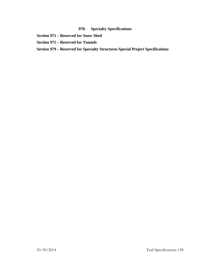# **970. Specialty Specifications**

- **Section 971 – Reserved for Snow Shed**
- **Section 972 – Reserved for Tunnels**
- **Section 979 – Reserved for Specialty Structures Special Project Specifications**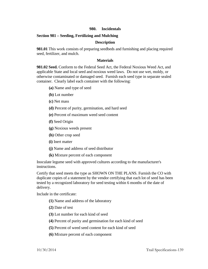## **980. Incidentals**

### **Section 981 – Seeding, Fertilizing and Mulching**

### **Description**

**981.01** This work consists of preparing seedbeds and furnishing and placing required seed, fertilizer, and mulch.

### **Materials**

**981.02 Seed.** Conform to the Federal Seed Act, the Federal Noxious Weed Act, and applicable State and local seed and noxious weed laws. Do not use wet, moldy, or otherwise contaminated or damaged seed. Furnish each seed type in separate sealed container. Clearly label each container with the following:

- **(a)** Name and type of seed
- **(b)** Lot number
- **(c)** Net mass
- **(d)** Percent of purity, germination, and hard seed
- **(e)** Percent of maximum weed seed content
- **(f)** Seed Origin
- **(g)** Noxious weeds present
- **(h)** Other crop seed
- **(i)** Inert matter
- **(j)** Name and address of seed distributor
- **(k)** Mixture percent of each component

Inoculate legume seed with approved cultures according to the manufacturer's instructions.

Certify that seed meets the type as SHOWN ON THE PLANS. Furnish the CO with duplicate copies of a statement by the vendor certifying that each lot of seed has been tested by a recognized laboratory for seed testing within 6 months of the date of delivery.

Include in the certificate:

- **(1)** Name and address of the laboratory
- **(2)** Date of test
- **(3)** Lot number for each kind of seed
- **(4)** Percent of purity and germination for each kind of seed
- **(5)** Percent of weed seed content for each kind of seed
- **(6)** Mixture percent of each component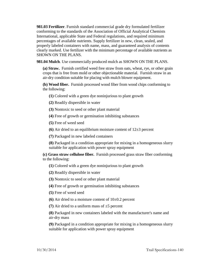**981.03 Fertilizer**. Furnish standard commercial grade dry formulated fertilizer conforming to the standards of the Association of Official Analytical Chemists International, applicable State and Federal regulations, and required minimum percentages of available nutrients. Supply fertilizer in new, clean, sealed, and properly labeled containers with name, mass, and guaranteed analysis of contents clearly marked. Use fertilizer with the minimum percentage of available nutrients as SHOWN ON THE PLANS.

**981.04 Mulch**. Use commercially produced mulch as SHOWN ON THE PLANS.

**(a) Straw.** Furnish certified weed free straw from oats, wheat, rye, or other grain crops that is free from mold or other objectionable material. Furnish straw in an air-dry condition suitable for placing with mulch blower equipment.

**(b) Wood fiber.** Furnish processed wood fiber from wood chips conforming to the following:

**(1)** Colored with a green dye noninjurious to plant growth

**(2)** Readily dispersible in water

**(3)** Nontoxic to seed or other plant material

**(4)** Free of growth or germination inhibiting substances

**(5)** Free of weed seed

**(6)** Air dried to an equilibrium moisture content of 12±3 percent

**(7)** Packaged in new labeled containers

**(8)** Packaged in a condition appropriate for mixing in a homogeneous slurry suitable for application with power spray equipment

**(c) Grass straw cellulose fiber.** Furnish processed grass straw fiber conforming to the following:

**(1)** Colored with a green dye noninjurious to plant growth

**(2)** Readily dispersible in water

**(3)** Nontoxic to seed or other plant material

**(4)** Free of growth or germination inhibiting substances

**(5)** Free of weed seed

**(6)** Air dried to a moisture content of 10±0.2 percent

**(7)** Air dried to a uniform mass of ±5 percent

**(8)** Packaged in new containers labeled with the manufacturer's name and air-dry mass

**(9)** Packaged in a condition appropriate for mixing in a homogeneous slurry suitable for application with power spray equipment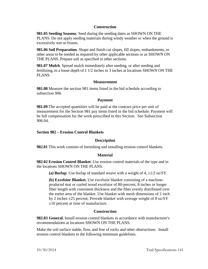### **Construction**

**981.05 Seeding Seasons**. Seed during the seeding dates as SHOWN ON THE PLANS. Do not apply seeding materials during windy weather or when the ground is excessively wet or frozen.

**981.06 Soil Preparation**. Shape and finish cut slopes, fill slopes, embankments, or other areas to be seeded as required by other applicable sections or as SHOWN ON THE PLANS. Prepare soil as specified in other sections.

**981.07 Mulch**. Spread mulch immediately after seeding, or after seeding and fertilizing, to a loose depth of 1 1/2 inches to 3 inches at locations SHOWN ON THE PLANS.

### **Measurement**

**981.08** Measure the section 981 items listed in the bid schedule according to subsection 906.

### **Payment**

**981.09** The accepted quantities will be paid at the contract price per unit of measurement for the Section 981 pay items listed in the bid schedule. Payment will be full compensation for the work prescribed in this Section. See Subsection 906.04.

### **Section 982 – Erosion Control Blankets**

## **Description**

**982.01** This work consists of furnishing and installing erosion control blankets.

## **Material**

**982.02 Erosion Control Blanket**. Use erosion control materials of the type and in the locations SHOWN ON THE PLANS.

(a) **Burlap**. Use burlap of standard weave with a weight of  $4, \pm 1/2$  oz/SY.

**(b) Excelsior Blanket.** Use excelsior blanket consisting of a machineproduced mat or curled wood excelsior of 80-percent, 8 inches or longer fiber length with consistent thickness and the fiber evenly distributed over the entire area of the blanket. Use blanket with mesh dimensions of 1 inch by 2 inches ±25 percent. Provide blanket with average weight of 8 oz/SY ±10 percent at time of manufacture.

## **Construction**

**982.03 General.** Install erosion control blankets in accordance with manufacturer's recommendations at locations SHOWN ON THE PLANS.

Make the soil surface stable, firm, and free of rocks and other obstructions. Install erosion control blankets to the following minimum guidelines.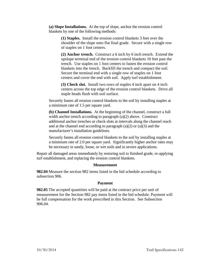**(a) Slope Installations.** At the top of slope, anchor the erosion control blankets by one of the following methods:

> **(1) Staples.** Install the erosion control blankets 3 feet over the shoulder of the slope onto flat final grade. Secure with a single row of staples on 1 foot centers.

> **(2) Anchor trench.** Construct a 6 inch by 6 inch trench. Extend the upslope terminal end of the erosion control blankets 10 feet past the trench. Use staples on 1 foot centers to fasten the erosion control blankets into the trench. Backfill the trench and compact the soil. Secure the terminal end with a single row of staples on 1 foot centers and cover the end with soil. Apply turf establishment.

> **(3) Check slot.** Install two rows of staples 4 inch apart on 4 inch centers across the top edge of the erosion control blankets. Drive all staple heads flush with soil surface.

Securely fasten all erosion control blankets to the soil by installing staples at a minimum rate of 1.5 per square yard.

**(b) Channel Installations.** At the beginning of the channel, construct a full width anchor trench according to paragraph (a)(2) above. Construct additional anchor trenches or check slots at intervals along the channel reach and at the channel end according to paragraph  $(a)(2)$  or  $(a)(3)$  and the manufacturer's installation guidelines.

Securely fasten all erosion control blankets to the soil by installing staples at a minimum rate of 2.0 per square yard. Significantly higher anchor rates may be necessary in sandy, loose, or wet soils and in severe applications.

Repair all damaged areas immediately by restoring soil to finished grade, re-applying turf establishment, and replacing the erosion control blankets.

## **Measurement**

**982.04** Measure the section 982 items listed in the bid schedule according to subsection 906.

## **Payment**

**982.05** The accepted quantities will be paid at the contract price per unit of measurement for the Section 982 pay items listed in the bid schedule. Payment will be full compensation for the work prescribed in this Section. See Subsection 906.04.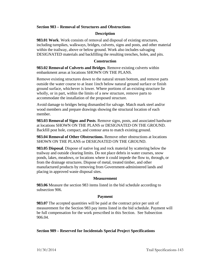## **Section 983 – Removal of Structures and Obstructions**

## **Description**

**983.01 Work**. Work consists of removal and disposal of existing structures, including turnpikes, walkways, bridges, culverts, signs and posts, and other material within the trailway, above or below ground. Work also includes salvaging DESIGNATED materials and backfilling the resulting trenches, holes, and pits.

### **Construction**

**983.02 Removal of Culverts and Bridges**. Remove existing culverts within embankment areas at locations SHOWN ON THE PLANS.

Remove existing structures down to the natural stream bottom, and remove parts outside the water course to at least 1inch below natural ground surface or finish ground surface, whichever is lower. Where portions of an existing structure lie wholly, or in part, within the limits of a new structure, remove parts to accommodate the installation of the proposed structure.

Avoid damage to bridges being dismantled for salvage. Match mark steel and/or wood members and prepare drawings showing the structural location of each member.

**983.03 Removal of Signs and Posts**. Remove signs, posts, and associated hardware at locations SHOWN ON THE PLANS or DESIGNATED ON THE GROUND. Backfill post hole, compact, and contour area to match existing ground.

**983.04 Removal of Other Obstructions.** Remove other obstructions at locations SHOWN ON THE PLANS or DESIGNATED ON THE GROUND.

**983.05 Disposal**. Dispose of native log and rock material by scattering below the trailway and outside clearing limits. Do not place debris in water courses, snow ponds, lakes, meadows, or locations where it could impede the flow to, through, or from the drainage structures. Dispose of metal, treated timber, and other manufactured products by removing from Government-administered lands and placing in approved waste disposal sites.

### **Measurement**

**983.06** Measure the section 983 items listed in the bid schedule according to subsection 906.

### **Payment**

**983.07** The accepted quantities will be paid at the contract price per unit of measurement for the Section 983 pay items listed in the bid schedule. Payment will be full compensation for the work prescribed in this Section. See Subsection 906.04.

## **Section 989 – Reserved for Incidentals Special Project Specifications**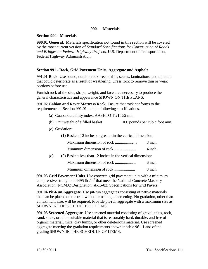# **990. Materials**

## **Section 990 - Materials**

**990.01 General.** Materials specification not found in this section will be covered by the most current version of *Standard Specifications for Construction of Roads and Bridges on Federal Highway Projects*, U.S. Department of Transportation, Federal Highway Administration.

# **Section 991 - Rock, Grid Pavement Units, Aggregate and Asphalt**

**991.01 Rock**. Use sound, durable rock free of rifts, seams, laminations, and minerals that could deteriorate as a result of weathering. Dress rock to remove thin or weak portions before use.

Furnish rock of the size, shape, weight, and face area necessary to produce the general characteristics and appearance SHOWN ON THE PLANS.

**991.02 Gabion and Revet Mattress Rock**. Ensure that rock conforms to the requirements of Section 991.01 and the following specifications.

- (a) Coarse durability index, AASHTO T 210 52 min.
- (b) Unit weight of a filled basket 100 pounds per cubic foot min.
- (c) Gradation:
	- (1) Baskets 12 inches or greater in the vertical dimension:

| Maximum dimension of rock | 8 inch |
|---------------------------|--------|
| Minimum dimension of rock | 4 inch |

(d) (2) Baskets less than 12 inches in the vertical dimension:

| Maximum dimension of rock | 6 inch |
|---------------------------|--------|
|                           |        |

Minimum dimension of rock ..................... 3 inch

**991.03 Grid Pavement Units**. Use concrete grid pavement units with a minimum compressive strength of  $4495$  lbs/in<sup>2</sup> that meet the National Concrete Masonry Association (NCMA) Designation: A-15-82: Specifications for Grid Pavers.

**991.04 Pit-Run Aggregate**. Use pit-run aggregates consisting of native materials that can be placed on the trail without crushing or screening. No gradation, other than a maximum size, will be required. Provide pit-run aggregate with a maximum size as SHOWN IN THE SCHEDULE OF ITEMS.

**991.05 Screened Aggregate**. Use screened material consisting of gravel, talus, rock, sand, shale, or other suitable material that is reasonably hard, durable, and free of organic material, mica, clay lumps, or other deleterious material. Use screened aggregate meeting the gradation requirements shown in table 961-1 and of the grading SHOWN IN THE SCHEDULE OF ITEMS.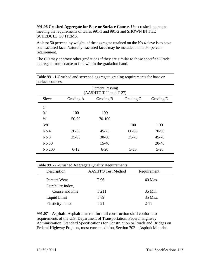**991.06 Crushed Aggregate for Base or Surface Course**. Use crushed aggregate meeting the requirements of tables 991-1 and 991-2 and SHOWN IN THE SCHEDULE OF ITEMS.

At least 50 percent, by weight, of the aggregate retained on the No.4 sieve is to have one fractured face. Naturally fractured faces may be included in the 50-percent requirement.

The CO may approve other gradations if they are similar to those specified Grade aggregate from coarse to fine within the gradation band.

| <b>Percent Passing</b><br>(AASHTO T 11 and T 27) |           |           |           |           |
|--------------------------------------------------|-----------|-----------|-----------|-----------|
| Sieve                                            | Grading A | Grading B | Grading C | Grading D |
| 1"                                               |           |           |           |           |
| $\frac{3}{4}$ "                                  | 100       | 100       |           |           |
| $\frac{1}{2}$ "                                  | 50-90     | 70-100    |           |           |
| 3/8"                                             |           |           | 100       | 100       |
| No.4                                             | $30 - 65$ | 45-75     | $60 - 85$ | 70-90     |
| No.8                                             | $25 - 55$ | $30 - 60$ | $35 - 70$ | $45 - 70$ |
| No.30                                            |           | $15 - 40$ |           | $20 - 40$ |
| No.200                                           | $6 - 12$  | $6 - 20$  | $5 - 20$  | $5 - 20$  |

Table 991-1-Crushed and screened aggregate grading requirements for base or surface courses.

| Table 991-2.-Crushed Aggregate Quality Requirements |                           |             |  |
|-----------------------------------------------------|---------------------------|-------------|--|
| Description                                         | <b>AASHTO Test Method</b> | Requirement |  |
| Percent Wear                                        | T 96                      | 40 Max.     |  |
| Durability Index,                                   |                           |             |  |
| Coarse and Fine                                     | T 211                     | 35 Min.     |  |
| Liquid Limit                                        | T 89                      | 35 Max.     |  |
| Plasticity Index                                    | T 91                      | $2 - 11$    |  |

**991.07 – Asphalt.** Asphalt material for trail construction shall conform to requirements of the U.S. Department of Transportation, Federal Highway Administration, Standard Specifications for Construction or Roads and Bridges on Federal Highway Projects, most current edition, Section 702 – Asphalt Material.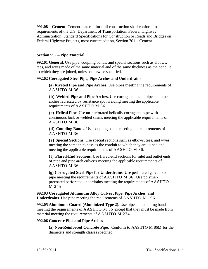**991.08 – Cement.** Cement material for trail construction shall conform to requirements of the U.S. Department of Transportation, Federal Highway Administration, Standard Specifications for Construction or Roads and Bridges on Federal Highway Projects, most current edition, Section 701 – Cement.

### **Section 992 – Pipe Material**

**992.01 General**. Use pipe, coupling bands, and special sections such as elbows, tees, and wyes made of the same material and of the same thickness as the conduit to which they are joined, unless otherwise specified.

## **992.02 Corrugated Steel Pipe, Pipe Arches and Underdrains**

**(a) Riveted Pipe and Pipe Arches**. Use pipes meeting the requirements of AASHTO M 36.

**(b) Welded Pipe and Pipe Arches.** Use corrugated metal pipe and pipe arches fabricated by resistance spot welding meeting the applicable requirements of AASHTO M 36.

**(c) Helical Pipe**. Use un-perforated helically corrugated pipe with continuous lock or welded seams meeting the applicable requirements of AASHTO M 36.

**(d) Coupling Bands**. Use coupling bands meeting the requirements of AASHTO M 36.

**(e) Special Sections**. Use special sections such as elbows, tees, and wyes meeting the same thickness as the conduit to which they are joined and meeting the applicable requirements of AASHTO M 36.

**(f) Flared-End Sections**. Use flared-end sections for inlet and outlet ends of pipe and pipe arch culverts meeting the applicable requirements of AASHTO M 36.

**(g) Corrugated Steel Pipe for Underdrains**. Use perforated galvanized pipe meeting the requirements of AASHTO M 36. Use polymerprecoated perforated underdrains meeting the requirements of AASHTO M 245

**992.03 Corrugated Aluminum Alloy Culvert Pipe, Pipe Arches, and Underdrains**. Use pipe meeting the requirements of AASHTO M 196.

**992.05 Aluminum-Coated (Aluminized Type 2).** Use pipe and coupling bands meeting the requirements of AASHTO M 36 except that they must be made from material meeting the requirements of AASHTO M 274.

#### **992.06 Concrete Pipe and Pipe Arches**

**(a) Non-Reinforced Concrete Pipe.** Conform to AASHTO M 86M for the diameters and strength classes specified.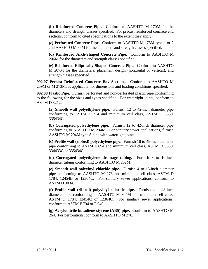**(b) Reinforced Concrete Pipe.** Conform to AASHTO M 170M for the diameters and strength classes specified. For precast reinforced concrete end sections, conform to cited specifications to the extent they apply.

**(c) Perforated Concrete Pipe.** Conform to AASHTO M 175M type 1 or 2 and AASHTO M 86M for the diameters and strength classes specified.

**(d) Reinforced Arch-Shaped Concrete Pipe.** Conform to AASHTO M 206M for the diameters and strength classes specified.

**(e) Reinforced Elliptically-Shaped Concrete Pipe.** Conform to AASHTO M 207M for the diameters, placement design (horizontal or vertical), and strength classes specified.

**992.07 Precast Reinforced Concrete Box Sections.** Conform to AASHTO M 259M or M 273M, as applicable, for dimensions and loading conditions specified.

**992.08 Plastic Pipe.** Furnish perforated and non-perforated plastic pipe conforming to the following for the sizes and types specified. For watertight joints, conform to ASTM D 3212.

**(a) Smooth wall polyethylene pipe.** Furnish 12 to 42-inch diameter pipe conforming to ASTM F 714 and minimum cell class, ASTM D 3350, 335434C.

**(b) Corrugated polyethylene pipe.** Furnish 12 to 42-inch diameter pipe conforming to AASHTO M 294M. For sanitary sewer applications, furnish AASHTO M 294M type S pipe with watertight joints.

**(c) Profile wall (ribbed) polyethylene pipe.** Furnish 18 to 48-inch diameter pipe conforming to ASTM F 894 and minimum cell class, ASTM D 3350, 334433C or 335434C.

**(d) Corrugated polyethylene drainage tubing.** Furnish 3 to 10-inch diameter tubing conforming to AASHTO M 252M.

**(e) Smooth wall polyvinyl chloride pipe.** Furnish 4 to 15-inch diameter pipe conforming to AASHTO M 278 and minimum cell class, ASTM D 1784, 12454B or 12364C. For sanitary sewer applications, conform to ASTM D 3034.

**(f) Profile wall (ribbed) polyvinyl chloride pipe.** Furnish 4 to 48-inch diameter pipe conforming to AASHTO M 304M and minimum cell class, ASTM D 1784, 12454C or 12364C. For sanitary sewer applications, conform to ASTM F 794 or F 949.

**(g) Acrylonitrile-butadiene-styrene (ABS) pipe.** Conform to AASHTO M 264. For perforations, conform to AASHTO M 278.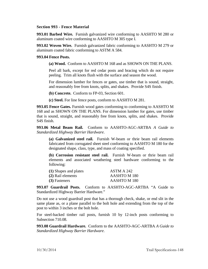## **Section 993 - Fence Material**

**993.01 Barbed Wire.** Furnish galvanized wire conforming to AASHTO M 280 or aluminum coated wire conforming to AASHTO M 305 type I.

**993.02 Woven Wire.** Furnish galvanized fabric conforming to AASHTO M 279 or aluminum coated fabric conforming to ASTM A 584.

#### **993.04 Fence Posts.**

**(a) Wood.** Conform to AASHTO M 168 and as SHOWN ON THE PLANS.

Peel all bark, except for red cedar posts and bracing which do not require peeling. Trim all knots flush with the surface and season the wood.

For dimension lumber for fences or gates, use timber that is sound, straight, and reasonably free from knots, splits, and shakes. Provide S4S finish.

**(b) Concrete.** Conform to FP-03, Section 601.

**(c) Steel.** For line fence posts, conform to AASHTO M 281.

**993.05 Fence Gates.** Furnish wood gates conforming to conforming to AASHTO M 168 and as SHOWN ON THE PLANS. For dimension lumber for gates, use timber that is sound, straight, and reasonably free from knots, splits, and shakes. Provide S4S finish.

**993.06 Metal Beam Rail.** Conform to AASHTO-AGC-ARTBA *A Guide to Standardized Highway Barrier Hardware*.

**(a) Galvanized steel rail.** Furnish W-beam or thrie beam rail elements fabricated from corrugated sheet steel conforming to AASHTO M 180 for the designated shape, class, type, and mass of coating specified.

**(b) Corrosion resistant steel rail.** Furnish W-beam or thrie beam rail elements and associated weathering steel hardware conforming to the following:

| (1) Shapes and plates | ASTM A 242   |
|-----------------------|--------------|
| (2) Rail elements     | AASHTO M 180 |
| (3) Fasteners         | AASHTO M 180 |

**993.07 Guardrail Posts.** Conform to AASHTO-AGC-ARTBA "A Guide to Standardized Highway Barrier Hardware."

Do not use a wood guardrail post that has a thorough check, shake, or end slit in the same plane as, or a plane parallel to the bolt hole and extending from the top of the post to within 3 inches or the bolt hole.

For steel-backed timber rail posts, furnish 10 by 12-inch posts conforming to Subsection 710.08.

**993.08 Guardrail Hardware.** Conform to the AASHTO-AGC-ARTBA *A Guide to Standardized Highway Barrier Hardware*.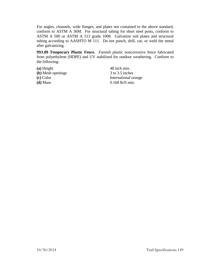For angles, channels, wide flanges, and plates not contained in the above standard, conform to ASTM A 36M. For structural tubing for short steel posts, conform to ASTM A 500 or ASTM A 513 grade 1008. Galvanize soil plates and structural tubing according to AASHTO M 111. Do not punch, drill, cut, or weld the metal after galvanizing.

**993.09 Temporary Plastic Fence.** Furnish plastic noncorrosive fence fabricated from polyethylene (HDPE) and UV stabilized for outdoor weathering. Conform to the following:

**(a)** Height 48 inch min. **(b)** Mesh openings 3 to 3.5 inches **(d)** Mass 0.168 lb/ft min.

**(c)** Color International orange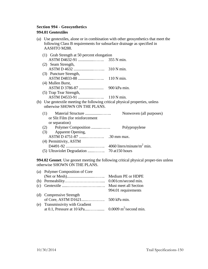# **Section 994 - Geosynthetics 994.01 Geotextiles**

| (a) Use geotextiles, alone or in combination with other geosynthetics that meet the |
|-------------------------------------------------------------------------------------|
| following Class B requirements for subsurface drainage as specified in              |
| AASHTO M288.                                                                        |

|                               | (1) Grab Strength at 50 percent elongation                                    |                         |  |
|-------------------------------|-------------------------------------------------------------------------------|-------------------------|--|
|                               |                                                                               |                         |  |
|                               | (2) Seam Strength,                                                            |                         |  |
|                               |                                                                               |                         |  |
|                               | (3) Puncture Strength,                                                        |                         |  |
|                               |                                                                               |                         |  |
|                               | (4) Mullen Burst,                                                             |                         |  |
|                               |                                                                               |                         |  |
|                               | (5) Trap Tear Strength,                                                       |                         |  |
|                               |                                                                               |                         |  |
|                               | (b) Use geotextile meeting the following critical physical properties, unless |                         |  |
| otherwise SHOWN ON THE PLANS. |                                                                               |                         |  |
|                               |                                                                               | Nonwoven (all purposes) |  |
|                               | or Slit Film (for reinforcement)                                              |                         |  |
|                               | or separation)                                                                |                         |  |
| (2)                           | Polymer Composition                                                           | Polypropylene           |  |
|                               | (3) Apparent Opening,                                                         |                         |  |
|                               |                                                                               |                         |  |
|                               | (4) Permittivity, ASTM                                                        |                         |  |
|                               |                                                                               |                         |  |
|                               |                                                                               |                         |  |
|                               |                                                                               |                         |  |

**994.02 Geonet**. Use geonet meeting the following critical physical proper-ties unless otherwise SHOWN ON THE PLANS.

| (a) Polymer Composition of Core  |                       |
|----------------------------------|-----------------------|
|                                  | Medium PE or HDPE     |
|                                  | 0.001cm/second min.   |
|                                  | Must meet all Section |
|                                  | 994.01 requirements   |
| (d) Compressive Strength         |                       |
|                                  |                       |
| (e) Transmissivity with Gradient |                       |
|                                  |                       |
|                                  |                       |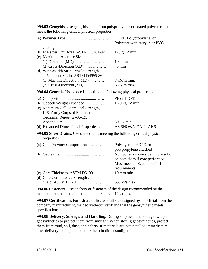**994.03 Geogrids.** Use geogrids made from polypropylene or coated polyester that meets the following critical physical properties.

|                                                                                                                                                                           | HDPE, Polypropylene, or<br>Polyester with Acrylic or PVC                                                                               |  |  |
|---------------------------------------------------------------------------------------------------------------------------------------------------------------------------|----------------------------------------------------------------------------------------------------------------------------------------|--|--|
| coating<br>(b) Mass per Unit Area, ASTM D5261-92<br>(c) Maximum Aperture Size<br>(d) Wide-Width Strip Tensile Strength<br>at 5 percent Strain, ASTM D4595-86              | 175 $g/m^2$ min.<br>$100 \text{ mm}$<br>75 mm                                                                                          |  |  |
| (1) Machine Direction (MD)<br>$(2)$ Cross-Direction $(XD)$                                                                                                                | 8 kN/m min.<br>6 kN/m max.                                                                                                             |  |  |
| 994.04 Geocells. Use geocells meeting the following physical properties.                                                                                                  |                                                                                                                                        |  |  |
| (b) Geocell Weight expanded:<br>(c) Minimum Cell Seam Peel Strength,<br>U.S. Army Corps of Engineers<br>Technical Report G:-86-19,<br>(d) Expanded Dimensional Properties | PE or HDPE<br>$1.70 \text{ kg/m}^2 \text{ min.}$<br>800 N min.<br>AS SHOWN ON PLANS                                                    |  |  |
| <b>994.05 Sheet Drains.</b> Use sheet drains meeting the following critical physical<br>properties.                                                                       |                                                                                                                                        |  |  |
| (a) Core Polymer Composition                                                                                                                                              | Polystyrene, HDPE, or<br>polypropylene attached                                                                                        |  |  |
| (c) Core Thickness, ASTM D5199<br>(d) Core Compressive Strength at                                                                                                        | Nonwoven on one side if core solid;<br>on both sides if core perforated.<br>Must meet all Section 994.01<br>requirements<br>10 mm min. |  |  |
| Yield, ASTM D1621                                                                                                                                                         | 650 kPa max.                                                                                                                           |  |  |

**994.06 Fasteners.** Use anchors or fasteners of the design recommended by the manufacturer, and install per manufacturer's specifications.

**994.07 Certification.** Furnish a certificate or affidavit signed by an official from the company manufacturing the geosynthetic, verifying that the geosynthetic meets specifications.

**994.08 Delivery, Storage, and Handling.** During shipment and storage, wrap all geosynthetics to protect them from sunlight. When storing geosynthetics, protect them from mud, soil, dust, and debris. If materials are not installed immediately after delivery to site, do not store them in direct sunlight.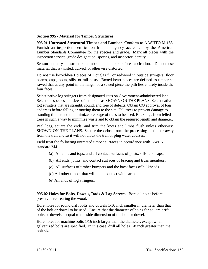## **Section 995 - Material for Timber Structures**

**995.01 Untreated Structural Timber and Lumber**. Conform to AASHTO M 168. Furnish an inspection certification from an agency accredited by the American Lumber Standards Committee for the species and grade. Mark all pieces with the inspection service, grade designation, species, and inspector identity.

Season and dry all structural timber and lumber before fabrication. Do not use material that is twisted, curved, or otherwise distorted.

Do not use boxed-heart pieces of Douglas fir or redwood in outside stringers, floor beams, caps, posts, sills, or rail posts. Boxed-heart pieces are defined as timber so sawed that at any point in the length of a sawed piece the pith lies entirely inside the four faces.

Select native log stringers from designated sites on Government-administered land. Select the species and sizes of materials as SHOWN ON THE PLANS. Select native log stringers that are straight, sound, and free of defects. Obtain CO approval of logs and trees before felling or moving them to the site. Fell trees to prevent damage to standing timber and to minimize breakage of trees to be used. Buck logs from felled trees in such a way to minimize waste and to obtain the required length and diameter.

Peel logs, square the ends, and trim the knots and limbs flush unless otherwise SHOWN ON THE PLANS. Scatter the debris from the processing of timber away from the trail and so it will not block the trail or plug water courses.

Field treat the following untreated timber surfaces in accordance with AWPA standard M4.

- (a) All ends and tops, and all contact surfaces of posts, sills, and caps.
- (b) All ends, joints, and contact surfaces of bracing and truss members.
- (c) All surfaces of timber bumpers and the back faces of bulkheads.
- (d) All other timber that will be in contact with earth.
- (e) All ends of log stringers.

**995.02 Holes for Bolts, Dowels, Rods & Lag Screws.** Bore all holes before preservative treating the wood.

Bore holes for round drift bolts and dowels 1/16 inch smaller in diameter than that of the bolt or dowel to be used. Ensure that the diameter of holes for square drift bolts or dowels is equal to the side dimension of the bolt or dowel.

Bore holes for machine bolts 1/16 inch larger than the diameter, except when galvanized bolts are specified. In this case, drill all holes 1/8 inch greater than the bolt size.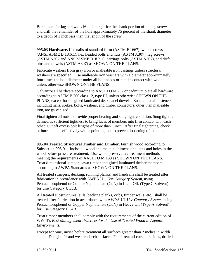Bore holes for lag screws 1/16 inch larger for the shank portion of the lag screw and drill the remainder of the hole approximately 75 percent of the shank diameter to a depth of 1 inch less than the length of the screw.

**995.03 Hardware.** Use nails of standard form (ASTM F 1667), wood screws (ANSI/ASME B 18.6.1), hex headed bolts and nuts (ASTM A307), lag screws (ASTM A307 and ANSI/ASME B18.2.1), carriage bolts (ASTM A307), and drift pins and dowels (ASTM A307) as SHOWN ON THE PLANS.

Fabricate washers from gray iron or malleable iron castings unless structural washers are specified. Use malleable iron washers with a diameter approximately four times the bolt diameter under all bolt heads or nuts in contact with wood, unless otherwise SHOWN ON THE PLANS.

Galvanize all hardware according to AASHTO M 232 or cadmium plate all hardware according to ASTM B 766 class 12, type III, unless otherwise SHOWN ON THE PLANS, except for the glued laminated deck panel dowels. Ensure that all fasteners, including nails, spikes, bolts, washers, and timber connectors, other than malleable iron, are galvanized.

Final tighten all nuts to provide proper bearing and snug tight condition. Snug tight is defined as sufficient tightness to bring faces of members into firm contact with each other. Cut off excess bolt lengths of more than 1 inch. After final tightening, check or burr all bolts effectively with a pointing tool to prevent loosening of the nuts.

**995.04 Treated Structural Timber and Lumber.** Furnish wood according to Subsection 995.01. Incise all wood and make all dimensional cuts and holes in the wood before pressure treatment. Use wood preservative treatment methods meeting the requirements of AASHTO M 133 as SHOWN ON THE PLANS. Treat dimensional lumber, sawn timber and glued laminated timber members according to AWPA Standards as SHOWN ON THE PLANS.

All treated stringers, decking, running planks, and handrails shall be treated after fabrication in accordance with AWPA U1, *Use Category System,* using Pentachlorophenol or Copper Naphthenate (CuN) in Light Oil, (Type C Solvent) for Use Category UC3B.

All treated substructures (sills, backing planks, cribs, timber walls, etc.) shall be treated after fabrication in accordance with AWPA U1 *Use Category System,* using Pentachlorophenol or Copper Naphthenate (CuN) in Heavy Oil (Type A Solvent) for Use Category UC4B.

Treat timber members shall comply with the requirements of the current edition of WWPI's *Best Management Practices for the Use of Treated Wood in Aquatic Environments.*

Except for pine, incise before treatment all surfaces greater than 2 inches in width and all Douglas fir and western larch surfaces. Field treat all cuts, abrasions, drilled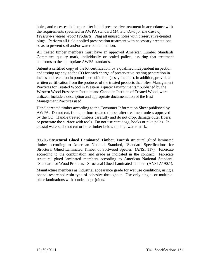holes, and recesses that occur after initial preservative treatment in accordance with the requirements specified in AWPA standard M4, *Standard for the Care of Pressure-Treated Wood Products*. Plug all unused holes with preservative-treated plugs. Perform all field-applied preservation treatment with necessary precautions so as to prevent soil and/or water contamination.

All treated timber members must have an approved American Lumber Standards Committee quality mark, individually or sealed pallets, assuring that treatment conforms to the appropriate AWPA standards.

Submit a certified copy of the lot certification, by a qualified independent inspection and testing agency, to the CO for each charge of preservative, stating penetration in inches and retention in pounds per cubic foot (assay method). In addition, provide a written certification from the producer of the treated products that "Best Management Practices for Treated Wood in Western Aquatic Environments," published by the Western Wood Preservers Institute and Canadian Institute of Treated Wood, were utilized. Include a description and appropriate documentation of the Best Management Practices used.

Handle treated timber according to the Consumer Information Sheet published by AWPA. Do not cut, frame, or bore treated timber after treatment unless approved by the CO. Handle treated timbers carefully and do not drop, damage outer fibers, or penetrate the surface with tools. Do not use cant dogs, hooks or pike poles. In coastal waters, do not cut or bore timber below the highwater mark.

**995.05 Structural Glued Laminated Timber.** Furnish structural glued laminated timber according to American National Standard, "Standard Specifications for Structural Glued Laminated Timber of Softwood Species" (ANSI 117). Fabricate according to the combination and grade as indicated in the contract. Fabricate structural glued laminated members according to American National Standard, "Standard for Wood Products - Structural Glued Laminated Timber" (ANSI A190.1).

Manufacture members as industrial appearance grade for wet use conditions, using a phenol-resorcinol resin type of adhesive throughout. Use only single- or multiplepiece laminations with bonded edge joints.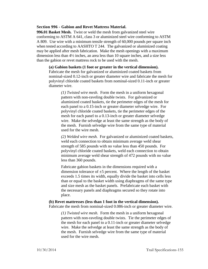#### **Section 996 - Gabion and Revet Mattress Material.**

**996.01 Basket Mesh.** Twist or weld the mesh from galvanized steel wire conforming to ASTM A 641, class 3 or aluminized steel wire conforming to ASTM A 809. Use wire with a minimum tensile strength of 60,000 pounds per square inch when tested according to AASHTO T 244. The galvanized or aluminized coating may be applied after mesh fabrication. Make the mesh openings with a maximum dimension less than 4½ inches, an area less than 10 square inches, and a size less than the gabion or revet mattress rock to be used with the mesh.

**(a) Gabion baskets (1 foot or greater in the vertical dimension).** Fabricate the mesh for galvanized or aluminized coated baskets from nominal-sized 0.12-inch or greater diameter wire and fabricate the mesh for polyvinyl chloride coated baskets from nominal-sized 0.11-inch or greater diameter wire.

> *(1) Twisted wire mesh.* Form the mesh in a uniform hexagonal pattern with non-raveling double twists. For galvanized or aluminized coated baskets, tie the perimeter edges of the mesh for each panel to a 0.15-inch or greater diameter selvedge wire. For polyvinyl chloride coated baskets, tie the perimeter edges of the mesh for each panel to a 0.13-inch or greater diameter selvedge wire. Make the selvedge at least the same strength as the body of the mesh. Furnish selvedge wire from the same type of material used for the wire mesh.

*(2) Welded wire mesh.* For galvanized or aluminized coated baskets, weld each connection to obtain minimum average weld shear strength of 585 pounds with no value less than 450 pounds. For polyvinyl chloride coated baskets, weld each connection to obtain minimum average weld shear strength of 472 pounds with no value less than 360 pounds.

Fabricate gabion baskets in the dimensions required with a dimension tolerance of  $\pm 5$  percent. Where the length of the basket exceeds 1.5 times its width, equally divide the basket into cells less than or equal to the basket width using diaphragms of the same type and size mesh as the basket panels. Prefabricate each basket with the necessary panels and diaphragms secured so they rotate into place.

# **(b) Revet mattresses (less than 1 foot in the vertical dimension).**

Fabricate the mesh from nominal-sized 0.086-inch or greater diameter wire.

*(1) Twisted wire mesh.* Form the mesh in a uniform hexagonal pattern with non-raveling double twists. Tie the perimeter edges of the mesh for each panel to a 0.11-inch or greater diameter selvedge wire. Make the selvedge at least the same strength as the body of the mesh. Furnish selvedge wire from the same type of material used for the wire mesh.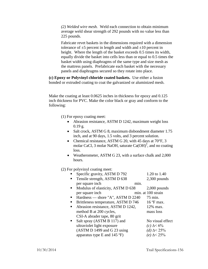*(2) Welded wire mesh.* Weld each connection to obtain minimum average weld shear strength of 292 pounds with no value less than 225 pounds.

Fabricate revet baskets in the dimensions required with a dimension tolerance of  $\pm 5$  percent in length and width and  $\pm 10$  percent in height. Where the length of the basket exceeds 0.5 times its width, equally divide the basket into cells less than or equal to 0.5 times the basket width using diaphragms of the same type and size mesh as the mattress panels. Prefabricate each basket with the necessary panels and diaphragms secured so they rotate into place.

**(c) Epoxy or Polyvinyl chloride coated baskets.** Use either a fusion bonded or extruded coating to coat the galvanized or aluminized mesh.

Make the coating at least 0.0625 inches in thickness for epoxy and 0.125 inch thickness for PVC. Make the color black or gray and conform to the following:

(1) For epoxy coating meet:

- Abrasion resistance, ASTM D 1242, maximum weight loss  $0.19$  g.
- Salt crock, ASTM G 8, maximum disbondment diameter 1.75 inch, and at 90 days, 1.5 volts, and 3 percent solution.
- Chemical resistance, ASTM G 20, with 45 days at 70°F, 3 molar CaCl, 3 molar NaOH, saturate  $Ca(OH)^2$ , and no coating loss.
- Weatherometer, ASTM G 23, with a surface chalk and 2,000 hours.

(2) For polyvinyl coating meet:

|   | Specific gravity, ASTM D 792                   |      | 1.20 to 1.40        |
|---|------------------------------------------------|------|---------------------|
|   | Tensile strength, ASTM D 638                   |      | $2,300$ pounds      |
|   | per square inch                                | min. |                     |
|   | Modulus of elasticity, ASTM D 638              |      | $2,000$ pounds      |
|   | per square inch                                |      | min. at 100 strain  |
| п | Hardness — shore "A", ASTM D 2240              |      | 75 min.             |
|   | Brittleness temperature, ASTM D 746            |      | $16 \text{°F}$ max. |
|   | Abrasion resistance, ASTM D 1242,              |      | 12% max.            |
|   | method B at 200 cycles,                        |      | mass loss           |
|   | CSI-A abrader tape, 80 grit                    |      |                     |
|   | Salt spray (ASTM B 117) and                    |      | No visual effect    |
|   | ultraviolet light exposure                     |      | (c) $\Delta < 6\%$  |
|   | (ASTM D 1499 and G 23 using                    |      | (d) $\Delta$ < 25%  |
|   | apparatus type E and $145 \text{ }^{\circ}$ F) |      | (e) $\Delta$ < 25%  |
|   |                                                |      |                     |